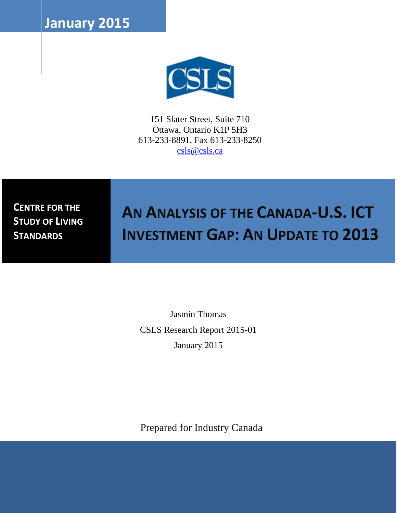**January 2015**



151 Slater Street, Suite 710 Ottawa, Ontario K1P 5H3 613-233-8891, Fax 613-233-8250 [csls@csls.ca](mailto:csls@csls.ca)

**CENTRE FOR THE STUDY OF LIVING STANDARDS** 

# **AN ANALYSIS OF THE CANADA-U.S. ICT INVESTMENT GAP: AN UPDATE TO 2013**

Jasmin Thomas CSLS Research Report 2015-01 January 2015

Prepared for Industry Canada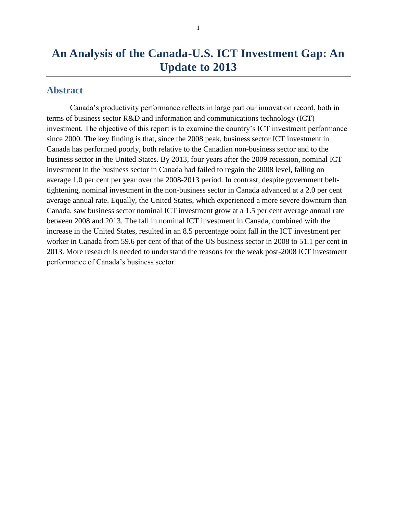## **An Analysis of the Canada-U.S. ICT Investment Gap: An Update to 2013**

### <span id="page-1-0"></span>**Abstract**

Canada's productivity performance reflects in large part our innovation record, both in terms of business sector R&D and information and communications technology (ICT) investment. The objective of this report is to examine the country's ICT investment performance since 2000. The key finding is that, since the 2008 peak, business sector ICT investment in Canada has performed poorly, both relative to the Canadian non-business sector and to the business sector in the United States. By 2013, four years after the 2009 recession, nominal ICT investment in the business sector in Canada had failed to regain the 2008 level, falling on average 1.0 per cent per year over the 2008-2013 period. In contrast, despite government belttightening, nominal investment in the non-business sector in Canada advanced at a 2.0 per cent average annual rate. Equally, the United States, which experienced a more severe downturn than Canada, saw business sector nominal ICT investment grow at a 1.5 per cent average annual rate between 2008 and 2013. The fall in nominal ICT investment in Canada, combined with the increase in the United States, resulted in an 8.5 percentage point fall in the ICT investment per worker in Canada from 59.6 per cent of that of the US business sector in 2008 to 51.1 per cent in 2013. More research is needed to understand the reasons for the weak post-2008 ICT investment performance of Canada's business sector.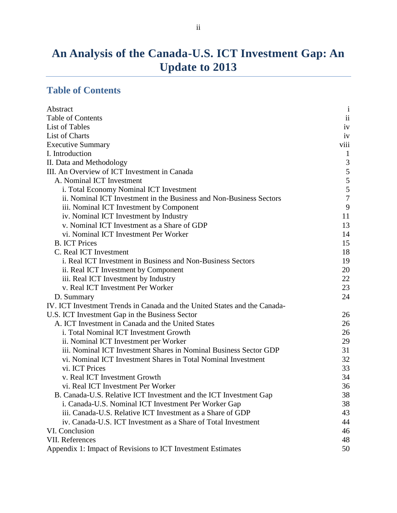## **An Analysis of the Canada-U.S. ICT Investment Gap: An Update to 2013**

## <span id="page-2-0"></span>**Table of Contents**

| Abstract                                                                  | $\mathbf{i}$     |
|---------------------------------------------------------------------------|------------------|
| <b>Table of Contents</b>                                                  | $\rm ii$         |
| List of Tables                                                            | iv               |
| List of Charts                                                            | iv               |
| <b>Executive Summary</b>                                                  | viii             |
| I. Introduction                                                           | $\mathbf{1}$     |
| II. Data and Methodology                                                  | $\mathfrak{Z}$   |
| III. An Overview of ICT Investment in Canada                              |                  |
| A. Nominal ICT Investment                                                 | $\frac{5}{5}$    |
| i. Total Economy Nominal ICT Investment                                   |                  |
| ii. Nominal ICT Investment in the Business and Non-Business Sectors       | $\boldsymbol{7}$ |
| iii. Nominal ICT Investment by Component                                  | 9                |
| iv. Nominal ICT Investment by Industry                                    | 11               |
| v. Nominal ICT Investment as a Share of GDP                               | 13               |
| vi. Nominal ICT Investment Per Worker                                     | 14               |
| <b>B. ICT Prices</b>                                                      | 15               |
| C. Real ICT Investment                                                    | 18               |
| i. Real ICT Investment in Business and Non-Business Sectors               | 19               |
| ii. Real ICT Investment by Component                                      | 20               |
| iii. Real ICT Investment by Industry                                      | 22               |
| v. Real ICT Investment Per Worker                                         | 23               |
| D. Summary                                                                | 24               |
| IV. ICT Investment Trends in Canada and the United States and the Canada- |                  |
| U.S. ICT Investment Gap in the Business Sector                            | 26               |
| A. ICT Investment in Canada and the United States                         | 26               |
| i. Total Nominal ICT Investment Growth                                    | 26               |
| ii. Nominal ICT Investment per Worker                                     | 29               |
| iii. Nominal ICT Investment Shares in Nominal Business Sector GDP         | 31               |
| vi. Nominal ICT Investment Shares in Total Nominal Investment             | 32               |
| vi. ICT Prices                                                            | 33               |
| v. Real ICT Investment Growth                                             | 34               |
| vi. Real ICT Investment Per Worker                                        | 36               |
| B. Canada-U.S. Relative ICT Investment and the ICT Investment Gap         | 38               |
| i. Canada-U.S. Nominal ICT Investment Per Worker Gap                      | 38               |
| iii. Canada-U.S. Relative ICT Investment as a Share of GDP                | 43               |
| iv. Canada-U.S. ICT Investment as a Share of Total Investment             | 44               |
| VI. Conclusion                                                            | 46               |
| VII. References                                                           | 48               |
| Appendix 1: Impact of Revisions to ICT Investment Estimates               | 50               |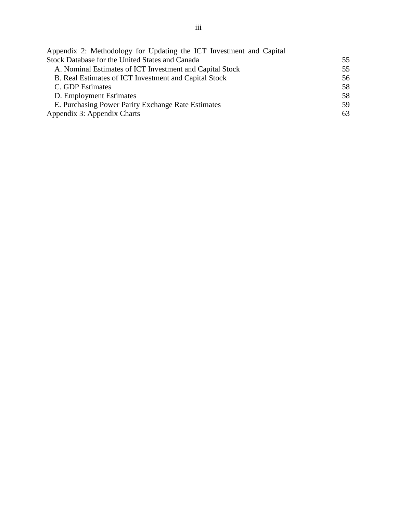| Appendix 2: Methodology for Updating the ICT Investment and Capital |     |
|---------------------------------------------------------------------|-----|
| Stock Database for the United States and Canada                     | 55  |
| A. Nominal Estimates of ICT Investment and Capital Stock            | 55  |
| B. Real Estimates of ICT Investment and Capital Stock               | 56  |
| C. GDP Estimates                                                    | 58  |
| D. Employment Estimates                                             | 58  |
| E. Purchasing Power Parity Exchange Rate Estimates                  | 59. |
| Appendix 3: Appendix Charts                                         | 63  |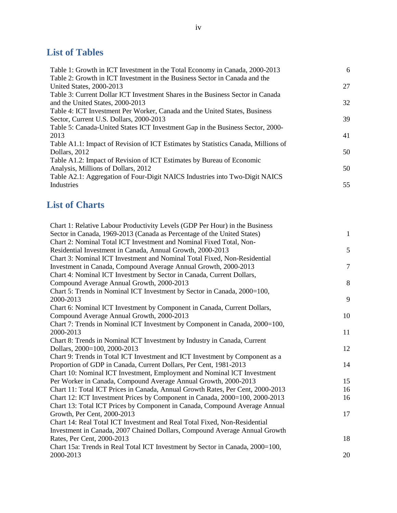## <span id="page-4-0"></span>**List of Tables**

| Table 1: Growth in ICT Investment in the Total Economy in Canada, 2000-2013       | 6  |
|-----------------------------------------------------------------------------------|----|
| Table 2: Growth in ICT Investment in the Business Sector in Canada and the        |    |
| United States, 2000-2013                                                          | 27 |
| Table 3: Current Dollar ICT Investment Shares in the Business Sector in Canada    |    |
| and the United States, 2000-2013                                                  | 32 |
| Table 4: ICT Investment Per Worker, Canada and the United States, Business        |    |
| Sector, Current U.S. Dollars, 2000-2013                                           | 39 |
| Table 5: Canada-United States ICT Investment Gap in the Business Sector, 2000-    |    |
| 2013                                                                              | 41 |
| Table A1.1: Impact of Revision of ICT Estimates by Statistics Canada, Millions of |    |
| Dollars, 2012                                                                     | 50 |
| Table A1.2: Impact of Revision of ICT Estimates by Bureau of Economic             |    |
| Analysis, Millions of Dollars, 2012                                               | 50 |
| Table A2.1: Aggregation of Four-Digit NAICS Industries into Two-Digit NAICS       |    |
| Industries                                                                        | 55 |

## <span id="page-4-1"></span>**List of Charts**

| Chart 1: Relative Labour Productivity Levels (GDP Per Hour) in the Business    |                |
|--------------------------------------------------------------------------------|----------------|
| Sector in Canada, 1969-2013 (Canada as Percentage of the United States)        | $\mathbf{1}$   |
| Chart 2: Nominal Total ICT Investment and Nominal Fixed Total, Non-            |                |
| Residential Investment in Canada, Annual Growth, 2000-2013                     | 5              |
| Chart 3: Nominal ICT Investment and Nominal Total Fixed, Non-Residential       |                |
| Investment in Canada, Compound Average Annual Growth, 2000-2013                | $\overline{7}$ |
| Chart 4: Nominal ICT Investment by Sector in Canada, Current Dollars,          |                |
| Compound Average Annual Growth, 2000-2013                                      | 8              |
| Chart 5: Trends in Nominal ICT Investment by Sector in Canada, 2000=100,       |                |
| 2000-2013                                                                      | 9              |
| Chart 6: Nominal ICT Investment by Component in Canada, Current Dollars,       |                |
| Compound Average Annual Growth, 2000-2013                                      | 10             |
| Chart 7: Trends in Nominal ICT Investment by Component in Canada, 2000=100,    |                |
| 2000-2013                                                                      | 11             |
| Chart 8: Trends in Nominal ICT Investment by Industry in Canada, Current       |                |
| Dollars, 2000=100, 2000-2013                                                   | 12             |
| Chart 9: Trends in Total ICT Investment and ICT Investment by Component as a   |                |
| Proportion of GDP in Canada, Current Dollars, Per Cent, 1981-2013              | 14             |
| Chart 10: Nominal ICT Investment, Employment and Nominal ICT Investment        |                |
| Per Worker in Canada, Compound Average Annual Growth, 2000-2013                | 15             |
| Chart 11: Total ICT Prices in Canada, Annual Growth Rates, Per Cent, 2000-2013 | 16             |
| Chart 12: ICT Investment Prices by Component in Canada, 2000=100, 2000-2013    | 16             |
| Chart 13: Total ICT Prices by Component in Canada, Compound Average Annual     |                |
| Growth, Per Cent, 2000-2013                                                    | 17             |
| Chart 14: Real Total ICT Investment and Real Total Fixed, Non-Residential      |                |
| Investment in Canada, 2007 Chained Dollars, Compound Average Annual Growth     |                |
| Rates, Per Cent, 2000-2013                                                     | 18             |
| Chart 15a: Trends in Real Total ICT Investment by Sector in Canada, 2000=100,  |                |
| 2000-2013                                                                      | 20             |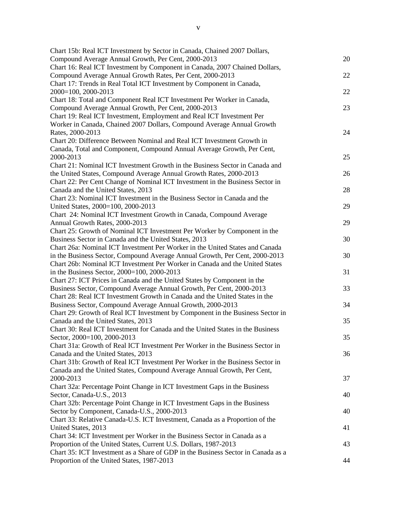| Chart 15b: Real ICT Investment by Sector in Canada, Chained 2007 Dollars,<br>Compound Average Annual Growth, Per Cent, 2000-2013 | 20 |
|----------------------------------------------------------------------------------------------------------------------------------|----|
| Chart 16: Real ICT Investment by Component in Canada, 2007 Chained Dollars,                                                      |    |
| Compound Average Annual Growth Rates, Per Cent, 2000-2013                                                                        | 22 |
| Chart 17: Trends in Real Total ICT Investment by Component in Canada,                                                            |    |
| 2000=100, 2000-2013                                                                                                              | 22 |
| Chart 18: Total and Component Real ICT Investment Per Worker in Canada,                                                          |    |
| Compound Average Annual Growth, Per Cent, 2000-2013                                                                              | 23 |
| Chart 19: Real ICT Investment, Employment and Real ICT Investment Per                                                            |    |
| Worker in Canada, Chained 2007 Dollars, Compound Average Annual Growth                                                           |    |
| Rates, 2000-2013                                                                                                                 | 24 |
| Chart 20: Difference Between Nominal and Real ICT Investment Growth in                                                           |    |
| Canada, Total and Component, Compound Annual Average Growth, Per Cent,                                                           |    |
| 2000-2013                                                                                                                        | 25 |
| Chart 21: Nominal ICT Investment Growth in the Business Sector in Canada and                                                     |    |
| the United States, Compound Average Annual Growth Rates, 2000-2013                                                               | 26 |
| Chart 22: Per Cent Change of Nominal ICT Investment in the Business Sector in                                                    |    |
| Canada and the United States, 2013                                                                                               | 28 |
| Chart 23: Nominal ICT Investment in the Business Sector in Canada and the                                                        |    |
| United States, 2000=100, 2000-2013                                                                                               | 29 |
| Chart 24: Nominal ICT Investment Growth in Canada, Compound Average                                                              |    |
| Annual Growth Rates, 2000-2013                                                                                                   | 29 |
| Chart 25: Growth of Nominal ICT Investment Per Worker by Component in the                                                        |    |
| Business Sector in Canada and the United States, 2013                                                                            | 30 |
| Chart 26a: Nominal ICT Investment Per Worker in the United States and Canada                                                     |    |
| in the Business Sector, Compound Average Annual Growth, Per Cent, 2000-2013                                                      | 30 |
| Chart 26b: Nominal ICT Investment Per Worker in Canada and the United States                                                     |    |
| in the Business Sector, 2000=100, 2000-2013                                                                                      | 31 |
| Chart 27: ICT Prices in Canada and the United States by Component in the                                                         |    |
| Business Sector, Compound Average Annual Growth, Per Cent, 2000-2013                                                             | 33 |
| Chart 28: Real ICT Investment Growth in Canada and the United States in the                                                      |    |
| Business Sector, Compound Average Annual Growth, 2000-2013                                                                       | 34 |
| Chart 29: Growth of Real ICT Investment by Component in the Business Sector in                                                   |    |
| Canada and the United States, 2013                                                                                               | 35 |
| Chart 30: Real ICT Investment for Canada and the United States in the Business                                                   |    |
| Sector, 2000=100, 2000-2013                                                                                                      | 35 |
| Chart 31a: Growth of Real ICT Investment Per Worker in the Business Sector in                                                    |    |
| Canada and the United States, 2013                                                                                               | 36 |
| Chart 31b: Growth of Real ICT Investment Per Worker in the Business Sector in                                                    |    |
| Canada and the United States, Compound Average Annual Growth, Per Cent,                                                          |    |
| 2000-2013                                                                                                                        | 37 |
| Chart 32a: Percentage Point Change in ICT Investment Gaps in the Business                                                        |    |
| Sector, Canada-U.S., 2013                                                                                                        | 40 |
| Chart 32b: Percentage Point Change in ICT Investment Gaps in the Business                                                        |    |
| Sector by Component, Canada-U.S., 2000-2013                                                                                      | 40 |
| Chart 33: Relative Canada-U.S. ICT Investment, Canada as a Proportion of the                                                     |    |
| United States, 2013                                                                                                              | 41 |
| Chart 34: ICT Investment per Worker in the Business Sector in Canada as a                                                        |    |
| Proportion of the United States, Current U.S. Dollars, 1987-2013                                                                 | 43 |
| Chart 35: ICT Investment as a Share of GDP in the Business Sector in Canada as a                                                 |    |
| Proportion of the United States, 1987-2013                                                                                       | 44 |
|                                                                                                                                  |    |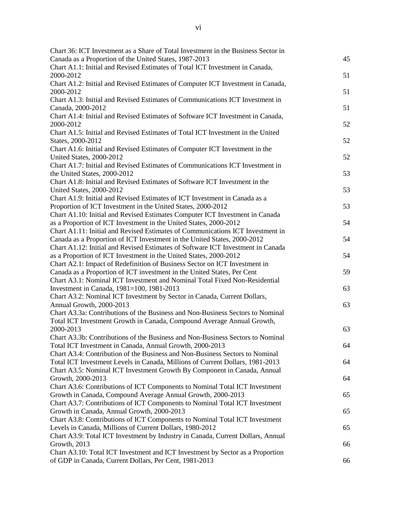| Chart 36: ICT Investment as a Share of Total Investment in the Business Sector in |    |
|-----------------------------------------------------------------------------------|----|
| Canada as a Proportion of the United States, 1987-2013                            | 45 |
| Chart A1.1: Initial and Revised Estimates of Total ICT Investment in Canada,      |    |
| 2000-2012                                                                         | 51 |
| Chart A1.2: Initial and Revised Estimates of Computer ICT Investment in Canada,   |    |
| 2000-2012                                                                         | 51 |
| Chart A1.3: Initial and Revised Estimates of Communications ICT Investment in     |    |
| Canada, 2000-2012                                                                 | 51 |
| Chart A1.4: Initial and Revised Estimates of Software ICT Investment in Canada,   |    |
| 2000-2012                                                                         | 52 |
| Chart A1.5: Initial and Revised Estimates of Total ICT Investment in the United   |    |
| States, 2000-2012                                                                 | 52 |
| Chart A1.6: Initial and Revised Estimates of Computer ICT Investment in the       |    |
| United States, 2000-2012                                                          | 52 |
| Chart A1.7: Initial and Revised Estimates of Communications ICT Investment in     |    |
| the United States, 2000-2012                                                      | 53 |
| Chart A1.8: Initial and Revised Estimates of Software ICT Investment in the       |    |
| United States, 2000-2012                                                          | 53 |
| Chart A1.9: Initial and Revised Estimates of ICT Investment in Canada as a        |    |
| Proportion of ICT Investment in the United States, 2000-2012                      | 53 |
| Chart A1.10: Initial and Revised Estimates Computer ICT Investment in Canada      |    |
| as a Proportion of ICT Investment in the United States, 2000-2012                 | 54 |
| Chart A1.11: Initial and Revised Estimates of Communications ICT Investment in    |    |
| Canada as a Proportion of ICT Investment in the United States, 2000-2012          | 54 |
| Chart A1.12: Initial and Revised Estimates of Software ICT Investment in Canada   |    |
| as a Proportion of ICT Investment in the United States, 2000-2012                 | 54 |
| Chart A2.1: Impact of Redefinition of Business Sector on ICT Investment in        |    |
| Canada as a Proportion of ICT investment in the United States, Per Cent           | 59 |
| Chart A3.1: Nominal ICT Investment and Nominal Total Fixed Non-Residential        |    |
| Investment in Canada, 1981=100, 1981-2013                                         | 63 |
| Chart A3.2: Nominal ICT Investment by Sector in Canada, Current Dollars,          |    |
| Annual Growth, 2000-2013                                                          | 63 |
| Chart A3.3a: Contributions of the Business and Non-Business Sectors to Nominal    |    |
| Total ICT Investment Growth in Canada, Compound Average Annual Growth,            |    |
| 2000-2013                                                                         | 63 |
| Chart A3.3b: Contributions of the Business and Non-Business Sectors to Nominal    |    |
| Total ICT Investment in Canada, Annual Growth, 2000-2013                          | 64 |
| Chart A3.4: Contribution of the Business and Non-Business Sectors to Nominal      |    |
| Total ICT Investment Levels in Canada, Millions of Current Dollars, 1981-2013     | 64 |
| Chart A3.5: Nominal ICT Investment Growth By Component in Canada, Annual          |    |
| Growth, 2000-2013                                                                 | 64 |
| Chart A3.6: Contributions of ICT Components to Nominal Total ICT Investment       |    |
| Growth in Canada, Compound Average Annual Growth, 2000-2013                       | 65 |
| Chart A3.7: Contributions of ICT Components to Nominal Total ICT Investment       |    |
| Growth in Canada, Annual Growth, 2000-2013                                        | 65 |
|                                                                                   |    |
| Chart A3.8: Contributions of ICT Components to Nominal Total ICT Investment       |    |
| Levels in Canada, Millions of Current Dollars, 1980-2012                          | 65 |
| Chart A3.9: Total ICT Investment by Industry in Canada, Current Dollars, Annual   |    |
| Growth, 2013                                                                      | 66 |
| Chart A3.10: Total ICT Investment and ICT Investment by Sector as a Proportion    |    |
| of GDP in Canada, Current Dollars, Per Cent, 1981-2013                            | 66 |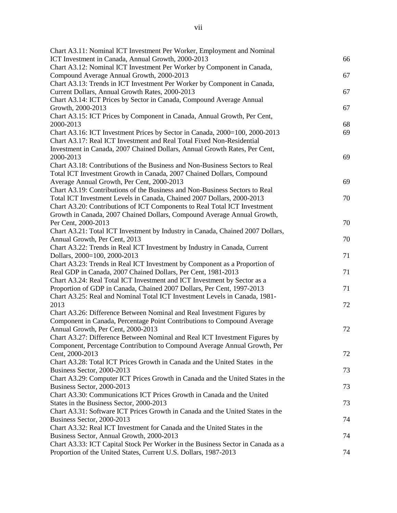| Chart A3.11: Nominal ICT Investment Per Worker, Employment and Nominal          |    |
|---------------------------------------------------------------------------------|----|
| ICT Investment in Canada, Annual Growth, 2000-2013                              | 66 |
| Chart A3.12: Nominal ICT Investment Per Worker by Component in Canada,          |    |
| Compound Average Annual Growth, 2000-2013                                       | 67 |
| Chart A3.13: Trends in ICT Investment Per Worker by Component in Canada,        |    |
| Current Dollars, Annual Growth Rates, 2000-2013                                 | 67 |
| Chart A3.14: ICT Prices by Sector in Canada, Compound Average Annual            |    |
| Growth, 2000-2013                                                               | 67 |
| Chart A3.15: ICT Prices by Component in Canada, Annual Growth, Per Cent,        |    |
| 2000-2013                                                                       | 68 |
| Chart A3.16: ICT Investment Prices by Sector in Canada, 2000=100, 2000-2013     | 69 |
| Chart A3.17: Real ICT Investment and Real Total Fixed Non-Residential           |    |
| Investment in Canada, 2007 Chained Dollars, Annual Growth Rates, Per Cent,      |    |
| 2000-2013                                                                       | 69 |
| Chart A3.18: Contributions of the Business and Non-Business Sectors to Real     |    |
| Total ICT Investment Growth in Canada, 2007 Chained Dollars, Compound           |    |
| Average Annual Growth, Per Cent, 2000-2013                                      | 69 |
| Chart A3.19: Contributions of the Business and Non-Business Sectors to Real     |    |
| Total ICT Investment Levels in Canada, Chained 2007 Dollars, 2000-2013          | 70 |
| Chart A3.20: Contributions of ICT Components to Real Total ICT Investment       |    |
| Growth in Canada, 2007 Chained Dollars, Compound Average Annual Growth,         |    |
| Per Cent, 2000-2013                                                             | 70 |
| Chart A3.21: Total ICT Investment by Industry in Canada, Chained 2007 Dollars,  |    |
| Annual Growth, Per Cent, 2013                                                   | 70 |
| Chart A3.22: Trends in Real ICT Investment by Industry in Canada, Current       |    |
| Dollars, 2000=100, 2000-2013                                                    | 71 |
| Chart A3.23: Trends in Real ICT Investment by Component as a Proportion of      |    |
| Real GDP in Canada, 2007 Chained Dollars, Per Cent, 1981-2013                   | 71 |
| Chart A3.24: Real Total ICT Investment and ICT Investment by Sector as a        |    |
| Proportion of GDP in Canada, Chained 2007 Dollars, Per Cent, 1997-2013          | 71 |
| Chart A3.25: Real and Nominal Total ICT Investment Levels in Canada, 1981-      |    |
| 2013                                                                            | 72 |
| Chart A3.26: Difference Between Nominal and Real Investment Figures by          |    |
| Component in Canada, Percentage Point Contributions to Compound Average         |    |
| Annual Growth, Per Cent, 2000-2013                                              | 72 |
| Chart A3.27: Difference Between Nominal and Real ICT Investment Figures by      |    |
| Component, Percentage Contribution to Compound Average Annual Growth, Per       |    |
| Cent, 2000-2013                                                                 | 72 |
| Chart A3.28: Total ICT Prices Growth in Canada and the United States in the     |    |
| Business Sector, 2000-2013                                                      | 73 |
| Chart A3.29: Computer ICT Prices Growth in Canada and the United States in the  |    |
| Business Sector, 2000-2013                                                      | 73 |
| Chart A3.30: Communications ICT Prices Growth in Canada and the United          |    |
| States in the Business Sector, 2000-2013                                        | 73 |
| Chart A3.31: Software ICT Prices Growth in Canada and the United States in the  |    |
| Business Sector, 2000-2013                                                      | 74 |
| Chart A3.32: Real ICT Investment for Canada and the United States in the        |    |
| Business Sector, Annual Growth, 2000-2013                                       | 74 |
| Chart A3.33: ICT Capital Stock Per Worker in the Business Sector in Canada as a |    |
| Proportion of the United States, Current U.S. Dollars, 1987-2013                | 74 |
|                                                                                 |    |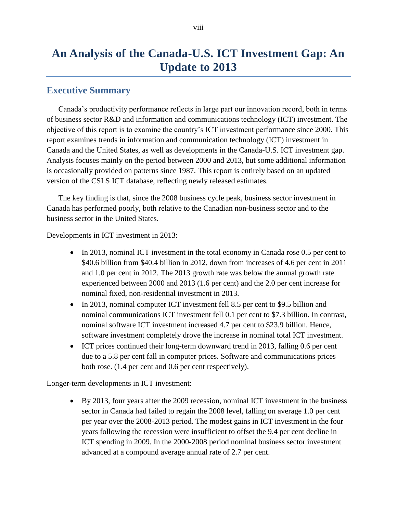## **An Analysis of the Canada-U.S. ICT Investment Gap: An Update to 2013**

## <span id="page-8-0"></span>**Executive Summary**

Canada's productivity performance reflects in large part our innovation record, both in terms of business sector R&D and information and communications technology (ICT) investment. The objective of this report is to examine the country's ICT investment performance since 2000. This report examines trends in information and communication technology (ICT) investment in Canada and the United States, as well as developments in the Canada-U.S. ICT investment gap. Analysis focuses mainly on the period between 2000 and 2013, but some additional information is occasionally provided on patterns since 1987. This report is entirely based on an updated version of the CSLS ICT database, reflecting newly released estimates.

The key finding is that, since the 2008 business cycle peak, business sector investment in Canada has performed poorly, both relative to the Canadian non-business sector and to the business sector in the United States.

Developments in ICT investment in 2013:

- In 2013, nominal ICT investment in the total economy in Canada rose 0.5 per cent to \$40.6 billion from \$40.4 billion in 2012, down from increases of 4.6 per cent in 2011 and 1.0 per cent in 2012. The 2013 growth rate was below the annual growth rate experienced between 2000 and 2013 (1.6 per cent) and the 2.0 per cent increase for nominal fixed, non-residential investment in 2013.
- In 2013, nominal computer ICT investment fell 8.5 per cent to \$9.5 billion and nominal communications ICT investment fell 0.1 per cent to \$7.3 billion. In contrast, nominal software ICT investment increased 4.7 per cent to \$23.9 billion. Hence, software investment completely drove the increase in nominal total ICT investment.
- ICT prices continued their long-term downward trend in 2013, falling 0.6 per cent due to a 5.8 per cent fall in computer prices. Software and communications prices both rose. (1.4 per cent and 0.6 per cent respectively).

Longer-term developments in ICT investment:

 By 2013, four years after the 2009 recession, nominal ICT investment in the business sector in Canada had failed to regain the 2008 level, falling on average 1.0 per cent per year over the 2008-2013 period. The modest gains in ICT investment in the four years following the recession were insufficient to offset the 9.4 per cent decline in ICT spending in 2009. In the 2000-2008 period nominal business sector investment advanced at a compound average annual rate of 2.7 per cent.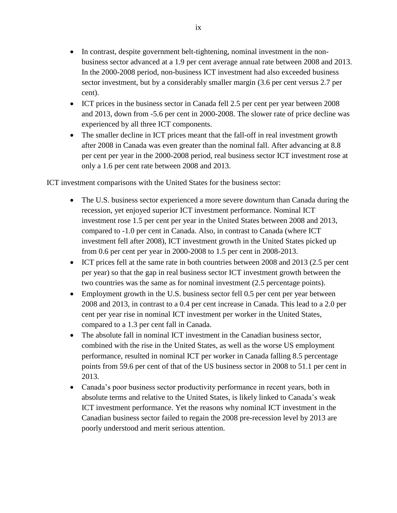- In contrast, despite government belt-tightening, nominal investment in the nonbusiness sector advanced at a 1.9 per cent average annual rate between 2008 and 2013. In the 2000-2008 period, non-business ICT investment had also exceeded business sector investment, but by a considerably smaller margin (3.6 per cent versus 2.7 per cent).
- ICT prices in the business sector in Canada fell 2.5 per cent per year between 2008 and 2013, down from -5.6 per cent in 2000-2008. The slower rate of price decline was experienced by all three ICT components.
- The smaller decline in ICT prices meant that the fall-off in real investment growth after 2008 in Canada was even greater than the nominal fall. After advancing at 8.8 per cent per year in the 2000-2008 period, real business sector ICT investment rose at only a 1.6 per cent rate between 2008 and 2013.

ICT investment comparisons with the United States for the business sector:

- The U.S. business sector experienced a more severe downturn than Canada during the recession, yet enjoyed superior ICT investment performance. Nominal ICT investment rose 1.5 per cent per year in the United States between 2008 and 2013, compared to -1.0 per cent in Canada. Also, in contrast to Canada (where ICT investment fell after 2008), ICT investment growth in the United States picked up from 0.6 per cent per year in 2000-2008 to 1.5 per cent in 2008-2013.
- ICT prices fell at the same rate in both countries between 2008 and 2013 (2.5 per cent per year) so that the gap in real business sector ICT investment growth between the two countries was the same as for nominal investment (2.5 percentage points).
- Employment growth in the U.S. business sector fell 0.5 per cent per year between 2008 and 2013, in contrast to a 0.4 per cent increase in Canada. This lead to a 2.0 per cent per year rise in nominal ICT investment per worker in the United States, compared to a 1.3 per cent fall in Canada.
- The absolute fall in nominal ICT investment in the Canadian business sector, combined with the rise in the United States, as well as the worse US employment performance, resulted in nominal ICT per worker in Canada falling 8.5 percentage points from 59.6 per cent of that of the US business sector in 2008 to 51.1 per cent in 2013.
- Canada's poor business sector productivity performance in recent years, both in absolute terms and relative to the United States, is likely linked to Canada's weak ICT investment performance. Yet the reasons why nominal ICT investment in the Canadian business sector failed to regain the 2008 pre-recession level by 2013 are poorly understood and merit serious attention.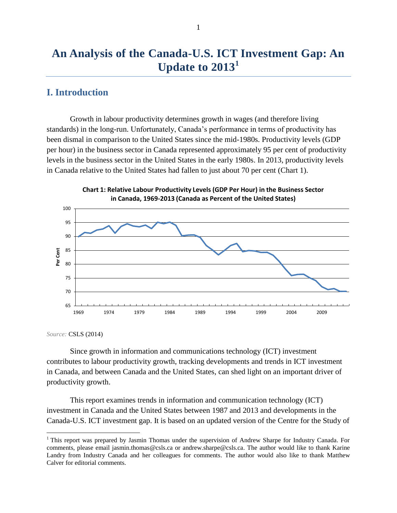## **An Analysis of the Canada-U.S. ICT Investment Gap: An Update to 2013<sup>1</sup>**

## <span id="page-10-0"></span>**I. Introduction**

Growth in labour productivity determines growth in wages (and therefore living standards) in the long-run. Unfortunately, Canada's performance in terms of productivity has been dismal in comparison to the United States since the mid-1980s. Productivity levels (GDP per hour) in the business sector in Canada represented approximately 95 per cent of productivity levels in the business sector in the United States in the early 1980s. In 2013, productivity levels in Canada relative to the United States had fallen to just about 70 per cent (Chart 1).



**Chart 1: Relative Labour Productivity Levels (GDP Per Hour) in the Business Sector** 

*Source:* CSLS (2014)

 $\overline{a}$ 

Since growth in information and communications technology (ICT) investment contributes to labour productivity growth, tracking developments and trends in ICT investment in Canada, and between Canada and the United States, can shed light on an important driver of productivity growth.

This report examines trends in information and communication technology (ICT) investment in Canada and the United States between 1987 and 2013 and developments in the Canada-U.S. ICT investment gap. It is based on an updated version of the Centre for the Study of

<sup>&</sup>lt;sup>1</sup> This report was prepared by Jasmin Thomas under the supervision of Andrew Sharpe for Industry Canada. For comments, please email jasmin.thomas@csls.ca or andrew.sharpe@csls.ca. The author would like to thank Karine Landry from Industry Canada and her colleagues for comments. The author would also like to thank Matthew Calver for editorial comments.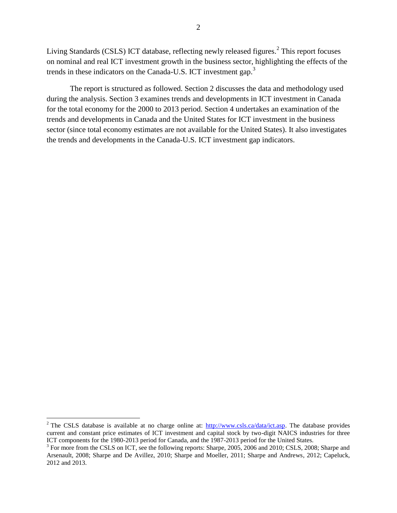Living Standards (CSLS) ICT database, reflecting newly released figures. $2$  This report focuses on nominal and real ICT investment growth in the business sector, highlighting the effects of the trends in these indicators on the Canada-U.S. ICT investment gap.<sup>3</sup>

The report is structured as followed. Section 2 discusses the data and methodology used during the analysis. Section 3 examines trends and developments in ICT investment in Canada for the total economy for the 2000 to 2013 period. Section 4 undertakes an examination of the trends and developments in Canada and the United States for ICT investment in the business sector (since total economy estimates are not available for the United States). It also investigates the trends and developments in the Canada-U.S. ICT investment gap indicators.

 $\overline{a}$ 

<sup>&</sup>lt;sup>2</sup> The CSLS database is available at no charge online at:  $\frac{http://www.csls.ca/data/ict.asp.}$  The database provides current and constant price estimates of ICT investment and capital stock by two-digit NAICS industries for three ICT components for the 1980-2013 period for Canada, and the 1987-2013 period for the United States.

<sup>&</sup>lt;sup>3</sup> For more from the CSLS on ICT, see the following reports: Sharpe, 2005, 2006 and 2010; CSLS, 2008; Sharpe and Arsenault, 2008; Sharpe and De Avillez, 2010; Sharpe and Moeller, 2011; Sharpe and Andrews, 2012; Capeluck, 2012 and 2013.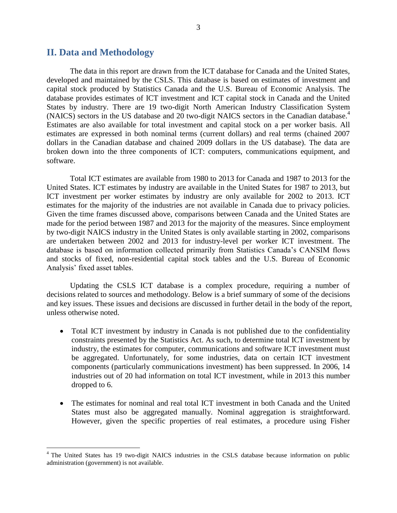#### <span id="page-12-0"></span>**II. Data and Methodology**

 $\overline{a}$ 

The data in this report are drawn from the ICT database for Canada and the United States, developed and maintained by the CSLS. This database is based on estimates of investment and capital stock produced by Statistics Canada and the U.S. Bureau of Economic Analysis. The database provides estimates of ICT investment and ICT capital stock in Canada and the United States by industry. There are 19 two-digit North American Industry Classification System (NAICS) sectors in the US database and 20 two-digit NAICS sectors in the Canadian database.<sup>4</sup> Estimates are also available for total investment and capital stock on a per worker basis. All estimates are expressed in both nominal terms (current dollars) and real terms (chained 2007 dollars in the Canadian database and chained 2009 dollars in the US database). The data are broken down into the three components of ICT: computers, communications equipment, and software.

Total ICT estimates are available from 1980 to 2013 for Canada and 1987 to 2013 for the United States. ICT estimates by industry are available in the United States for 1987 to 2013, but ICT investment per worker estimates by industry are only available for 2002 to 2013. ICT estimates for the majority of the industries are not available in Canada due to privacy policies. Given the time frames discussed above, comparisons between Canada and the United States are made for the period between 1987 and 2013 for the majority of the measures. Since employment by two-digit NAICS industry in the United States is only available starting in 2002, comparisons are undertaken between 2002 and 2013 for industry-level per worker ICT investment. The database is based on information collected primarily from Statistics Canada's CANSIM flows and stocks of fixed, non-residential capital stock tables and the U.S. Bureau of Economic Analysis' fixed asset tables.

Updating the CSLS ICT database is a complex procedure, requiring a number of decisions related to sources and methodology. Below is a brief summary of some of the decisions and key issues. These issues and decisions are discussed in further detail in the body of the report, unless otherwise noted.

- Total ICT investment by industry in Canada is not published due to the confidentiality constraints presented by the Statistics Act. As such, to determine total ICT investment by industry, the estimates for computer, communications and software ICT investment must be aggregated. Unfortunately, for some industries, data on certain ICT investment components (particularly communications investment) has been suppressed. In 2006, 14 industries out of 20 had information on total ICT investment, while in 2013 this number dropped to 6.
- The estimates for nominal and real total ICT investment in both Canada and the United States must also be aggregated manually. Nominal aggregation is straightforward. However, given the specific properties of real estimates, a procedure using Fisher

<sup>&</sup>lt;sup>4</sup> The United States has 19 two-digit NAICS industries in the CSLS database because information on public administration (government) is not available.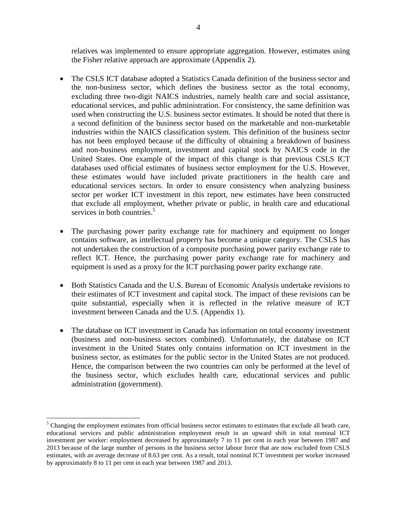relatives was implemented to ensure appropriate aggregation. However, estimates using the Fisher relative approach are approximate (Appendix 2).

- The CSLS ICT database adopted a Statistics Canada definition of the business sector and the non-business sector, which defines the business sector as the total economy, excluding three two-digit NAICS industries, namely health care and social assistance, educational services, and public administration. For consistency, the same definition was used when constructing the U.S. business sector estimates. It should be noted that there is a second definition of the business sector based on the marketable and non-marketable industries within the NAICS classification system. This definition of the business sector has not been employed because of the difficulty of obtaining a breakdown of business and non-business employment, investment and capital stock by NAICS code in the United States. One example of the impact of this change is that previous CSLS ICT databases used official estimates of business sector employment for the U.S. However, these estimates would have included private practitioners in the health care and educational services sectors. In order to ensure consistency when analyzing business sector per worker ICT investment in this report, new estimates have been constructed that exclude all employment, whether private or public, in health care and educational services in both countries.<sup>5</sup>
- The purchasing power parity exchange rate for machinery and equipment no longer contains software, as intellectual property has become a unique category. The CSLS has not undertaken the construction of a composite purchasing power parity exchange rate to reflect ICT. Hence, the purchasing power parity exchange rate for machinery and equipment is used as a proxy for the ICT purchasing power parity exchange rate.
- Both Statistics Canada and the U.S. Bureau of Economic Analysis undertake revisions to their estimates of ICT investment and capital stock. The impact of these revisions can be quite substantial, especially when it is reflected in the relative measure of ICT investment between Canada and the U.S. (Appendix 1).
- The database on ICT investment in Canada has information on total economy investment (business and non-business sectors combined). Unfortunately, the database on ICT investment in the United States only contains information on ICT investment in the business sector, as estimates for the public sector in the United States are not produced. Hence, the comparison between the two countries can only be performed at the level of the business sector, which excludes health care, educational services and public administration (government).

 $\overline{a}$ 

 $<sup>5</sup>$  Changing the employment estimates from official business sector estimates to estimates that exclude all heath care,</sup> educational services and public administration employment result in an upward shift in total nominal ICT investment per worker: employment decreased by approximately 7 to 11 per cent in each year between 1987 and 2013 because of the large number of persons in the business sector labour force that are now excluded from CSLS estimates, with an average decrease of 8.63 per cent. As a result, total nominal ICT investment per worker increased by approximately 8 to 11 per cent in each year between 1987 and 2013.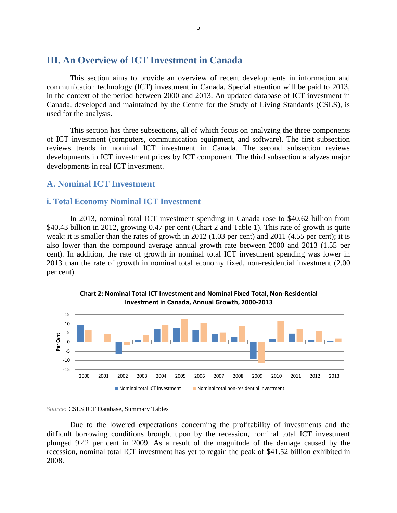### <span id="page-14-0"></span>**III. An Overview of ICT Investment in Canada**

This section aims to provide an overview of recent developments in information and communication technology (ICT) investment in Canada. Special attention will be paid to 2013, in the context of the period between 2000 and 2013. An updated database of ICT investment in Canada, developed and maintained by the Centre for the Study of Living Standards (CSLS), is used for the analysis.

This section has three subsections, all of which focus on analyzing the three components of ICT investment (computers, communication equipment, and software). The first subsection reviews trends in nominal ICT investment in Canada. The second subsection reviews developments in ICT investment prices by ICT component. The third subsection analyzes major developments in real ICT investment.

#### <span id="page-14-1"></span>**A. Nominal ICT Investment**

#### <span id="page-14-2"></span>**i. Total Economy Nominal ICT Investment**

In 2013, nominal total ICT investment spending in Canada rose to \$40.62 billion from \$40.43 billion in 2012, growing 0.47 per cent (Chart 2 and Table 1). This rate of growth is quite weak: it is smaller than the rates of growth in 2012 (1.03 per cent) and 2011 (4.55 per cent); it is also lower than the compound average annual growth rate between 2000 and 2013 (1.55 per cent). In addition, the rate of growth in nominal total ICT investment spending was lower in 2013 than the rate of growth in nominal total economy fixed, non-residential investment (2.00 per cent).





#### *Source:* CSLS ICT Database, Summary Tables

Due to the lowered expectations concerning the profitability of investments and the difficult borrowing conditions brought upon by the recession, nominal total ICT investment plunged 9.42 per cent in 2009. As a result of the magnitude of the damage caused by the recession, nominal total ICT investment has yet to regain the peak of \$41.52 billion exhibited in 2008.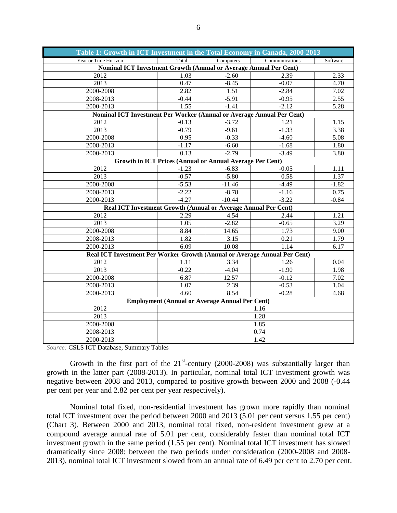| Table 1: Growth in ICT Investment in the Total Economy in Canada, 2000-2013 |                                                          |           |                |          |
|-----------------------------------------------------------------------------|----------------------------------------------------------|-----------|----------------|----------|
| Year or Time Horizon                                                        | Total                                                    | Computers | Communications | Software |
| Nominal ICT Investment Growth (Annual or Average Annual Per Cent)           |                                                          |           |                |          |
| 2012                                                                        | 1.03                                                     | $-2.60$   | 2.39           | 2.33     |
| 2013                                                                        | 0.47                                                     | $-8.45$   | $-0.07$        | 4.70     |
| 2000-2008                                                                   | 2.82                                                     | 1.51      | $-2.84$        | 7.02     |
| 2008-2013                                                                   | $-0.44$                                                  | $-5.91$   | $-0.95$        | 2.55     |
| 2000-2013                                                                   | 1.55                                                     | $-1.41$   | $-2.12$        | 5.28     |
| Nominal ICT Investment Per Worker (Annual or Average Annual Per Cent)       |                                                          |           |                |          |
| 2012                                                                        | $-0.13$                                                  | $-3.72$   | 1.21           | 1.15     |
| $\overline{2013}$                                                           | $-0.79$                                                  | $-9.61$   | $-1.33$        | 3.38     |
| 2000-2008                                                                   | 0.95                                                     | $-0.33$   | $-4.60$        | 5.08     |
| 2008-2013                                                                   | $-1.17$                                                  | $-6.60$   | $-1.68$        | 1.80     |
| 2000-2013                                                                   | 0.13                                                     | $-2.79$   | $-3.49$        | 3.80     |
|                                                                             | Growth in ICT Prices (Annual or Annual Average Per Cent) |           |                |          |
| $\overline{2012}$                                                           | $-1.23$                                                  | $-6.83$   | $-0.05$        | 1.11     |
| 2013                                                                        | $-0.57$                                                  | $-5.80$   | 0.58           | 1.37     |
| 2000-2008                                                                   | $-5.53$                                                  | $-11.46$  | $-4.49$        | $-1.82$  |
| 2008-2013                                                                   | $-2.22$                                                  | $-8.78$   | $-1.16$        | 0.75     |
| 2000-2013                                                                   | $-4.27$                                                  | $-10.44$  | $-3.22$        | $-0.84$  |
| Real ICT Investment Growth (Annual or Average Annual Per Cent)              |                                                          |           |                |          |
| 2012                                                                        | 2.29                                                     | 4.54      | 2.44           | 1.21     |
| 2013                                                                        | 1.05                                                     | $-2.82$   | $-0.65$        | 3.29     |
| 2000-2008                                                                   | 8.84                                                     | 14.65     | 1.73           | 9.00     |
| 2008-2013                                                                   | 1.82                                                     | 3.15      | 0.21           | 1.79     |
| 2000-2013                                                                   | 6.09                                                     | 10.08     | 1.14           | 6.17     |
| Real ICT Investment Per Worker Growth (Annual or Average Annual Per Cent)   |                                                          |           |                |          |
| 2012                                                                        | 1.11                                                     | 3.34      | 1.26           | 0.04     |
| 2013                                                                        | $-0.22$                                                  | $-4.04$   | $-1.90$        | 1.98     |
| 2000-2008                                                                   | 6.87                                                     | 12.57     | $-0.12$        | 7.02     |
| 2008-2013                                                                   | 1.07                                                     | 2.39      | $-0.53$        | 1.04     |
| 2000-2013                                                                   | 4.60                                                     | 8.54      | $-0.28$        | 4.68     |
| <b>Employment (Annual or Average Annual Per Cent)</b>                       |                                                          |           |                |          |
| 2012                                                                        |                                                          |           | 1.16           |          |
| 2013                                                                        |                                                          |           | 1.28           |          |
| 2000-2008                                                                   | 1.85                                                     |           |                |          |
| 2008-2013                                                                   | 0.74                                                     |           |                |          |
| 2000-2013                                                                   | 1.42                                                     |           |                |          |

*Source:* CSLS ICT Database, Summary Tables

Growth in the first part of the  $21<sup>st</sup>$ -century (2000-2008) was substantially larger than growth in the latter part (2008-2013). In particular, nominal total ICT investment growth was negative between 2008 and 2013, compared to positive growth between 2000 and 2008 (-0.44 per cent per year and 2.82 per cent per year respectively).

Nominal total fixed, non-residential investment has grown more rapidly than nominal total ICT investment over the period between 2000 and 2013 (5.01 per cent versus 1.55 per cent) (Chart 3). Between 2000 and 2013, nominal total fixed, non-resident investment grew at a compound average annual rate of 5.01 per cent, considerably faster than nominal total ICT investment growth in the same period (1.55 per cent). Nominal total ICT investment has slowed dramatically since 2008: between the two periods under consideration (2000-2008 and 2008- 2013), nominal total ICT investment slowed from an annual rate of 6.49 per cent to 2.70 per cent.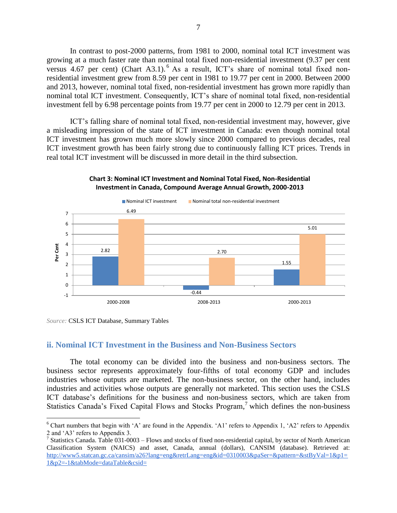In contrast to post-2000 patterns, from 1981 to 2000, nominal total ICT investment was growing at a much faster rate than nominal total fixed non-residential investment (9.37 per cent versus 4.67 per cent) (Chart A3.1). <sup>6</sup> As a result, ICT's share of nominal total fixed nonresidential investment grew from 8.59 per cent in 1981 to 19.77 per cent in 2000. Between 2000 and 2013, however, nominal total fixed, non-residential investment has grown more rapidly than nominal total ICT investment. Consequently, ICT's share of nominal total fixed, non-residential investment fell by 6.98 percentage points from 19.77 per cent in 2000 to 12.79 per cent in 2013.

ICT's falling share of nominal total fixed, non-residential investment may, however, give a misleading impression of the state of ICT investment in Canada: even though nominal total ICT investment has grown much more slowly since 2000 compared to previous decades, real ICT investment growth has been fairly strong due to continuously falling ICT prices. Trends in real total ICT investment will be discussed in more detail in the third subsection.



#### **Chart 3: Nominal ICT Investment and Nominal Total Fixed, Non-Residential Investment in Canada, Compound Average Annual Growth, 2000-2013**

 $\overline{a}$ 

#### <span id="page-16-0"></span>**ii. Nominal ICT Investment in the Business and Non-Business Sectors**

The total economy can be divided into the business and non-business sectors. The business sector represents approximately four-fifths of total economy GDP and includes industries whose outputs are marketed. The non-business sector, on the other hand, includes industries and activities whose outputs are generally not marketed. This section uses the CSLS ICT database's definitions for the business and non-business sectors, which are taken from Statistics Canada's Fixed Capital Flows and Stocks Program,<sup>7</sup> which defines the non-business

*Source:* CSLS ICT Database, Summary Tables

 $6$  Chart numbers that begin with 'A' are found in the Appendix. 'A1' refers to Appendix 1, 'A2' refers to Appendix 2 and 'A3' refers to Appendix 3.

<sup>&</sup>lt;sup>7</sup> Statistics Canada. Table 031-0003 – Flows and stocks of fixed non-residential capital, by sector of North American Classification System (NAICS) and asset, Canada, annual (dollars), CANSIM (database). Retrieved at: [http://www5.statcan.gc.ca/cansim/a26?lang=eng&retrLang=eng&id=0310003&paSer=&pattern=&stByVal=1&p1=](http://www5.statcan.gc.ca/cansim/a26?lang=eng&retrLang=eng&id=0310003&paSer=&pattern=&stByVal=1&p1=1&p2=-1&tabMode=dataTable&csid=) [1&p2=-1&tabMode=dataTable&csid=](http://www5.statcan.gc.ca/cansim/a26?lang=eng&retrLang=eng&id=0310003&paSer=&pattern=&stByVal=1&p1=1&p2=-1&tabMode=dataTable&csid=)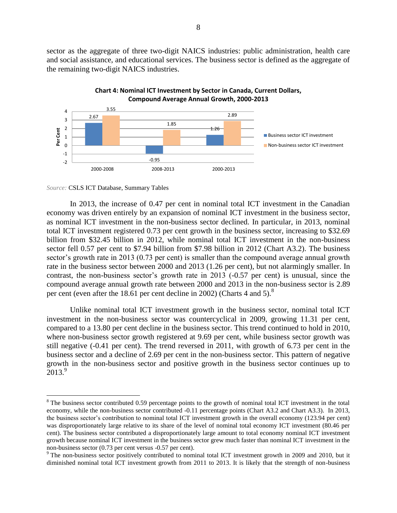sector as the aggregate of three two-digit NAICS industries: public administration, health care and social assistance, and educational services. The business sector is defined as the aggregate of the remaining two-digit NAICS industries.





*Source:* CSLS ICT Database, Summary Tables

 $\overline{a}$ 

In 2013, the increase of 0.47 per cent in nominal total ICT investment in the Canadian economy was driven entirely by an expansion of nominal ICT investment in the business sector, as nominal ICT investment in the non-business sector declined. In particular, in 2013, nominal total ICT investment registered 0.73 per cent growth in the business sector, increasing to \$32.69 billion from \$32.45 billion in 2012, while nominal total ICT investment in the non-business sector fell 0.57 per cent to \$7.94 billion from \$7.98 billion in 2012 (Chart A3.2). The business sector's growth rate in 2013 (0.73 per cent) is smaller than the compound average annual growth rate in the business sector between 2000 and 2013 (1.26 per cent), but not alarmingly smaller. In contrast, the non-business sector's growth rate in 2013 (-0.57 per cent) is unusual, since the compound average annual growth rate between 2000 and 2013 in the non-business sector is 2.89 per cent (even after the 18.61 per cent decline in 2002) (Charts 4 and 5).<sup>8</sup>

Unlike nominal total ICT investment growth in the business sector, nominal total ICT investment in the non-business sector was countercyclical in 2009, growing 11.31 per cent, compared to a 13.80 per cent decline in the business sector. This trend continued to hold in 2010, where non-business sector growth registered at 9.69 per cent, while business sector growth was still negative (-0.41 per cent). The trend reversed in 2011, with growth of 6.73 per cent in the business sector and a decline of 2.69 per cent in the non-business sector. This pattern of negative growth in the non-business sector and positive growth in the business sector continues up to  $2013.<sup>9</sup>$ 

<sup>&</sup>lt;sup>8</sup> The business sector contributed 0.59 percentage points to the growth of nominal total ICT investment in the total economy, while the non-business sector contributed -0.11 percentage points (Chart A3.2 and Chart A3.3). In 2013, the business sector's contribution to nominal total ICT investment growth in the overall economy (123.94 per cent) was disproportionately large relative to its share of the level of nominal total economy ICT investment (80.46 per cent). The business sector contributed a disproportionately large amount to total economy nominal ICT investment growth because nominal ICT investment in the business sector grew much faster than nominal ICT investment in the non-business sector (0.73 per cent versus -0.57 per cent).

<sup>&</sup>lt;sup>9</sup> The non-business sector positively contributed to nominal total ICT investment growth in 2009 and 2010, but it diminished nominal total ICT investment growth from 2011 to 2013. It is likely that the strength of non-business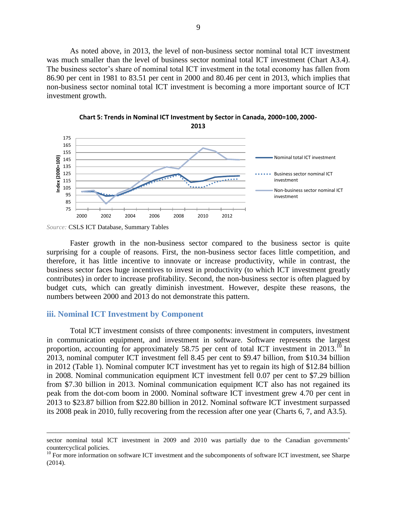As noted above, in 2013, the level of non-business sector nominal total ICT investment was much smaller than the level of business sector nominal total ICT investment (Chart A3.4). The business sector's share of nominal total ICT investment in the total economy has fallen from 86.90 per cent in 1981 to 83.51 per cent in 2000 and 80.46 per cent in 2013, which implies that non-business sector nominal total ICT investment is becoming a more important source of ICT investment growth.



**Chart 5: Trends in Nominal ICT Investment by Sector in Canada, 2000=100, 2000- 2013**

 $\overline{a}$ 

Faster growth in the non-business sector compared to the business sector is quite surprising for a couple of reasons. First, the non-business sector faces little competition, and therefore, it has little incentive to innovate or increase productivity, while in contrast, the business sector faces huge incentives to invest in productivity (to which ICT investment greatly contributes) in order to increase profitability. Second, the non-business sector is often plagued by budget cuts, which can greatly diminish investment. However, despite these reasons, the numbers between 2000 and 2013 do not demonstrate this pattern.

#### <span id="page-18-0"></span>**iii. Nominal ICT Investment by Component**

Total ICT investment consists of three components: investment in computers, investment in communication equipment, and investment in software. Software represents the largest proportion, accounting for approximately 58.75 per cent of total ICT investment in 2013.<sup>10</sup> In 2013, nominal computer ICT investment fell 8.45 per cent to \$9.47 billion, from \$10.34 billion in 2012 (Table 1). Nominal computer ICT investment has yet to regain its high of \$12.84 billion in 2008. Nominal communication equipment ICT investment fell 0.07 per cent to \$7.29 billion from \$7.30 billion in 2013. Nominal communication equipment ICT also has not regained its peak from the dot-com boom in 2000. Nominal software ICT investment grew 4.70 per cent in 2013 to \$23.87 billion from \$22.80 billion in 2012. Nominal software ICT investment surpassed its 2008 peak in 2010, fully recovering from the recession after one year (Charts 6, 7, and A3.5).

*Source:* CSLS ICT Database, Summary Tables

sector nominal total ICT investment in 2009 and 2010 was partially due to the Canadian governments' countercyclical policies.

<sup>&</sup>lt;sup>10</sup> For more information on software ICT investment and the subcomponents of software ICT investment, see Sharpe (2014).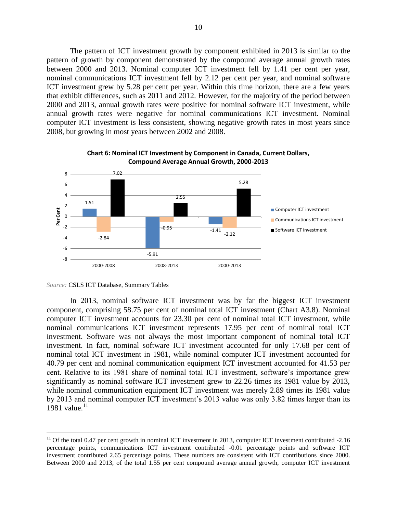The pattern of ICT investment growth by component exhibited in 2013 is similar to the pattern of growth by component demonstrated by the compound average annual growth rates between 2000 and 2013. Nominal computer ICT investment fell by 1.41 per cent per year, nominal communications ICT investment fell by 2.12 per cent per year, and nominal software ICT investment grew by 5.28 per cent per year. Within this time horizon, there are a few years that exhibit differences, such as 2011 and 2012. However, for the majority of the period between 2000 and 2013, annual growth rates were positive for nominal software ICT investment, while annual growth rates were negative for nominal communications ICT investment. Nominal computer ICT investment is less consistent, showing negative growth rates in most years since 2008, but growing in most years between 2002 and 2008.



#### **Chart 6: Nominal ICT Investment by Component in Canada, Current Dollars, Compound Average Annual Growth, 2000-2013**

 $\overline{a}$ 

In 2013, nominal software ICT investment was by far the biggest ICT investment component, comprising 58.75 per cent of nominal total ICT investment (Chart A3.8). Nominal computer ICT investment accounts for 23.30 per cent of nominal total ICT investment, while nominal communications ICT investment represents 17.95 per cent of nominal total ICT investment. Software was not always the most important component of nominal total ICT investment. In fact, nominal software ICT investment accounted for only 17.68 per cent of nominal total ICT investment in 1981, while nominal computer ICT investment accounted for 40.79 per cent and nominal communication equipment ICT investment accounted for 41.53 per cent. Relative to its 1981 share of nominal total ICT investment, software's importance grew significantly as nominal software ICT investment grew to 22.26 times its 1981 value by 2013, while nominal communication equipment ICT investment was merely 2.89 times its 1981 value by 2013 and nominal computer ICT investment's 2013 value was only 3.82 times larger than its 1981 value.<sup>11</sup>

*Source:* CSLS ICT Database, Summary Tables

 $11$  Of the total 0.47 per cent growth in nominal ICT investment in 2013, computer ICT investment contributed  $-2.16$ percentage points, communications ICT investment contributed -0.01 percentage points and software ICT investment contributed 2.65 percentage points. These numbers are consistent with ICT contributions since 2000. Between 2000 and 2013, of the total 1.55 per cent compound average annual growth, computer ICT investment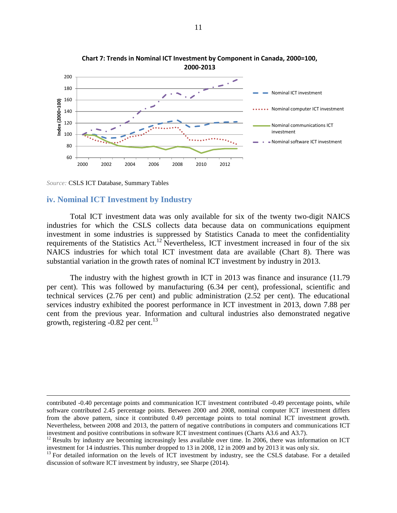

**Chart 7: Trends in Nominal ICT Investment by Component in Canada, 2000=100, 2000-2013**

<span id="page-20-0"></span>*Source:* CSLS ICT Database, Summary Tables

 $\overline{a}$ 

#### **iv. Nominal ICT Investment by Industry**

Total ICT investment data was only available for six of the twenty two-digit NAICS industries for which the CSLS collects data because data on communications equipment investment in some industries is suppressed by Statistics Canada to meet the confidentiality requirements of the Statistics Act.<sup>12</sup> Nevertheless, ICT investment increased in four of the six NAICS industries for which total ICT investment data are available (Chart 8). There was substantial variation in the growth rates of nominal ICT investment by industry in 2013.

The industry with the highest growth in ICT in 2013 was finance and insurance (11.79 per cent). This was followed by manufacturing (6.34 per cent), professional, scientific and technical services (2.76 per cent) and public administration (2.52 per cent). The educational services industry exhibited the poorest performance in ICT investment in 2013, down 7.88 per cent from the previous year. Information and cultural industries also demonstrated negative growth, registering -0.82 per cent. 13

contributed -0.40 percentage points and communication ICT investment contributed -0.49 percentage points, while software contributed 2.45 percentage points. Between 2000 and 2008, nominal computer ICT investment differs from the above pattern, since it contributed 0.49 percentage points to total nominal ICT investment growth. Nevertheless, between 2008 and 2013, the pattern of negative contributions in computers and communications ICT investment and positive contributions in software ICT investment continues (Charts A3.6 and A3.7).

 $12$  Results by industry are becoming increasingly less available over time. In 2006, there was information on ICT investment for 14 industries. This number dropped to 13 in 2008, 12 in 2009 and by 2013 it was only six.

<sup>&</sup>lt;sup>13</sup> For detailed information on the levels of ICT investment by industry, see the CSLS database. For a detailed discussion of software ICT investment by industry, see Sharpe (2014).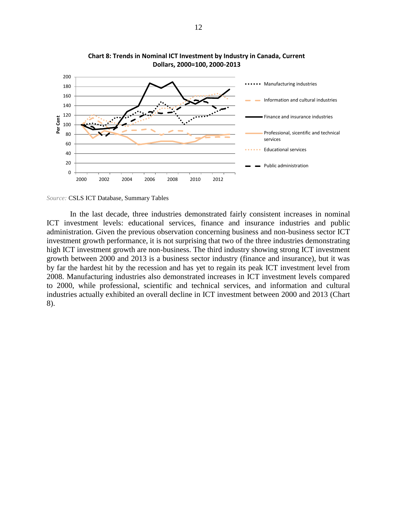

**Chart 8: Trends in Nominal ICT Investment by Industry in Canada, Current Dollars, 2000=100, 2000-2013**

In the last decade, three industries demonstrated fairly consistent increases in nominal ICT investment levels: educational services, finance and insurance industries and public administration. Given the previous observation concerning business and non-business sector ICT investment growth performance, it is not surprising that two of the three industries demonstrating high ICT investment growth are non-business. The third industry showing strong ICT investment growth between 2000 and 2013 is a business sector industry (finance and insurance), but it was by far the hardest hit by the recession and has yet to regain its peak ICT investment level from 2008. Manufacturing industries also demonstrated increases in ICT investment levels compared to 2000, while professional, scientific and technical services, and information and cultural industries actually exhibited an overall decline in ICT investment between 2000 and 2013 (Chart 8).

*Source:* CSLS ICT Database, Summary Tables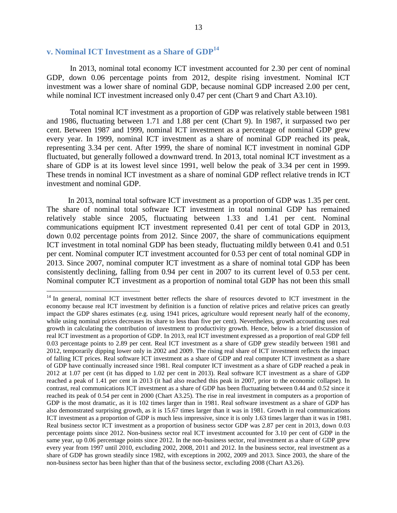### <span id="page-22-0"></span>**v. Nominal ICT Investment as a Share of GDP<sup>14</sup>**

 $\overline{a}$ 

In 2013, nominal total economy ICT investment accounted for 2.30 per cent of nominal GDP, down 0.06 percentage points from 2012, despite rising investment. Nominal ICT investment was a lower share of nominal GDP, because nominal GDP increased 2.00 per cent, while nominal ICT investment increased only 0.47 per cent (Chart 9 and Chart A3.10).

Total nominal ICT investment as a proportion of GDP was relatively stable between 1981 and 1986, fluctuating between 1.71 and 1.88 per cent (Chart 9). In 1987, it surpassed two per cent. Between 1987 and 1999, nominal ICT investment as a percentage of nominal GDP grew every year. In 1999, nominal ICT investment as a share of nominal GDP reached its peak, representing 3.34 per cent. After 1999, the share of nominal ICT investment in nominal GDP fluctuated, but generally followed a downward trend. In 2013, total nominal ICT investment as a share of GDP is at its lowest level since 1991, well below the peak of 3.34 per cent in 1999. These trends in nominal ICT investment as a share of nominal GDP reflect relative trends in ICT investment and nominal GDP.

In 2013, nominal total software ICT investment as a proportion of GDP was 1.35 per cent. The share of nominal total software ICT investment in total nominal GDP has remained relatively stable since 2005, fluctuating between 1.33 and 1.41 per cent. Nominal communications equipment ICT investment represented 0.41 per cent of total GDP in 2013, down 0.02 percentage points from 2012. Since 2007, the share of communications equipment ICT investment in total nominal GDP has been steady, fluctuating mildly between 0.41 and 0.51 per cent. Nominal computer ICT investment accounted for 0.53 per cent of total nominal GDP in 2013. Since 2007, nominal computer ICT investment as a share of nominal total GDP has been consistently declining, falling from 0.94 per cent in 2007 to its current level of 0.53 per cent. Nominal computer ICT investment as a proportion of nominal total GDP has not been this small

<sup>&</sup>lt;sup>14</sup> In general, nominal ICT investment better reflects the share of resources devoted to ICT investment in the economy because real ICT investment by definition is a function of relative prices and relative prices can greatly impact the GDP shares estimates (e.g. using 1941 prices, agriculture would represent nearly half of the economy, while using nominal prices decreases its share to less than five per cent). Nevertheless, growth accounting uses real growth in calculating the contribution of investment to productivity growth. Hence, below is a brief discussion of real ICT investment as a proportion of GDP. In 2013, real ICT investment expressed as a proportion of real GDP fell 0.03 percentage points to 2.89 per cent. Real ICT investment as a share of GDP grew steadily between 1981 and 2012, temporarily dipping lower only in 2002 and 2009. The rising real share of ICT investment reflects the impact of falling ICT prices. Real software ICT investment as a share of GDP and real computer ICT investment as a share of GDP have continually increased since 1981. Real computer ICT investment as a share of GDP reached a peak in 2012 at 1.07 per cent (it has dipped to 1.02 per cent in 2013). Real software ICT investment as a share of GDP reached a peak of 1.41 per cent in 2013 (it had also reached this peak in 2007, prior to the economic collapse). In contrast, real communications ICT investment as a share of GDP has been fluctuating between 0.44 and 0.52 since it reached its peak of 0.54 per cent in 2000 (Chart A3.25). The rise in real investment in computers as a proportion of GDP is the most dramatic, as it is 102 times larger than in 1981. Real software investment as a share of GDP has also demonstrated surprising growth, as it is 15.67 times larger than it was in 1981. Growth in real communications ICT investment as a proportion of GDP is much less impressive, since it is only 1.63 times larger than it was in 1981. Real business sector ICT investment as a proportion of business sector GDP was 2.87 per cent in 2013, down 0.03 percentage points since 2012. Non-business sector real ICT investment accounted for 3.10 per cent of GDP in the same year, up 0.06 percentage points since 2012. In the non-business sector, real investment as a share of GDP grew every year from 1997 until 2010, excluding 2002, 2008, 2011 and 2012. In the business sector, real investment as a share of GDP has grown steadily since 1982, with exceptions in 2002, 2009 and 2013. Since 2003, the share of the non-business sector has been higher than that of the business sector, excluding 2008 (Chart A3.26).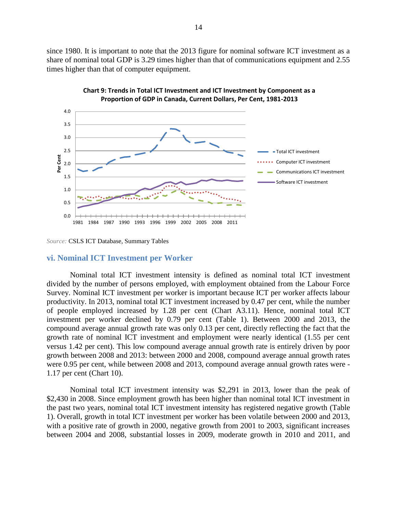since 1980. It is important to note that the 2013 figure for nominal software ICT investment as a share of nominal total GDP is 3.29 times higher than that of communications equipment and 2.55 times higher than that of computer equipment.





<span id="page-23-0"></span>*Source:* CSLS ICT Database, Summary Tables

#### **vi. Nominal ICT Investment per Worker**

Nominal total ICT investment intensity is defined as nominal total ICT investment divided by the number of persons employed, with employment obtained from the Labour Force Survey. Nominal ICT investment per worker is important because ICT per worker affects labour productivity. In 2013, nominal total ICT investment increased by 0.47 per cent, while the number of people employed increased by 1.28 per cent (Chart A3.11). Hence, nominal total ICT investment per worker declined by 0.79 per cent (Table 1). Between 2000 and 2013, the compound average annual growth rate was only 0.13 per cent, directly reflecting the fact that the growth rate of nominal ICT investment and employment were nearly identical (1.55 per cent versus 1.42 per cent). This low compound average annual growth rate is entirely driven by poor growth between 2008 and 2013: between 2000 and 2008, compound average annual growth rates were 0.95 per cent, while between 2008 and 2013, compound average annual growth rates were - 1.17 per cent (Chart 10).

Nominal total ICT investment intensity was \$2,291 in 2013, lower than the peak of \$2,430 in 2008. Since employment growth has been higher than nominal total ICT investment in the past two years, nominal total ICT investment intensity has registered negative growth (Table 1). Overall, growth in total ICT investment per worker has been volatile between 2000 and 2013, with a positive rate of growth in 2000, negative growth from 2001 to 2003, significant increases between 2004 and 2008, substantial losses in 2009, moderate growth in 2010 and 2011, and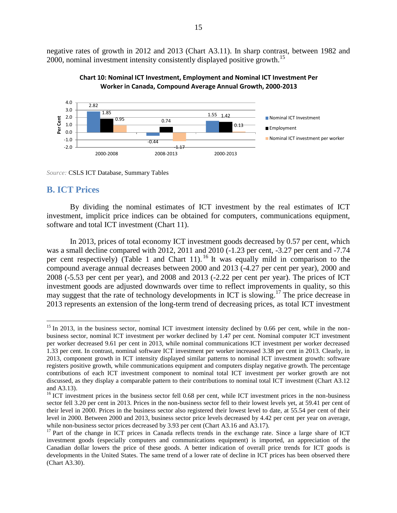negative rates of growth in 2012 and 2013 (Chart A3.11). In sharp contrast, between 1982 and 2000, nominal investment intensity consistently displayed positive growth.<sup>15</sup>





<span id="page-24-0"></span>*Source:* CSLS ICT Database, Summary Tables

### **B. ICT Prices**

 $\overline{a}$ 

By dividing the nominal estimates of ICT investment by the real estimates of ICT investment, implicit price indices can be obtained for computers, communications equipment, software and total ICT investment (Chart 11).

In 2013, prices of total economy ICT investment goods decreased by 0.57 per cent, which was a small decline compared with 2012, 2011 and 2010 (-1.23 per cent, -3.27 per cent and -7.74 per cent respectively) (Table 1 and Chart 11). <sup>16</sup> It was equally mild in comparison to the compound average annual decreases between 2000 and 2013 (-4.27 per cent per year), 2000 and 2008 (-5.53 per cent per year), and 2008 and 2013 (-2.22 per cent per year). The prices of ICT investment goods are adjusted downwards over time to reflect improvements in quality, so this may suggest that the rate of technology developments in ICT is slowing.<sup>17</sup> The price decrease in 2013 represents an extension of the long-term trend of decreasing prices, as total ICT investment

 $15$  In 2013, in the business sector, nominal ICT investment intensity declined by 0.66 per cent, while in the nonbusiness sector, nominal ICT investment per worker declined by 1.47 per cent. Nominal computer ICT investment per worker decreased 9.61 per cent in 2013, while nominal communications ICT investment per worker decreased 1.33 per cent. In contrast, nominal software ICT investment per worker increased 3.38 per cent in 2013. Clearly, in 2013, component growth in ICT intensity displayed similar patterns to nominal ICT investment growth: software registers positive growth, while communications equipment and computers display negative growth. The percentage contributions of each ICT investment component to nominal total ICT investment per worker growth are not discussed, as they display a comparable pattern to their contributions to nominal total ICT investment (Chart A3.12 and A3.13).

 $16$  ICT investment prices in the business sector fell 0.68 per cent, while ICT investment prices in the non-business sector fell 3.20 per cent in 2013. Prices in the non-business sector fell to their lowest levels yet, at 59.41 per cent of their level in 2000. Prices in the business sector also registered their lowest level to date, at 55.54 per cent of their level in 2000. Between 2000 and 2013, business sector price levels decreased by 4.42 per cent per year on average, while non-business sector prices decreased by 3.93 per cent (Chart A3.16 and A3.17).

<sup>&</sup>lt;sup>17</sup> Part of the change in ICT prices in Canada reflects trends in the exchange rate. Since a large share of ICT investment goods (especially computers and communications equipment) is imported, an appreciation of the Canadian dollar lowers the price of these goods. A better indication of overall price trends for ICT goods is developments in the United States. The same trend of a lower rate of decline in ICT prices has been observed there (Chart A3.30).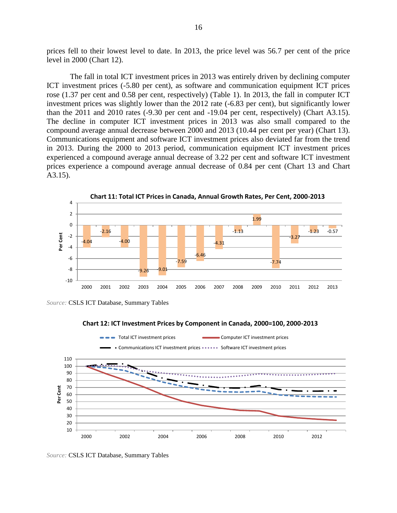prices fell to their lowest level to date. In 2013, the price level was 56.7 per cent of the price level in 2000 (Chart 12).

The fall in total ICT investment prices in 2013 was entirely driven by declining computer ICT investment prices (-5.80 per cent), as software and communication equipment ICT prices rose (1.37 per cent and 0.58 per cent, respectively) (Table 1). In 2013, the fall in computer ICT investment prices was slightly lower than the 2012 rate (-6.83 per cent), but significantly lower than the 2011 and 2010 rates (-9.30 per cent and -19.04 per cent, respectively) (Chart A3.15). The decline in computer ICT investment prices in 2013 was also small compared to the compound average annual decrease between 2000 and 2013 (10.44 per cent per year) (Chart 13). Communications equipment and software ICT investment prices also deviated far from the trend in 2013. During the 2000 to 2013 period, communication equipment ICT investment prices experienced a compound average annual decrease of 3.22 per cent and software ICT investment prices experience a compound average annual decrease of 0.84 per cent (Chart 13 and Chart A3.15).



*Source:* CSLS ICT Database, Summary Tables





*Source:* CSLS ICT Database, Summary Tables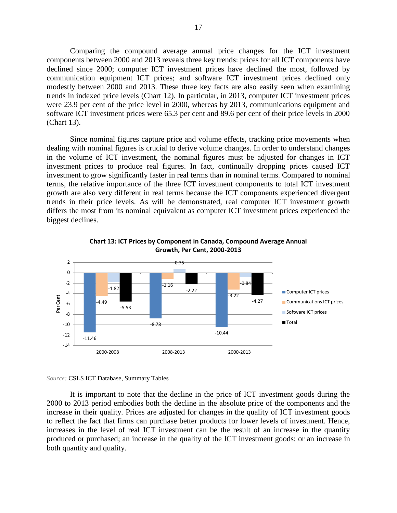Comparing the compound average annual price changes for the ICT investment components between 2000 and 2013 reveals three key trends: prices for all ICT components have declined since 2000; computer ICT investment prices have declined the most, followed by communication equipment ICT prices; and software ICT investment prices declined only modestly between 2000 and 2013. These three key facts are also easily seen when examining trends in indexed price levels (Chart 12). In particular, in 2013, computer ICT investment prices were 23.9 per cent of the price level in 2000, whereas by 2013, communications equipment and software ICT investment prices were 65.3 per cent and 89.6 per cent of their price levels in 2000 (Chart 13).

Since nominal figures capture price and volume effects, tracking price movements when dealing with nominal figures is crucial to derive volume changes. In order to understand changes in the volume of ICT investment, the nominal figures must be adjusted for changes in ICT investment prices to produce real figures. In fact, continually dropping prices caused ICT investment to grow significantly faster in real terms than in nominal terms. Compared to nominal terms, the relative importance of the three ICT investment components to total ICT investment growth are also very different in real terms because the ICT components experienced divergent trends in their price levels. As will be demonstrated, real computer ICT investment growth differs the most from its nominal equivalent as computer ICT investment prices experienced the biggest declines.





*Source:* CSLS ICT Database, Summary Tables

It is important to note that the decline in the price of ICT investment goods during the 2000 to 2013 period embodies both the decline in the absolute price of the components and the increase in their quality. Prices are adjusted for changes in the quality of ICT investment goods to reflect the fact that firms can purchase better products for lower levels of investment. Hence, increases in the level of real ICT investment can be the result of an increase in the quantity produced or purchased; an increase in the quality of the ICT investment goods; or an increase in both quantity and quality.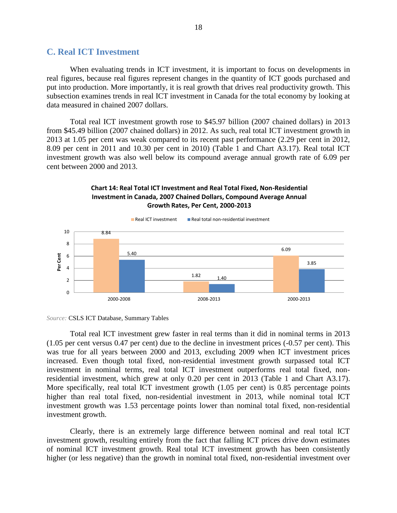### <span id="page-27-0"></span>**C. Real ICT Investment**

When evaluating trends in ICT investment, it is important to focus on developments in real figures, because real figures represent changes in the quantity of ICT goods purchased and put into production. More importantly, it is real growth that drives real productivity growth. This subsection examines trends in real ICT investment in Canada for the total economy by looking at data measured in chained 2007 dollars.

Total real ICT investment growth rose to \$45.97 billion (2007 chained dollars) in 2013 from \$45.49 billion (2007 chained dollars) in 2012. As such, real total ICT investment growth in 2013 at 1.05 per cent was weak compared to its recent past performance (2.29 per cent in 2012, 8.09 per cent in 2011 and 10.30 per cent in 2010) (Table 1 and Chart A3.17). Real total ICT investment growth was also well below its compound average annual growth rate of 6.09 per cent between 2000 and 2013.

#### **Chart 14: Real Total ICT Investment and Real Total Fixed, Non-Residential Investment in Canada, 2007 Chained Dollars, Compound Average Annual Growth Rates, Per Cent, 2000-2013**





Total real ICT investment grew faster in real terms than it did in nominal terms in 2013 (1.05 per cent versus 0.47 per cent) due to the decline in investment prices (-0.57 per cent). This was true for all years between 2000 and 2013, excluding 2009 when ICT investment prices increased. Even though total fixed, non-residential investment growth surpassed total ICT investment in nominal terms, real total ICT investment outperforms real total fixed, nonresidential investment, which grew at only 0.20 per cent in 2013 (Table 1 and Chart A3.17). More specifically, real total ICT investment growth (1.05 per cent) is 0.85 percentage points higher than real total fixed, non-residential investment in 2013, while nominal total ICT investment growth was 1.53 percentage points lower than nominal total fixed, non-residential investment growth.

Clearly, there is an extremely large difference between nominal and real total ICT investment growth, resulting entirely from the fact that falling ICT prices drive down estimates of nominal ICT investment growth. Real total ICT investment growth has been consistently higher (or less negative) than the growth in nominal total fixed, non-residential investment over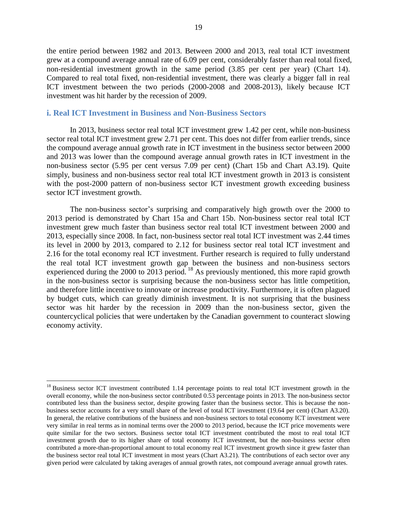the entire period between 1982 and 2013. Between 2000 and 2013, real total ICT investment grew at a compound average annual rate of 6.09 per cent, considerably faster than real total fixed, non-residential investment growth in the same period (3.85 per cent per year) (Chart 14). Compared to real total fixed, non-residential investment, there was clearly a bigger fall in real ICT investment between the two periods (2000-2008 and 2008-2013), likely because ICT investment was hit harder by the recession of 2009.

#### <span id="page-28-0"></span>**i. Real ICT Investment in Business and Non-Business Sectors**

In 2013, business sector real total ICT investment grew 1.42 per cent, while non-business sector real total ICT investment grew 2.71 per cent. This does not differ from earlier trends, since the compound average annual growth rate in ICT investment in the business sector between 2000 and 2013 was lower than the compound average annual growth rates in ICT investment in the non-business sector (5.95 per cent versus 7.09 per cent) (Chart 15b and Chart A3.19). Quite simply, business and non-business sector real total ICT investment growth in 2013 is consistent with the post-2000 pattern of non-business sector ICT investment growth exceeding business sector ICT investment growth.

The non-business sector's surprising and comparatively high growth over the 2000 to 2013 period is demonstrated by Chart 15a and Chart 15b. Non-business sector real total ICT investment grew much faster than business sector real total ICT investment between 2000 and 2013, especially since 2008. In fact, non-business sector real total ICT investment was 2.44 times its level in 2000 by 2013, compared to 2.12 for business sector real total ICT investment and 2.16 for the total economy real ICT investment. Further research is required to fully understand the real total ICT investment growth gap between the business and non-business sectors experienced during the 2000 to 2013 period.  $^{18}$  As previously mentioned, this more rapid growth in the non-business sector is surprising because the non-business sector has little competition, and therefore little incentive to innovate or increase productivity. Furthermore, it is often plagued by budget cuts, which can greatly diminish investment. It is not surprising that the business sector was hit harder by the recession in 2009 than the non-business sector, given the countercyclical policies that were undertaken by the Canadian government to counteract slowing economy activity.

 $\overline{a}$ 

<sup>&</sup>lt;sup>18</sup> Business sector ICT investment contributed 1.14 percentage points to real total ICT investment growth in the overall economy, while the non-business sector contributed 0.53 percentage points in 2013. The non-business sector contributed less than the business sector, despite growing faster than the business sector. This is because the nonbusiness sector accounts for a very small share of the level of total ICT investment (19.64 per cent) (Chart A3.20). In general, the relative contributions of the business and non-business sectors to total economy ICT investment were very similar in real terms as in nominal terms over the 2000 to 2013 period, because the ICT price movements were quite similar for the two sectors. Business sector total ICT investment contributed the most to real total ICT investment growth due to its higher share of total economy ICT investment, but the non-business sector often contributed a more-than-proportional amount to total economy real ICT investment growth since it grew faster than the business sector real total ICT investment in most years (Chart A3.21). The contributions of each sector over any given period were calculated by taking averages of annual growth rates, not compound average annual growth rates.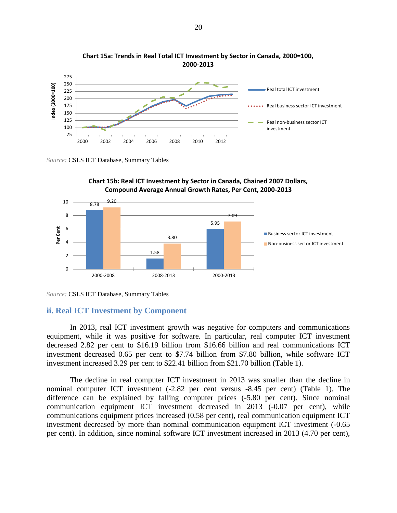



*Source:* CSLS ICT Database, Summary Tables





#### <span id="page-29-0"></span>**ii. Real ICT Investment by Component**

In 2013, real ICT investment growth was negative for computers and communications equipment, while it was positive for software. In particular, real computer ICT investment decreased 2.82 per cent to \$16.19 billion from \$16.66 billion and real communications ICT investment decreased 0.65 per cent to \$7.74 billion from \$7.80 billion, while software ICT investment increased 3.29 per cent to \$22.41 billion from \$21.70 billion (Table 1).

The decline in real computer ICT investment in 2013 was smaller than the decline in nominal computer ICT investment (-2.82 per cent versus -8.45 per cent) (Table 1). The difference can be explained by falling computer prices (-5.80 per cent). Since nominal communication equipment ICT investment decreased in 2013 (-0.07 per cent), while communications equipment prices increased (0.58 per cent), real communication equipment ICT investment decreased by more than nominal communication equipment ICT investment (-0.65 per cent). In addition, since nominal software ICT investment increased in 2013 (4.70 per cent),

*Source:* CSLS ICT Database, Summary Tables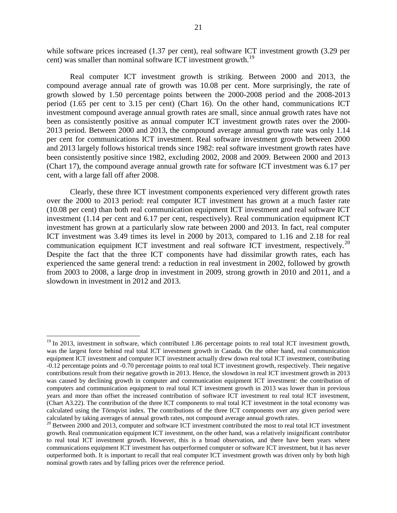while software prices increased (1.37 per cent), real software ICT investment growth (3.29 per cent) was smaller than nominal software ICT investment growth.<sup>19</sup>

Real computer ICT investment growth is striking. Between 2000 and 2013, the compound average annual rate of growth was 10.08 per cent. More surprisingly, the rate of growth slowed by 1.50 percentage points between the 2000-2008 period and the 2008-2013 period (1.65 per cent to 3.15 per cent) (Chart 16). On the other hand, communications ICT investment compound average annual growth rates are small, since annual growth rates have not been as consistently positive as annual computer ICT investment growth rates over the 2000- 2013 period. Between 2000 and 2013, the compound average annual growth rate was only 1.14 per cent for communications ICT investment. Real software investment growth between 2000 and 2013 largely follows historical trends since 1982: real software investment growth rates have been consistently positive since 1982, excluding 2002, 2008 and 2009. Between 2000 and 2013 (Chart 17), the compound average annual growth rate for software ICT investment was 6.17 per cent, with a large fall off after 2008.

Clearly, these three ICT investment components experienced very different growth rates over the 2000 to 2013 period: real computer ICT investment has grown at a much faster rate (10.08 per cent) than both real communication equipment ICT investment and real software ICT investment (1.14 per cent and 6.17 per cent, respectively). Real communication equipment ICT investment has grown at a particularly slow rate between 2000 and 2013. In fact, real computer ICT investment was 3.49 times its level in 2000 by 2013, compared to 1.16 and 2.18 for real communication equipment ICT investment and real software ICT investment, respectively.<sup>20</sup> Despite the fact that the three ICT components have had dissimilar growth rates, each has experienced the same general trend: a reduction in real investment in 2002, followed by growth from 2003 to 2008, a large drop in investment in 2009, strong growth in 2010 and 2011, and a slowdown in investment in 2012 and 2013.

 $\overline{a}$ 

<sup>&</sup>lt;sup>19</sup> In 2013, investment in software, which contributed 1.86 percentage points to real total ICT investment growth, was the largest force behind real total ICT investment growth in Canada. On the other hand, real communication equipment ICT investment and computer ICT investment actually drew down real total ICT investment, contributing -0.12 percentage points and -0.70 percentage points to real total ICT investment growth, respectively. Their negative contributions result from their negative growth in 2013. Hence, the slowdown in real ICT investment growth in 2013 was caused by declining growth in computer and communication equipment ICT investment: the contribution of computers and communication equipment to real total ICT investment growth in 2013 was lower than in previous years and more than offset the increased contribution of software ICT investment to real total ICT investment, (Chart A3.22). The contribution of the three ICT components to real total ICT investment in the total economy was calculated using the Törnqvist index. The contributions of the three ICT components over any given period were calculated by taking averages of annual growth rates, not compound average annual growth rates.

<sup>&</sup>lt;sup>20</sup> Between 2000 and 2013, computer and software ICT investment contributed the most to real total ICT investment growth. Real communication equipment ICT investment, on the other hand, was a relatively insignificant contributor to real total ICT investment growth. However, this is a broad observation, and there have been years where communications equipment ICT investment has outperformed computer or software ICT investment, but it has never outperformed both. It is important to recall that real computer ICT investment growth was driven only by both high nominal growth rates and by falling prices over the reference period.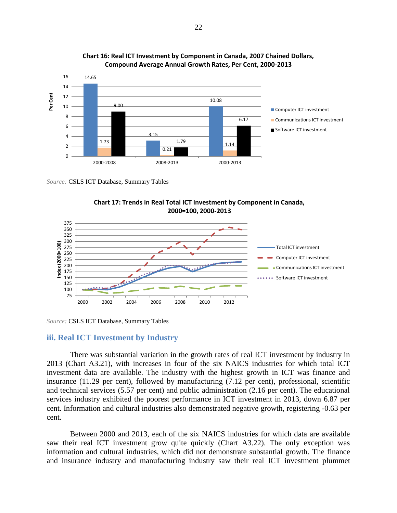



*Source:* CSLS ICT Database, Summary Tables





*Source:* CSLS ICT Database, Summary Tables

#### <span id="page-31-0"></span>**iii. Real ICT Investment by Industry**

There was substantial variation in the growth rates of real ICT investment by industry in 2013 (Chart A3.21), with increases in four of the six NAICS industries for which total ICT investment data are available. The industry with the highest growth in ICT was finance and insurance (11.29 per cent), followed by manufacturing (7.12 per cent), professional, scientific and technical services (5.57 per cent) and public administration (2.16 per cent). The educational services industry exhibited the poorest performance in ICT investment in 2013, down 6.87 per cent. Information and cultural industries also demonstrated negative growth, registering -0.63 per cent.

Between 2000 and 2013, each of the six NAICS industries for which data are available saw their real ICT investment grow quite quickly (Chart A3.22). The only exception was information and cultural industries, which did not demonstrate substantial growth. The finance and insurance industry and manufacturing industry saw their real ICT investment plummet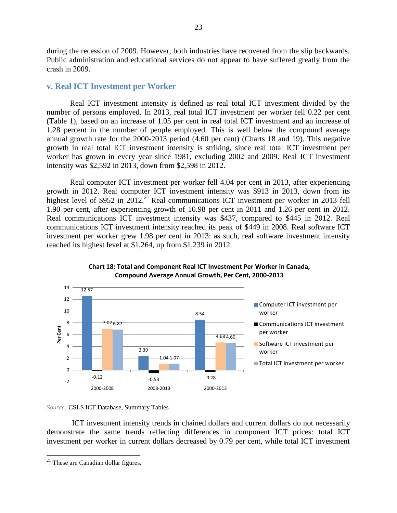during the recession of 2009. However, both industries have recovered from the slip backwards. Public administration and educational services do not appear to have suffered greatly from the crash in 2009.

#### <span id="page-32-0"></span>**v. Real ICT Investment per Worker**

Real ICT investment intensity is defined as real total ICT investment divided by the number of persons employed. In 2013, real total ICT investment per worker fell 0.22 per cent (Table 1), based on an increase of 1.05 per cent in real total ICT investment and an increase of 1.28 percent in the number of people employed. This is well below the compound average annual growth rate for the 2000-2013 period (4.60 per cent) (Charts 18 and 19). This negative growth in real total ICT investment intensity is striking, since real total ICT investment per worker has grown in every year since 1981, excluding 2002 and 2009. Real ICT investment intensity was \$2,592 in 2013, down from \$2,598 in 2012.

Real computer ICT investment per worker fell 4.04 per cent in 2013, after experiencing growth in 2012. Real computer ICT investment intensity was \$913 in 2013, down from its highest level of \$952 in 2012.<sup>21</sup> Real communications ICT investment per worker in 2013 fell 1.90 per cent, after experiencing growth of 10.98 per cent in 2011 and 1.26 per cent in 2012. Real communications ICT investment intensity was \$437, compared to \$445 in 2012. Real communications ICT investment intensity reached its peak of \$449 in 2008. Real software ICT investment per worker grew 1.98 per cent in 2013: as such, real software investment intensity reached its highest level at \$1,264, up from \$1,239 in 2012.





#### *Source:* CSLS ICT Database, Summary Tables

ICT investment intensity trends in chained dollars and current dollars do not necessarily demonstrate the same trends reflecting differences in component ICT prices: total ICT investment per worker in current dollars decreased by 0.79 per cent, while total ICT investment

 $\overline{a}$ 

 $21$  These are Canadian dollar figures.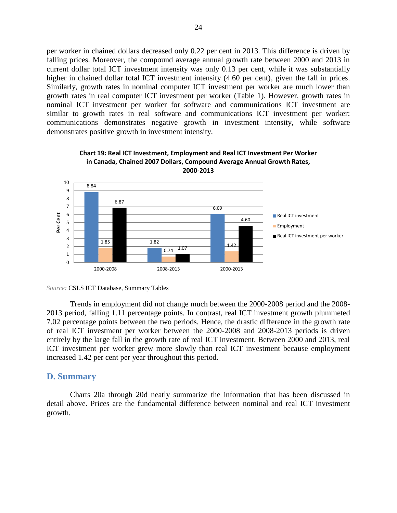per worker in chained dollars decreased only 0.22 per cent in 2013. This difference is driven by falling prices. Moreover, the compound average annual growth rate between 2000 and 2013 in current dollar total ICT investment intensity was only 0.13 per cent, while it was substantially higher in chained dollar total ICT investment intensity (4.60 per cent), given the fall in prices. Similarly, growth rates in nominal computer ICT investment per worker are much lower than growth rates in real computer ICT investment per worker (Table 1). However, growth rates in nominal ICT investment per worker for software and communications ICT investment are similar to growth rates in real software and communications ICT investment per worker: communications demonstrates negative growth in investment intensity, while software demonstrates positive growth in investment intensity.





Trends in employment did not change much between the 2000-2008 period and the 2008- 2013 period, falling 1.11 percentage points. In contrast, real ICT investment growth plummeted 7.02 percentage points between the two periods. Hence, the drastic difference in the growth rate of real ICT investment per worker between the 2000-2008 and 2008-2013 periods is driven entirely by the large fall in the growth rate of real ICT investment. Between 2000 and 2013, real ICT investment per worker grew more slowly than real ICT investment because employment increased 1.42 per cent per year throughout this period.

#### <span id="page-33-0"></span>**D. Summary**

Charts 20a through 20d neatly summarize the information that has been discussed in detail above. Prices are the fundamental difference between nominal and real ICT investment growth.

*Source:* CSLS ICT Database, Summary Tables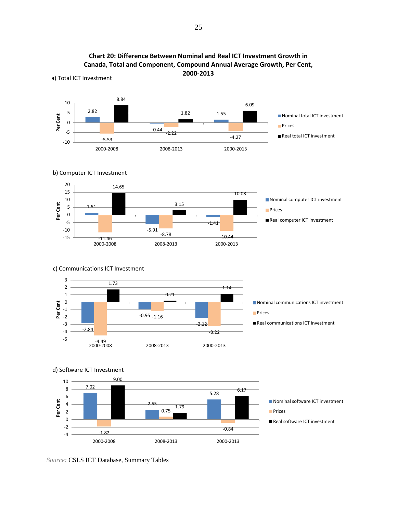

**Chart 20: Difference Between Nominal and Real ICT Investment Growth in Canada, Total and Component, Compound Annual Average Growth, Per Cent, 2000-2013**

*Source:* CSLS ICT Database, Summary Tables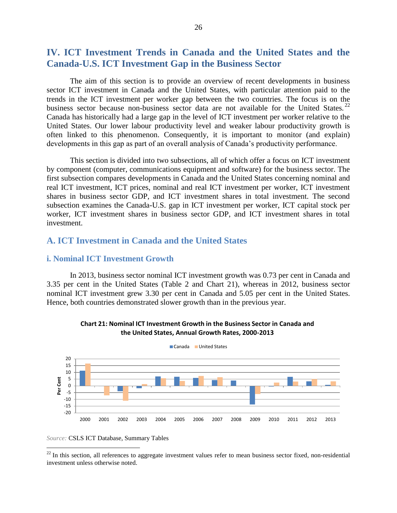## <span id="page-35-0"></span>**IV. ICT Investment Trends in Canada and the United States and the Canada-U.S. ICT Investment Gap in the Business Sector**

The aim of this section is to provide an overview of recent developments in business sector ICT investment in Canada and the United States, with particular attention paid to the trends in the ICT investment per worker gap between the two countries. The focus is on the business sector because non-business sector data are not available for the United States.  $^{22}$ Canada has historically had a large gap in the level of ICT investment per worker relative to the United States. Our lower labour productivity level and weaker labour productivity growth is often linked to this phenomenon. Consequently, it is important to monitor (and explain) developments in this gap as part of an overall analysis of Canada's productivity performance.

This section is divided into two subsections, all of which offer a focus on ICT investment by component (computer, communications equipment and software) for the business sector. The first subsection compares developments in Canada and the United States concerning nominal and real ICT investment, ICT prices, nominal and real ICT investment per worker, ICT investment shares in business sector GDP, and ICT investment shares in total investment. The second subsection examines the Canada-U.S. gap in ICT investment per worker, ICT capital stock per worker, ICT investment shares in business sector GDP, and ICT investment shares in total investment.

### <span id="page-35-2"></span><span id="page-35-1"></span>**A. ICT Investment in Canada and the United States**

#### **i. Nominal ICT Investment Growth**

In 2013, business sector nominal ICT investment growth was 0.73 per cent in Canada and 3.35 per cent in the United States (Table 2 and Chart 21), whereas in 2012, business sector nominal ICT investment grew 3.30 per cent in Canada and 5.05 per cent in the United States. Hence, both countries demonstrated slower growth than in the previous year.





*Source:* CSLS ICT Database, Summary Tables

 $\overline{a}$ 

 $^{22}$  In this section, all references to aggregate investment values refer to mean business sector fixed, non-residential investment unless otherwise noted.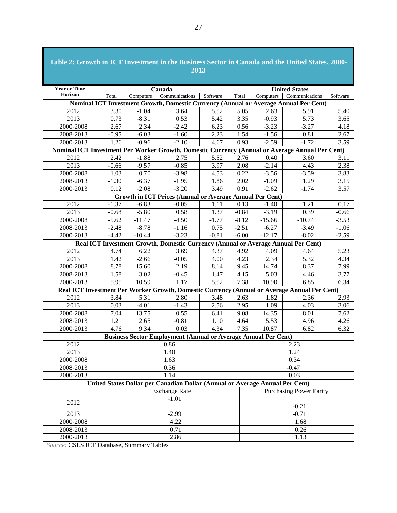| Table 2: Growth in ICT Investment in the Business Sector in Canada and the United States, 2000- |         |                                                                                   |                                                                              | 2013              |         |           |                                                                                              |          |  |
|-------------------------------------------------------------------------------------------------|---------|-----------------------------------------------------------------------------------|------------------------------------------------------------------------------|-------------------|---------|-----------|----------------------------------------------------------------------------------------------|----------|--|
| <b>Year or Time</b>                                                                             |         |                                                                                   | Canada                                                                       |                   |         |           | <b>United States</b>                                                                         |          |  |
| Horizon                                                                                         | Total   | Computers                                                                         | Communications                                                               | Software          | Total   | Computers | Communications                                                                               | Software |  |
|                                                                                                 |         |                                                                                   |                                                                              |                   |         |           | Nominal ICT Investment Growth, Domestic Currency (Annual or Average Annual Per Cent)         |          |  |
| 2012                                                                                            | 3.30    | $-1.04$                                                                           | 3.64                                                                         | 5.52              | 5.05    | 2.63      | 5.91                                                                                         | 5.40     |  |
| 2013                                                                                            | 0.73    | $-8.31$                                                                           | 0.53                                                                         | 5.42              | 3.35    | $-0.93$   | 5.73                                                                                         | 3.65     |  |
| 2000-2008                                                                                       | 2.67    | 2.34                                                                              | $-2.42$                                                                      | 6.23              | 0.56    | $-3.23$   | $-3.27$                                                                                      | 4.18     |  |
| 2008-2013                                                                                       | $-0.95$ | $-6.03$                                                                           | $-1.60$                                                                      | 2.23              | 1.54    | $-1.56$   | 0.81                                                                                         | 2.67     |  |
| 2000-2013                                                                                       | 1.26    | $-0.96$                                                                           | $-2.10$                                                                      | 4.67              | 0.93    | $-2.59$   | $-1.72$                                                                                      | 3.59     |  |
| Nominal ICT Investment Per Worker Growth, Domestic Currency (Annual or Average Annual Per Cent) |         |                                                                                   |                                                                              |                   |         |           |                                                                                              |          |  |
| 2012                                                                                            | 2.42    | $-1.88$                                                                           | 2.75                                                                         | 5.52              | 2.76    | 0.40      | 3.60                                                                                         | 3.11     |  |
| 2013                                                                                            | $-0.66$ | $-9.57$                                                                           | $-0.85$                                                                      | 3.97              | 2.08    | $-2.14$   | 4.43                                                                                         | 2.38     |  |
| 2000-2008                                                                                       | 1.03    | 0.70                                                                              | $-3.98$                                                                      | 4.53              | 0.22    | $-3.56$   | $-3.59$                                                                                      | 3.83     |  |
| 2008-2013                                                                                       | $-1.30$ | $-6.37$                                                                           | $-1.95$                                                                      | 1.86              | 2.02    | $-1.09$   | 1.29                                                                                         | 3.15     |  |
| 2000-2013                                                                                       | 0.12    | $-2.08$                                                                           | $-3.20$                                                                      | 3.49              | 0.91    | $-2.62$   | $-1.74$                                                                                      | 3.57     |  |
|                                                                                                 |         |                                                                                   | Growth in ICT Prices (Annual or Average Annual Per Cent)                     |                   |         |           |                                                                                              |          |  |
| 2012                                                                                            | $-1.37$ | $-6.83$                                                                           | $-0.05$                                                                      | 1.11              | 0.13    | $-1.40$   | 1.21                                                                                         | 0.17     |  |
| 2013                                                                                            | $-0.68$ | $-5.80$                                                                           | 0.58                                                                         | 1.37              | $-0.84$ | $-3.19$   | 0.39                                                                                         | $-0.66$  |  |
| 2000-2008                                                                                       | $-5.62$ | $-11.47$                                                                          | $-4.50$                                                                      | $-1.77$           | $-8.12$ | $-15.66$  | $-10.74$                                                                                     | $-3.53$  |  |
| 2008-2013                                                                                       | $-2.48$ | $-8.78$                                                                           | $-1.16$                                                                      | 0.75              | $-2.51$ | $-6.27$   | $-3.49$                                                                                      | $-1.06$  |  |
| 2000-2013                                                                                       | $-4.42$ | $-10.44$                                                                          | $-3.23$                                                                      | $-0.81$           | $-6.00$ | $-12.17$  | $-8.02$                                                                                      | $-2.59$  |  |
|                                                                                                 |         | Real ICT Investment Growth, Domestic Currency (Annual or Average Annual Per Cent) |                                                                              |                   |         |           |                                                                                              |          |  |
| 2012                                                                                            | 4.74    | 6.22                                                                              | 3.69                                                                         | 4.37              | 4.92    | 4.09      | 4.64                                                                                         | 5.23     |  |
| 2013                                                                                            | 1.42    | $-2.66$                                                                           | $-0.05$                                                                      | 4.00              | 4.23    | 2.34      | 5.32                                                                                         | 4.34     |  |
| 2000-2008                                                                                       | 8.78    | 15.60                                                                             | 2.19                                                                         | 8.14              | 9.45    | 14.74     | 8.37                                                                                         | 7.99     |  |
| 2008-2013                                                                                       | 1.58    | 3.02                                                                              | $-0.45$                                                                      | 1.47              | 4.15    | 5.03      | 4.46                                                                                         | 3.77     |  |
| 2000-2013                                                                                       | 5.95    | 10.59                                                                             | 1.17                                                                         | $\overline{5.52}$ | 7.38    | 10.90     | 6.85                                                                                         | 6.34     |  |
|                                                                                                 |         |                                                                                   |                                                                              |                   |         |           | Real ICT Investment Per Worker Growth, Domestic Currency (Annual or Average Annual Per Cent) |          |  |
| 2012                                                                                            | 3.84    | 5.31                                                                              | 2.80                                                                         | 3.48              | 2.63    | 1.82      | 2.36                                                                                         | 2.93     |  |
| 2013                                                                                            | 0.03    | $-4.01$                                                                           | $-1.43$                                                                      | 2.56              | 2.95    | 1.09      | 4.03                                                                                         | 3.06     |  |
| 2000-2008                                                                                       | 7.04    | 13.75                                                                             | 0.55                                                                         | 6.41              | 9.08    | 14.35     | 8.01                                                                                         | 7.62     |  |
| 2008-2013                                                                                       | 1.21    | 2.65                                                                              | $-0.81$                                                                      | 1.10              | 4.64    | 5.53      | 4.96                                                                                         | 4.26     |  |
| 2000-2013                                                                                       | 4.76    | 9.34                                                                              | 0.03                                                                         | 4.34              | 7.35    | 10.87     | 6.82                                                                                         | 6.32     |  |
|                                                                                                 |         |                                                                                   | <b>Business Sector Employment (Annual or Average Annual Per Cent)</b>        |                   |         |           |                                                                                              |          |  |
| 2012                                                                                            |         |                                                                                   | 0.86                                                                         |                   |         |           | 2.23                                                                                         |          |  |
| 2013                                                                                            |         |                                                                                   | 1.40                                                                         |                   |         |           | 1.24                                                                                         |          |  |
| 2000-2008                                                                                       |         |                                                                                   | 1.63                                                                         |                   |         |           | 0.34                                                                                         |          |  |
| 2008-2013                                                                                       |         |                                                                                   | 0.36                                                                         |                   |         |           | $-0.47$                                                                                      |          |  |
| 2000-2013                                                                                       |         |                                                                                   | 1.14                                                                         |                   |         |           | 0.03                                                                                         |          |  |
|                                                                                                 |         |                                                                                   | United States Dollar per Canadian Dollar (Annual or Average Annual Per Cent) |                   |         |           |                                                                                              |          |  |
|                                                                                                 |         |                                                                                   | <b>Exchange Rate</b>                                                         |                   |         |           | <b>Purchasing Power Parity</b>                                                               |          |  |
| 2012                                                                                            |         | $-1.01$                                                                           |                                                                              |                   |         |           | $-0.21$                                                                                      |          |  |
| 2013                                                                                            |         |                                                                                   | $-2.99$                                                                      |                   |         |           | $-0.71$                                                                                      |          |  |
| 2000-2008                                                                                       |         |                                                                                   | 4.22                                                                         |                   |         |           | 1.68                                                                                         |          |  |
| 2008-2013                                                                                       |         |                                                                                   | 0.71                                                                         |                   |         |           | 0.26                                                                                         |          |  |
| 2000-2013                                                                                       |         |                                                                                   | 2.86                                                                         |                   |         |           | 1.13                                                                                         |          |  |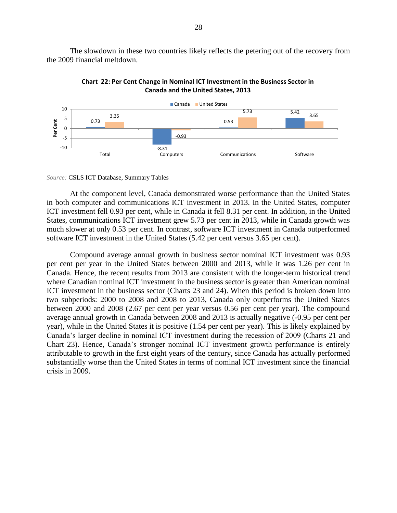The slowdown in these two countries likely reflects the petering out of the recovery from the 2009 financial meltdown.



**Chart 22: Per Cent Change in Nominal ICT Investment in the Business Sector in Canada and the United States, 2013**

*Source:* CSLS ICT Database, Summary Tables

At the component level, Canada demonstrated worse performance than the United States in both computer and communications ICT investment in 2013. In the United States, computer ICT investment fell 0.93 per cent, while in Canada it fell 8.31 per cent. In addition, in the United States, communications ICT investment grew 5.73 per cent in 2013, while in Canada growth was much slower at only 0.53 per cent. In contrast, software ICT investment in Canada outperformed software ICT investment in the United States (5.42 per cent versus 3.65 per cent).

Compound average annual growth in business sector nominal ICT investment was 0.93 per cent per year in the United States between 2000 and 2013, while it was 1.26 per cent in Canada. Hence, the recent results from 2013 are consistent with the longer-term historical trend where Canadian nominal ICT investment in the business sector is greater than American nominal ICT investment in the business sector (Charts 23 and 24). When this period is broken down into two subperiods: 2000 to 2008 and 2008 to 2013, Canada only outperforms the United States between 2000 and 2008 (2.67 per cent per year versus 0.56 per cent per year). The compound average annual growth in Canada between 2008 and 2013 is actually negative (-0.95 per cent per year), while in the United States it is positive (1.54 per cent per year). This is likely explained by Canada's larger decline in nominal ICT investment during the recession of 2009 (Charts 21 and Chart 23). Hence, Canada's stronger nominal ICT investment growth performance is entirely attributable to growth in the first eight years of the century, since Canada has actually performed substantially worse than the United States in terms of nominal ICT investment since the financial crisis in 2009.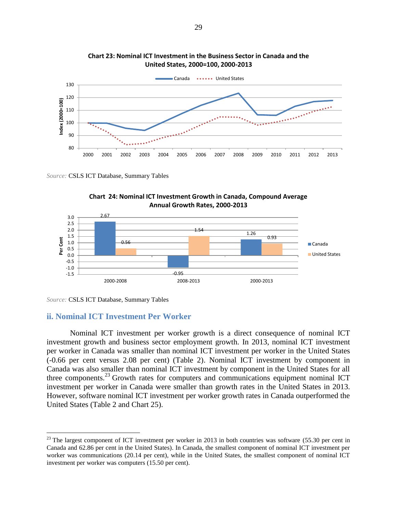

**Chart 23: Nominal ICT Investment in the Business Sector in Canada and the United States, 2000=100, 2000-2013**





*Source:* CSLS ICT Database, Summary Tables

 $\overline{a}$ 

#### **ii. Nominal ICT Investment Per Worker**

Nominal ICT investment per worker growth is a direct consequence of nominal ICT investment growth and business sector employment growth. In 2013, nominal ICT investment per worker in Canada was smaller than nominal ICT investment per worker in the United States (-0.66 per cent versus 2.08 per cent) (Table 2). Nominal ICT investment by component in Canada was also smaller than nominal ICT investment by component in the United States for all three components.<sup>23</sup> Growth rates for computers and communications equipment nominal ICT investment per worker in Canada were smaller than growth rates in the United States in 2013. However, software nominal ICT investment per worker growth rates in Canada outperformed the United States (Table 2 and Chart 25).

 $^{23}$  The largest component of ICT investment per worker in 2013 in both countries was software (55.30 per cent in Canada and 62.86 per cent in the United States). In Canada, the smallest component of nominal ICT investment per worker was communications (20.14 per cent), while in the United States, the smallest component of nominal ICT investment per worker was computers (15.50 per cent).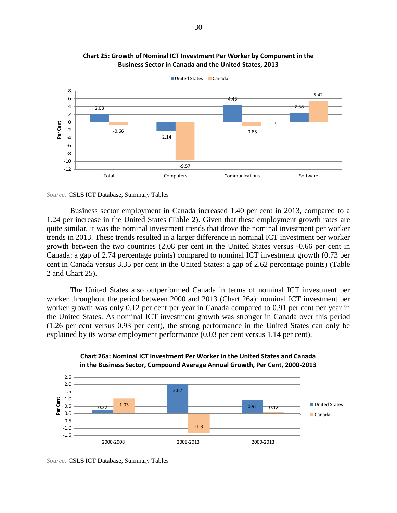

**Chart 25: Growth of Nominal ICT Investment Per Worker by Component in the Business Sector in Canada and the United States, 2013**

Business sector employment in Canada increased 1.40 per cent in 2013, compared to a 1.24 per increase in the United States (Table 2). Given that these employment growth rates are quite similar, it was the nominal investment trends that drove the nominal investment per worker trends in 2013. These trends resulted in a larger difference in nominal ICT investment per worker growth between the two countries (2.08 per cent in the United States versus -0.66 per cent in Canada: a gap of 2.74 percentage points) compared to nominal ICT investment growth (0.73 per cent in Canada versus 3.35 per cent in the United States: a gap of 2.62 percentage points) (Table 2 and Chart 25).

The United States also outperformed Canada in terms of nominal ICT investment per worker throughout the period between 2000 and 2013 (Chart 26a): nominal ICT investment per worker growth was only 0.12 per cent per year in Canada compared to 0.91 per cent per year in the United States. As nominal ICT investment growth was stronger in Canada over this period (1.26 per cent versus 0.93 per cent), the strong performance in the United States can only be explained by its worse employment performance (0.03 per cent versus 1.14 per cent).





*Source:* CSLS ICT Database, Summary Tables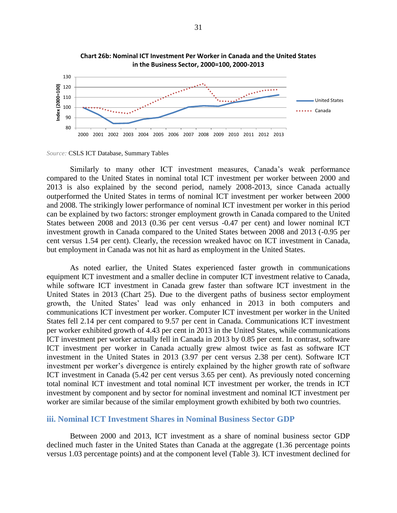

**Chart 26b: Nominal ICT Investment Per Worker in Canada and the United States in the Business Sector, 2000=100, 2000-2013**

Similarly to many other ICT investment measures, Canada's weak performance compared to the United States in nominal total ICT investment per worker between 2000 and 2013 is also explained by the second period, namely 2008-2013, since Canada actually outperformed the United States in terms of nominal ICT investment per worker between 2000 and 2008. The strikingly lower performance of nominal ICT investment per worker in this period can be explained by two factors: stronger employment growth in Canada compared to the United States between 2008 and 2013 (0.36 per cent versus -0.47 per cent) and lower nominal ICT investment growth in Canada compared to the United States between 2008 and 2013 (-0.95 per cent versus 1.54 per cent). Clearly, the recession wreaked havoc on ICT investment in Canada, but employment in Canada was not hit as hard as employment in the United States.

As noted earlier, the United States experienced faster growth in communications equipment ICT investment and a smaller decline in computer ICT investment relative to Canada, while software ICT investment in Canada grew faster than software ICT investment in the United States in 2013 (Chart 25). Due to the divergent paths of business sector employment growth, the United States' lead was only enhanced in 2013 in both computers and communications ICT investment per worker. Computer ICT investment per worker in the United States fell 2.14 per cent compared to 9.57 per cent in Canada. Communications ICT investment per worker exhibited growth of 4.43 per cent in 2013 in the United States, while communications ICT investment per worker actually fell in Canada in 2013 by 0.85 per cent. In contrast, software ICT investment per worker in Canada actually grew almost twice as fast as software ICT investment in the United States in 2013 (3.97 per cent versus 2.38 per cent). Software ICT investment per worker's divergence is entirely explained by the higher growth rate of software ICT investment in Canada (5.42 per cent versus 3.65 per cent). As previously noted concerning total nominal ICT investment and total nominal ICT investment per worker, the trends in ICT investment by component and by sector for nominal investment and nominal ICT investment per worker are similar because of the similar employment growth exhibited by both two countries.

#### **iii. Nominal ICT Investment Shares in Nominal Business Sector GDP**

Between 2000 and 2013, ICT investment as a share of nominal business sector GDP declined much faster in the United States than Canada at the aggregate (1.36 percentage points versus 1.03 percentage points) and at the component level (Table 3). ICT investment declined for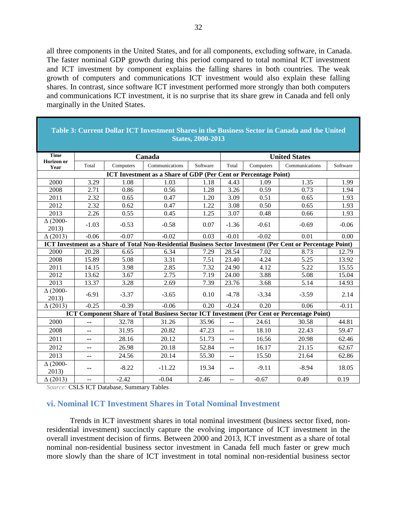all three components in the United States, and for all components, excluding software, in Canada. The faster nominal GDP growth during this period compared to total nominal ICT investment and ICT investment by component explains the falling shares in both countries. The weak growth of computers and communications ICT investment would also explain these falling shares. In contrast, since software ICT investment performed more strongly than both computers and communications ICT investment, it is no surprise that its share grew in Canada and fell only marginally in the United States.

|                           | Table 3: Current Dollar ICT Investment Shares in the Business Sector in Canada and the United<br><b>States, 2000-2013</b> |           |                                                                 |          |                   |                      |                                                                                                              |          |  |  |  |
|---------------------------|---------------------------------------------------------------------------------------------------------------------------|-----------|-----------------------------------------------------------------|----------|-------------------|----------------------|--------------------------------------------------------------------------------------------------------------|----------|--|--|--|
| <b>Time</b>               |                                                                                                                           |           | Canada                                                          |          |                   | <b>United States</b> |                                                                                                              |          |  |  |  |
| Horizon or<br>Year        | Total                                                                                                                     | Computers | Communications                                                  | Software | Total             | Computers            | Communications                                                                                               | Software |  |  |  |
|                           |                                                                                                                           |           | ICT Investment as a Share of GDP (Per Cent or Percentage Point) |          |                   |                      |                                                                                                              |          |  |  |  |
| 2000                      | 3.29                                                                                                                      | 1.08      | 1.03                                                            | 1.18     | 4.43              | 1.09                 | 1.35                                                                                                         | 1.99     |  |  |  |
| 2008                      | 2.71                                                                                                                      | 0.86      | 0.56                                                            | 1.28     | 3.26              | 0.59                 | 0.73                                                                                                         | 1.94     |  |  |  |
| 2011                      | 2.32                                                                                                                      | 0.65      | 0.47                                                            | 1.20     | 3.09              | 0.51                 | 0.65                                                                                                         | 1.93     |  |  |  |
| 2012                      | 2.32                                                                                                                      | 0.62      | 0.47                                                            | 1.22     | $\overline{3.08}$ | 0.50                 | 0.65                                                                                                         | 1.93     |  |  |  |
| 2013                      | 2.26                                                                                                                      | 0.55      | 0.45                                                            | 1.25     | 3.07              | 0.48                 | 0.66                                                                                                         | 1.93     |  |  |  |
| $\Delta (2000 -$<br>2013) | $-1.03$                                                                                                                   | $-0.53$   | $-0.58$                                                         | 0.07     | $-1.36$           | $-0.61$              | $-0.69$                                                                                                      | $-0.06$  |  |  |  |
| $\Delta(2013)$            | $-0.06$                                                                                                                   | $-0.07$   | $-0.02$                                                         | 0.03     | $-0.01$           | $-0.02$              | 0.01                                                                                                         | 0.00     |  |  |  |
|                           |                                                                                                                           |           |                                                                 |          |                   |                      | ICT Investment as a Share of Total Non-Residential Business Sector Investment (Per Cent or Percentage Point) |          |  |  |  |
| 2000                      | 20.28                                                                                                                     | 6.65      | 6.34                                                            | 7.29     | 28.54             | 7.02                 | 8.73                                                                                                         | 12.79    |  |  |  |
| 2008                      | 15.89                                                                                                                     | 5.08      | 3.31                                                            | 7.51     | 23.40             | 4.24                 | 5.25                                                                                                         | 13.92    |  |  |  |
| 2011                      | 14.15                                                                                                                     | 3.98      | 2.85                                                            | 7.32     | 24.90             | 4.12                 | 5.22                                                                                                         | 15.55    |  |  |  |
| 2012                      | 13.62                                                                                                                     | 3.67      | 2.75                                                            | 7.19     | 24.00             | 3.88                 | 5.08                                                                                                         | 15.04    |  |  |  |
| 2013                      | 13.37                                                                                                                     | 3.28      | 2.69                                                            | 7.39     | 23.76             | 3.68                 | 5.14                                                                                                         | 14.93    |  |  |  |
| $\Delta (2000 -$<br>2013) | $-6.91$                                                                                                                   | $-3.37$   | $-3.65$                                                         | 0.10     | $-4.78$           | $-3.34$              | $-3.59$                                                                                                      | 2.14     |  |  |  |
| $\Delta(2013)$            | $-0.25$                                                                                                                   | $-0.39$   | $-0.06$                                                         | 0.20     | $-0.24$           | 0.20                 | 0.06                                                                                                         | $-0.11$  |  |  |  |
|                           |                                                                                                                           |           |                                                                 |          |                   |                      | <b>ICT Component Share of Total Business Sector ICT Investment (Per Cent or Percentage Point)</b>            |          |  |  |  |
| 2000                      | $-$                                                                                                                       | 32.78     | 31.26                                                           | 35.96    | $-$               | 24.61                | 30.58                                                                                                        | 44.81    |  |  |  |
| 2008                      | $-$                                                                                                                       | 31.95     | 20.82                                                           | 47.23    | $-$               | 18.10                | 22.43                                                                                                        | 59.47    |  |  |  |
| 2011                      | $- -$                                                                                                                     | 28.16     | 20.12                                                           | 51.73    | $-$               | 16.56                | 20.98                                                                                                        | 62.46    |  |  |  |
| 2012                      | $- -$                                                                                                                     | 26.98     | 20.18                                                           | 52.84    | $--$              | 16.17                | 21.15                                                                                                        | 62.67    |  |  |  |
| 2013                      | $- -$                                                                                                                     | 24.56     | 20.14                                                           | 55.30    | $-$               | 15.50                | 21.64                                                                                                        | 62.86    |  |  |  |
| $\Delta(2000 -$<br>2013)  | $\qquad \qquad -$                                                                                                         | $-8.22$   | $-11.22$                                                        | 19.34    | $- -$             | $-9.11$              | $-8.94$                                                                                                      | 18.05    |  |  |  |
| $\Delta(2013)$            | $\overline{a}$                                                                                                            | $-2.42$   | $-0.04$                                                         | 2.46     | $\overline{a}$    | $-0.67$              | 0.49                                                                                                         | 0.19     |  |  |  |

## **Table 3: Current Dollar ICT Investment Shares in the Business Sector in Canada and the United**

*Source:* CSLS ICT Database, Summary Tables

#### **vi. Nominal ICT Investment Shares in Total Nominal Investment**

Trends in ICT investment shares in total nominal investment (business sector fixed, nonresidential investment) succinctly capture the evolving importance of ICT investment in the overall investment decision of firms. Between 2000 and 2013, ICT investment as a share of total nominal non-residential business sector investment in Canada fell much faster or grew much more slowly than the share of ICT investment in total nominal non-residential business sector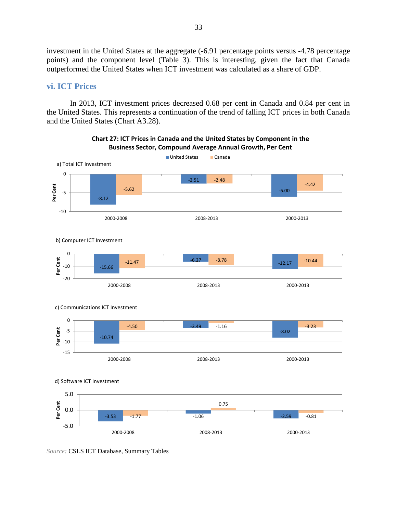investment in the United States at the aggregate (-6.91 percentage points versus -4.78 percentage points) and the component level (Table 3). This is interesting, given the fact that Canada outperformed the United States when ICT investment was calculated as a share of GDP.

#### **vi. ICT Prices**

In 2013, ICT investment prices decreased 0.68 per cent in Canada and 0.84 per cent in the United States. This represents a continuation of the trend of falling ICT prices in both Canada and the United States (Chart A3.28).



**Chart 27: ICT Prices in Canada and the United States by Component in the Business Sector, Compound Average Annual Growth, Per Cent**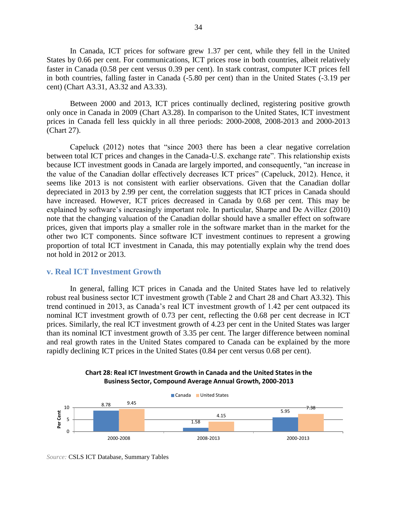In Canada, ICT prices for software grew 1.37 per cent, while they fell in the United States by 0.66 per cent. For communications, ICT prices rose in both countries, albeit relatively faster in Canada (0.58 per cent versus 0.39 per cent). In stark contrast, computer ICT prices fell in both countries, falling faster in Canada (-5.80 per cent) than in the United States (-3.19 per cent) (Chart A3.31, A3.32 and A3.33).

Between 2000 and 2013, ICT prices continually declined, registering positive growth only once in Canada in 2009 (Chart A3.28). In comparison to the United States, ICT investment prices in Canada fell less quickly in all three periods: 2000-2008, 2008-2013 and 2000-2013 (Chart 27).

Capeluck (2012) notes that "since 2003 there has been a clear negative correlation between total ICT prices and changes in the Canada-U.S. exchange rate". This relationship exists because ICT investment goods in Canada are largely imported, and consequently, "an increase in the value of the Canadian dollar effectively decreases ICT prices" (Capeluck, 2012). Hence, it seems like 2013 is not consistent with earlier observations. Given that the Canadian dollar depreciated in 2013 by 2.99 per cent, the correlation suggests that ICT prices in Canada should have increased. However, ICT prices decreased in Canada by 0.68 per cent. This may be explained by software's increasingly important role. In particular, Sharpe and De Avillez (2010) note that the changing valuation of the Canadian dollar should have a smaller effect on software prices, given that imports play a smaller role in the software market than in the market for the other two ICT components. Since software ICT investment continues to represent a growing proportion of total ICT investment in Canada, this may potentially explain why the trend does not hold in 2012 or 2013.

#### **v. Real ICT Investment Growth**

In general, falling ICT prices in Canada and the United States have led to relatively robust real business sector ICT investment growth (Table 2 and Chart 28 and Chart A3.32). This trend continued in 2013, as Canada's real ICT investment growth of 1.42 per cent outpaced its nominal ICT investment growth of 0.73 per cent, reflecting the 0.68 per cent decrease in ICT prices. Similarly, the real ICT investment growth of 4.23 per cent in the United States was larger than its nominal ICT investment growth of 3.35 per cent. The larger difference between nominal and real growth rates in the United States compared to Canada can be explained by the more rapidly declining ICT prices in the United States (0.84 per cent versus 0.68 per cent).



**Chart 28: Real ICT Investment Growth in Canada and the United States in the Business Sector, Compound Average Annual Growth, 2000-2013**

*Source:* CSLS ICT Database, Summary Tables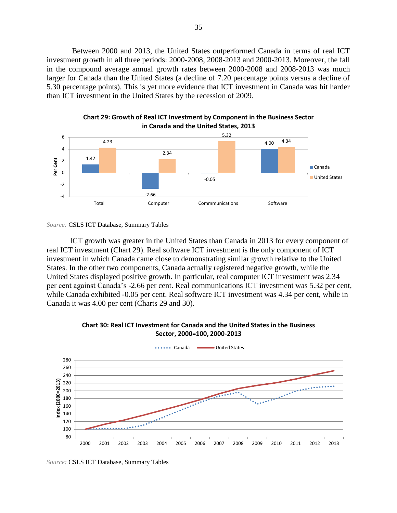Between 2000 and 2013, the United States outperformed Canada in terms of real ICT investment growth in all three periods: 2000-2008, 2008-2013 and 2000-2013. Moreover, the fall in the compound average annual growth rates between 2000-2008 and 2008-2013 was much larger for Canada than the United States (a decline of 7.20 percentage points versus a decline of 5.30 percentage points). This is yet more evidence that ICT investment in Canada was hit harder than ICT investment in the United States by the recession of 2009.



**Chart 29: Growth of Real ICT Investment by Component in the Business Sector in Canada and the United States, 2013**

ICT growth was greater in the United States than Canada in 2013 for every component of real ICT investment (Chart 29). Real software ICT investment is the only component of ICT investment in which Canada came close to demonstrating similar growth relative to the United States. In the other two components, Canada actually registered negative growth, while the United States displayed positive growth. In particular, real computer ICT investment was 2.34 per cent against Canada's -2.66 per cent. Real communications ICT investment was 5.32 per cent, while Canada exhibited -0.05 per cent. Real software ICT investment was 4.34 per cent, while in Canada it was 4.00 per cent (Charts 29 and 30).



**Chart 30: Real ICT Investment for Canada and the United States in the Business Sector, 2000=100, 2000-2013**

*Source:* CSLS ICT Database, Summary Tables

*Source:* CSLS ICT Database, Summary Tables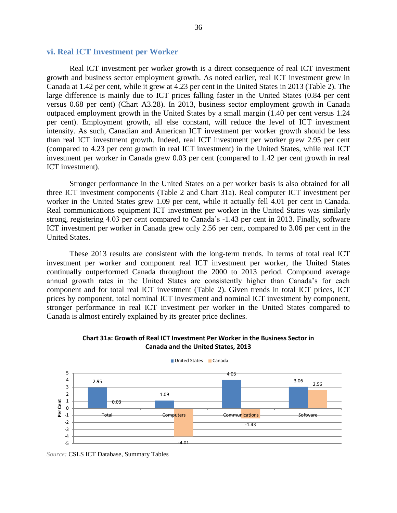#### **vi. Real ICT Investment per Worker**

Real ICT investment per worker growth is a direct consequence of real ICT investment growth and business sector employment growth. As noted earlier, real ICT investment grew in Canada at 1.42 per cent, while it grew at 4.23 per cent in the United States in 2013 (Table 2). The large difference is mainly due to ICT prices falling faster in the United States (0.84 per cent versus 0.68 per cent) (Chart A3.28). In 2013, business sector employment growth in Canada outpaced employment growth in the United States by a small margin (1.40 per cent versus 1.24 per cent). Employment growth, all else constant, will reduce the level of ICT investment intensity. As such, Canadian and American ICT investment per worker growth should be less than real ICT investment growth. Indeed, real ICT investment per worker grew 2.95 per cent (compared to 4.23 per cent growth in real ICT investment) in the United States, while real ICT investment per worker in Canada grew 0.03 per cent (compared to 1.42 per cent growth in real ICT investment).

Stronger performance in the United States on a per worker basis is also obtained for all three ICT investment components (Table 2 and Chart 31a). Real computer ICT investment per worker in the United States grew 1.09 per cent, while it actually fell 4.01 per cent in Canada. Real communications equipment ICT investment per worker in the United States was similarly strong, registering 4.03 per cent compared to Canada's -1.43 per cent in 2013. Finally, software ICT investment per worker in Canada grew only 2.56 per cent, compared to 3.06 per cent in the United States.

These 2013 results are consistent with the long-term trends. In terms of total real ICT investment per worker and component real ICT investment per worker, the United States continually outperformed Canada throughout the 2000 to 2013 period. Compound average annual growth rates in the United States are consistently higher than Canada's for each component and for total real ICT investment (Table 2). Given trends in total ICT prices, ICT prices by component, total nominal ICT investment and nominal ICT investment by component, stronger performance in real ICT investment per worker in the United States compared to Canada is almost entirely explained by its greater price declines.

#### **Chart 31a: Growth of Real ICT Investment Per Worker in the Business Sector in Canada and the United States, 2013**



■ United States ■ Canada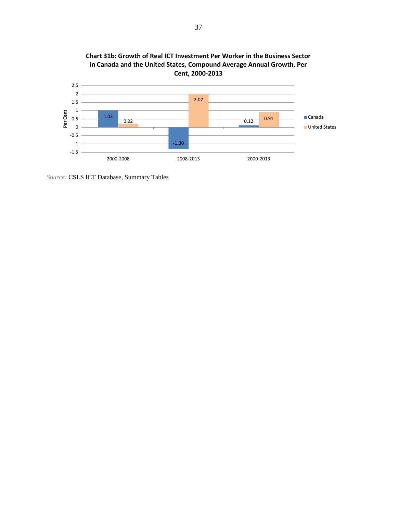

**Chart 31b: Growth of Real ICT Investment Per Worker in the Business Sector** 

*Source:* CSLS ICT Database, Summary Tables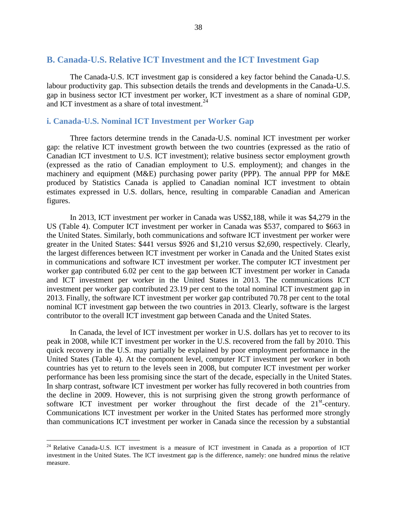#### **B. Canada-U.S. Relative ICT Investment and the ICT Investment Gap**

The Canada-U.S. ICT investment gap is considered a key factor behind the Canada-U.S. labour productivity gap. This subsection details the trends and developments in the Canada-U.S. gap in business sector ICT investment per worker, ICT investment as a share of nominal GDP, and ICT investment as a share of total investment.<sup>24</sup>

#### **i. Canada-U.S. Nominal ICT Investment per Worker Gap**

Three factors determine trends in the Canada-U.S. nominal ICT investment per worker gap: the relative ICT investment growth between the two countries (expressed as the ratio of Canadian ICT investment to U.S. ICT investment); relative business sector employment growth (expressed as the ratio of Canadian employment to U.S. employment); and changes in the machinery and equipment (M&E) purchasing power parity (PPP). The annual PPP for M&E produced by Statistics Canada is applied to Canadian nominal ICT investment to obtain estimates expressed in U.S. dollars, hence, resulting in comparable Canadian and American figures.

In 2013, ICT investment per worker in Canada was US\$2,188, while it was \$4,279 in the US (Table 4). Computer ICT investment per worker in Canada was \$537, compared to \$663 in the United States. Similarly, both communications and software ICT investment per worker were greater in the United States: \$441 versus \$926 and \$1,210 versus \$2,690, respectively. Clearly, the largest differences between ICT investment per worker in Canada and the United States exist in communications and software ICT investment per worker. The computer ICT investment per worker gap contributed 6.02 per cent to the gap between ICT investment per worker in Canada and ICT investment per worker in the United States in 2013. The communications ICT investment per worker gap contributed 23.19 per cent to the total nominal ICT investment gap in 2013. Finally, the software ICT investment per worker gap contributed 70.78 per cent to the total nominal ICT investment gap between the two countries in 2013. Clearly, software is the largest contributor to the overall ICT investment gap between Canada and the United States.

In Canada, the level of ICT investment per worker in U.S. dollars has yet to recover to its peak in 2008, while ICT investment per worker in the U.S. recovered from the fall by 2010. This quick recovery in the U.S. may partially be explained by poor employment performance in the United States (Table 4). At the component level, computer ICT investment per worker in both countries has yet to return to the levels seen in 2008, but computer ICT investment per worker performance has been less promising since the start of the decade, especially in the United States. In sharp contrast, software ICT investment per worker has fully recovered in both countries from the decline in 2009. However, this is not surprising given the strong growth performance of software ICT investment per worker throughout the first decade of the 21<sup>st</sup>-century. Communications ICT investment per worker in the United States has performed more strongly than communications ICT investment per worker in Canada since the recession by a substantial

<sup>&</sup>lt;sup>24</sup> Relative Canada-U.S. ICT investment is a measure of ICT investment in Canada as a proportion of ICT investment in the United States. The ICT investment gap is the difference, namely: one hundred minus the relative measure.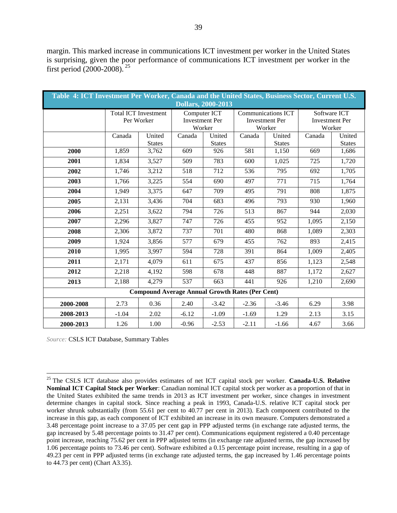margin. This marked increase in communications ICT investment per worker in the United States is surprising, given the poor performance of communications ICT investment per worker in the first period (2000-2008). <sup>25</sup>

| Table 4: ICT Investment Per Worker, Canada and the United States, Business Sector, Current U.S.<br><b>Dollars, 2000-2013</b> |                             |                                                        |                                                 |                         |                                                       |                         |                                                 |                         |  |
|------------------------------------------------------------------------------------------------------------------------------|-----------------------------|--------------------------------------------------------|-------------------------------------------------|-------------------------|-------------------------------------------------------|-------------------------|-------------------------------------------------|-------------------------|--|
|                                                                                                                              | <b>Total ICT Investment</b> | Per Worker                                             | Computer ICT<br><b>Investment Per</b><br>Worker |                         | Communications ICT<br><b>Investment Per</b><br>Worker |                         | Software ICT<br><b>Investment Per</b><br>Worker |                         |  |
|                                                                                                                              | Canada                      | United<br><b>States</b>                                | Canada                                          | United<br><b>States</b> | Canada                                                | United<br><b>States</b> | Canada                                          | United<br><b>States</b> |  |
| 2000                                                                                                                         | 1,859                       | 3,762                                                  | 609                                             | 926                     | 581                                                   | 1,150                   | 669                                             | 1,686                   |  |
| 2001                                                                                                                         | 1,834                       | 3,527                                                  | 509                                             | 783                     | 600                                                   | 1,025                   | 725                                             | 1,720                   |  |
| 2002                                                                                                                         | 1,746                       | 3,212                                                  | 518                                             | 712                     | 536                                                   | 795                     | 692                                             | 1,705                   |  |
| 2003                                                                                                                         | 1,766                       | 3,225                                                  | 554                                             | 690                     | 497                                                   | 771                     | 715                                             | 1,764                   |  |
| 2004                                                                                                                         | 1,949                       | 3,375                                                  | 647                                             | 709                     | 495                                                   | 791                     | 808                                             | 1,875                   |  |
| 2005                                                                                                                         | 2,131                       | 3,436                                                  | 704                                             | 683                     | 496                                                   | 793                     | 930                                             | 1,960                   |  |
| 2006                                                                                                                         | 2,251                       | 3,622                                                  | 794                                             | 726                     | 513                                                   | 867                     | 944                                             | 2,030                   |  |
| 2007                                                                                                                         | 2,296                       | 3,827                                                  | 747                                             | 726                     | 455                                                   | 952                     | 1,095                                           | 2,150                   |  |
| 2008                                                                                                                         | 2,306                       | 3,872                                                  | 737                                             | 701                     | 480                                                   | 868                     | 1.089                                           | 2,303                   |  |
| 2009                                                                                                                         | 1,924                       | 3,856                                                  | 577                                             | 679                     | 455                                                   | 762                     | 893                                             | 2,415                   |  |
| 2010                                                                                                                         | 1,995                       | 3,997                                                  | 594                                             | 728                     | 391                                                   | 864                     | 1,009                                           | 2,405                   |  |
| 2011                                                                                                                         | 2,171                       | 4,079                                                  | 611                                             | 675                     | 437                                                   | 856                     | 1,123                                           | 2,548                   |  |
| 2012                                                                                                                         | 2,218                       | 4,192                                                  | 598                                             | 678                     | 448                                                   | 887                     | 1,172                                           | 2,627                   |  |
| 2013                                                                                                                         | 2,188                       | 4,279                                                  | 537                                             | 663                     | 441                                                   | 926                     | 1,210                                           | 2,690                   |  |
|                                                                                                                              |                             | <b>Compound Average Annual Growth Rates (Per Cent)</b> |                                                 |                         |                                                       |                         |                                                 |                         |  |
| 2000-2008                                                                                                                    | 2.73                        | 0.36                                                   | 2.40                                            | $-3.42$                 | $-2.36$                                               | $-3.46$                 | 6.29                                            | 3.98                    |  |
| 2008-2013                                                                                                                    | $-1.04$                     | 2.02                                                   | $-6.12$                                         | $-1.09$                 | $-1.69$                                               | 1.29                    | 2.13                                            | 3.15                    |  |
| 2000-2013                                                                                                                    | 1.26                        | 1.00                                                   | $-0.96$                                         | $-2.53$                 | $-2.11$                                               | $-1.66$                 | 4.67                                            | 3.66                    |  |

*Source:* CSLS ICT Database, Summary Tables

<sup>25</sup> The CSLS ICT database also provides estimates of net ICT capital stock per worker. **Canada-U.S. Relative Nominal ICT Capital Stock per Worker**: Canadian nominal ICT capital stock per worker as a proportion of that in the United States exhibited the same trends in 2013 as ICT investment per worker, since changes in investment determine changes in capital stock. Since reaching a peak in 1993, Canada-U.S. relative ICT capital stock per worker shrunk substantially (from 55.61 per cent to 40.77 per cent in 2013). Each component contributed to the increase in this gap, as each component of ICT exhibited an increase in its own measure. Computers demonstrated a 3.48 percentage point increase to a 37.05 per cent gap in PPP adjusted terms (in exchange rate adjusted terms, the gap increased by 5.48 percentage points to 31.47 per cent). Communications equipment registered a 0.40 percentage point increase, reaching 75.62 per cent in PPP adjusted terms (in exchange rate adjusted terms, the gap increased by 1.06 percentage points to 73.46 per cent). Software exhibited a 0.15 percentage point increase, resulting in a gap of 49.23 per cent in PPP adjusted terms (in exchange rate adjusted terms, the gap increased by 1.46 percentage points to 44.73 per cent) (Chart A3.35).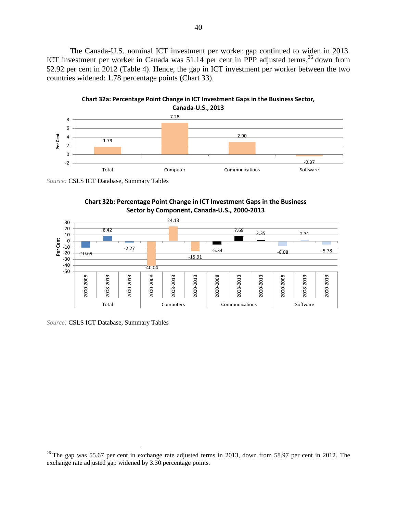The Canada-U.S. nominal ICT investment per worker gap continued to widen in 2013. ICT investment per worker in Canada was 51.14 per cent in PPP adjusted terms,<sup>26</sup> down from 52.92 per cent in 2012 (Table 4). Hence, the gap in ICT investment per worker between the two countries widened: 1.78 percentage points (Chart 33).



*Source:* CSLS ICT Database, Summary Tables





*Source:* CSLS ICT Database, Summary Tables

<sup>&</sup>lt;sup>26</sup> The gap was 55.67 per cent in exchange rate adjusted terms in 2013, down from 58.97 per cent in 2012. The exchange rate adjusted gap widened by 3.30 percentage points.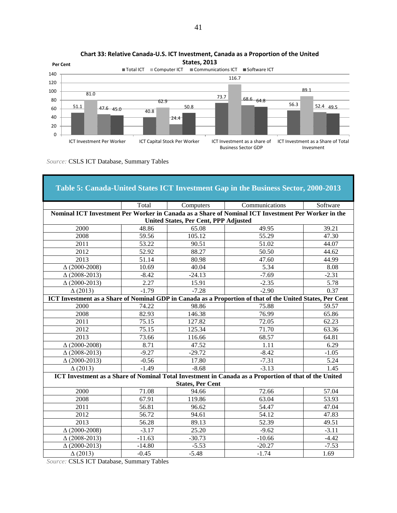



| Table 5: Canada-United States ICT Investment Gap in the Business Sector, 2000-2013 |                                       |                         |                                                                                                           |          |  |  |  |  |  |
|------------------------------------------------------------------------------------|---------------------------------------|-------------------------|-----------------------------------------------------------------------------------------------------------|----------|--|--|--|--|--|
|                                                                                    | Total                                 | Computers               | Communications                                                                                            | Software |  |  |  |  |  |
|                                                                                    |                                       |                         | Nominal ICT Investment Per Worker in Canada as a Share of Nominal ICT Investment Per Worker in the        |          |  |  |  |  |  |
|                                                                                    | United States, Per Cent, PPP Adjusted |                         |                                                                                                           |          |  |  |  |  |  |
| 2000                                                                               | 48.86                                 | 65.08                   | 49.95                                                                                                     | 39.21    |  |  |  |  |  |
| 2008                                                                               | 59.56                                 | 105.12                  | 55.29                                                                                                     | 47.30    |  |  |  |  |  |
| 2011                                                                               | 53.22                                 | 90.51                   | 51.02                                                                                                     | 44.07    |  |  |  |  |  |
| 2012                                                                               | 52.92                                 | 88.27                   | 50.50                                                                                                     | 44.62    |  |  |  |  |  |
| 2013                                                                               | 51.14                                 | 80.98                   | 47.60                                                                                                     | 44.99    |  |  |  |  |  |
| $\Delta(2000-2008)$                                                                | 10.69                                 | 40.04                   | 5.34                                                                                                      | 8.08     |  |  |  |  |  |
| $\Delta(2008-2013)$                                                                | $-8.42$                               | $-24.13$                | $-7.69$                                                                                                   | $-2.31$  |  |  |  |  |  |
| $\Delta(2000-2013)$                                                                | 2.27                                  | 15.91                   | $-2.35$                                                                                                   | 5.78     |  |  |  |  |  |
| $\Delta(2013)$                                                                     | $-1.79$                               | $-7.28$                 | $-2.90$                                                                                                   | 0.37     |  |  |  |  |  |
|                                                                                    |                                       |                         | ICT Investment as a Share of Nominal GDP in Canada as a Proportion of that of the United States, Per Cent |          |  |  |  |  |  |
| 2000                                                                               | 74.22                                 | 98.86                   | 75.88                                                                                                     | 59.57    |  |  |  |  |  |
| 2008                                                                               | 82.93                                 | 146.38                  | 76.99                                                                                                     | 65.86    |  |  |  |  |  |
| $\overline{2011}$                                                                  | 75.15                                 | 127.82                  | 72.05                                                                                                     | 62.23    |  |  |  |  |  |
| 2012                                                                               | 75.15                                 | 125.34                  | 71.70                                                                                                     | 63.36    |  |  |  |  |  |
| 2013                                                                               | 73.66                                 | 116.66                  | 68.57                                                                                                     | 64.81    |  |  |  |  |  |
| $\Delta(2000-2008)$                                                                | 8.71                                  | 47.52                   | 1.11                                                                                                      | 6.29     |  |  |  |  |  |
| $\Delta(2008-2013)$                                                                | $-9.27$                               | $-29.72$                | $-8.42$                                                                                                   | $-1.05$  |  |  |  |  |  |
| $\Delta(2000-2013)$                                                                | $-0.56$                               | 17.80                   | $-7.31$                                                                                                   | 5.24     |  |  |  |  |  |
| $\Delta(2013)$                                                                     | $-1.49$                               | $-8.68$                 | $-3.13$                                                                                                   | 1.45     |  |  |  |  |  |
|                                                                                    |                                       |                         | ICT Investment as a Share of Nominal Total Investment in Canada as a Proportion of that of the United     |          |  |  |  |  |  |
|                                                                                    |                                       | <b>States, Per Cent</b> |                                                                                                           |          |  |  |  |  |  |
| 2000                                                                               | 71.08                                 | 94.66                   | 72.66                                                                                                     | 57.04    |  |  |  |  |  |
| 2008                                                                               | 67.91                                 | 119.86                  | 63.04                                                                                                     | 53.93    |  |  |  |  |  |
| 2011                                                                               | 56.81                                 | 96.62                   | 54.47                                                                                                     | 47.04    |  |  |  |  |  |
| 2012                                                                               | 56.72                                 | 94.61                   | 54.12                                                                                                     | 47.83    |  |  |  |  |  |
| 2013                                                                               | 56.28                                 | 89.13                   | 52.39                                                                                                     | 49.51    |  |  |  |  |  |
| $\Delta(2000-2008)$                                                                | $-3.17$                               | 25.20                   | $-9.62$                                                                                                   | $-3.11$  |  |  |  |  |  |
| $\Delta(2008-2013)$                                                                | $-11.63$                              | $-30.73$                | $-10.66$                                                                                                  | $-4.42$  |  |  |  |  |  |
| $\Delta(2000-2013)$                                                                | $-14.80$                              | $-5.53$                 | $-20.27$                                                                                                  | $-7.53$  |  |  |  |  |  |
| $\Delta(2013)$                                                                     | $-0.45$                               | $-5.48$                 | $-1.74$                                                                                                   | 1.69     |  |  |  |  |  |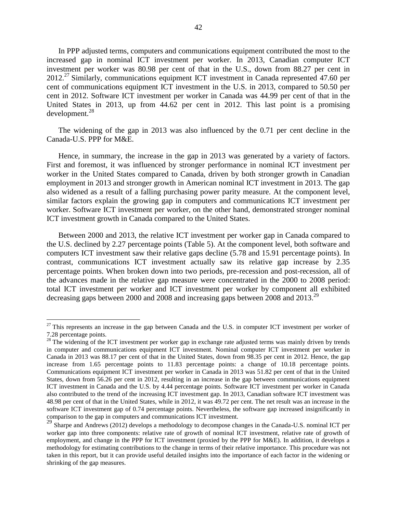In PPP adjusted terms, computers and communications equipment contributed the most to the increased gap in nominal ICT investment per worker. In 2013, Canadian computer ICT investment per worker was 80.98 per cent of that in the U.S., down from 88.27 per cent in  $2012<sup>27</sup>$  Similarly, communications equipment ICT investment in Canada represented 47.60 per cent of communications equipment ICT investment in the U.S. in 2013, compared to 50.50 per cent in 2012. Software ICT investment per worker in Canada was 44.99 per cent of that in the United States in 2013, up from 44.62 per cent in 2012. This last point is a promising development.<sup>28</sup>

The widening of the gap in 2013 was also influenced by the 0.71 per cent decline in the Canada-U.S. PPP for M&E.

Hence, in summary, the increase in the gap in 2013 was generated by a variety of factors. First and foremost, it was influenced by stronger performance in nominal ICT investment per worker in the United States compared to Canada, driven by both stronger growth in Canadian employment in 2013 and stronger growth in American nominal ICT investment in 2013. The gap also widened as a result of a falling purchasing power parity measure. At the component level, similar factors explain the growing gap in computers and communications ICT investment per worker. Software ICT investment per worker, on the other hand, demonstrated stronger nominal ICT investment growth in Canada compared to the United States.

Between 2000 and 2013, the relative ICT investment per worker gap in Canada compared to the U.S. declined by 2.27 percentage points (Table 5). At the component level, both software and computers ICT investment saw their relative gaps decline (5.78 and 15.91 percentage points). In contrast, communications ICT investment actually saw its relative gap increase by 2.35 percentage points. When broken down into two periods, pre-recession and post-recession, all of the advances made in the relative gap measure were concentrated in the 2000 to 2008 period: total ICT investment per worker and ICT investment per worker by component all exhibited decreasing gaps between 2000 and 2008 and increasing gaps between 2008 and 2013.<sup>29</sup>

<sup>&</sup>lt;sup>27</sup> This represents an increase in the gap between Canada and the U.S. in computer ICT investment per worker of 7.28 percentage points.

<sup>&</sup>lt;sup>28</sup> The widening of the ICT investment per worker gap in exchange rate adjusted terms was mainly driven by trends in computer and communications equipment ICT investment. Nominal computer ICT investment per worker in Canada in 2013 was 88.17 per cent of that in the United States, down from 98.35 per cent in 2012. Hence, the gap increase from 1.65 percentage points to 11.83 percentage points: a change of 10.18 percentage points. Communications equipment ICT investment per worker in Canada in 2013 was 51.82 per cent of that in the United States, down from 56.26 per cent in 2012, resulting in an increase in the gap between communications equipment ICT investment in Canada and the U.S. by 4.44 percentage points. Software ICT investment per worker in Canada also contributed to the trend of the increasing ICT investment gap. In 2013, Canadian software ICT investment was 48.98 per cent of that in the United States, while in 2012, it was 49.72 per cent. The net result was an increase in the software ICT investment gap of 0.74 percentage points. Nevertheless, the software gap increased insignificantly in comparison to the gap in computers and communications ICT investment.

<sup>&</sup>lt;sup>29</sup> Sharpe and Andrews (2012) develops a methodology to decompose changes in the Canada-U.S. nominal ICT per worker gap into three components: relative rate of growth of nominal ICT investment, relative rate of growth of employment, and change in the PPP for ICT investment (proxied by the PPP for M&E). In addition, it develops a methodology for estimating contributions to the change in terms of their relative importance. This procedure was not taken in this report, but it can provide useful detailed insights into the importance of each factor in the widening or shrinking of the gap measures.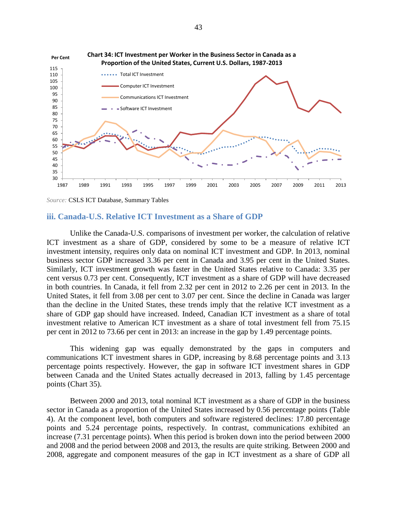

*Source:* CSLS ICT Database, Summary Tables

#### **iii. Canada-U.S. Relative ICT Investment as a Share of GDP**

Unlike the Canada-U.S. comparisons of investment per worker, the calculation of relative ICT investment as a share of GDP, considered by some to be a measure of relative ICT investment intensity, requires only data on nominal ICT investment and GDP. In 2013, nominal business sector GDP increased 3.36 per cent in Canada and 3.95 per cent in the United States. Similarly, ICT investment growth was faster in the United States relative to Canada: 3.35 per cent versus 0.73 per cent. Consequently, ICT investment as a share of GDP will have decreased in both countries. In Canada, it fell from 2.32 per cent in 2012 to 2.26 per cent in 2013. In the United States, it fell from 3.08 per cent to 3.07 per cent. Since the decline in Canada was larger than the decline in the United States, these trends imply that the relative ICT investment as a share of GDP gap should have increased. Indeed, Canadian ICT investment as a share of total investment relative to American ICT investment as a share of total investment fell from 75.15 per cent in 2012 to 73.66 per cent in 2013: an increase in the gap by 1.49 percentage points.

This widening gap was equally demonstrated by the gaps in computers and communications ICT investment shares in GDP, increasing by 8.68 percentage points and 3.13 percentage points respectively. However, the gap in software ICT investment shares in GDP between Canada and the United States actually decreased in 2013, falling by 1.45 percentage points (Chart 35).

Between 2000 and 2013, total nominal ICT investment as a share of GDP in the business sector in Canada as a proportion of the United States increased by 0.56 percentage points (Table 4). At the component level, both computers and software registered declines: 17.80 percentage points and 5.24 percentage points, respectively. In contrast, communications exhibited an increase (7.31 percentage points). When this period is broken down into the period between 2000 and 2008 and the period between 2008 and 2013, the results are quite striking. Between 2000 and 2008, aggregate and component measures of the gap in ICT investment as a share of GDP all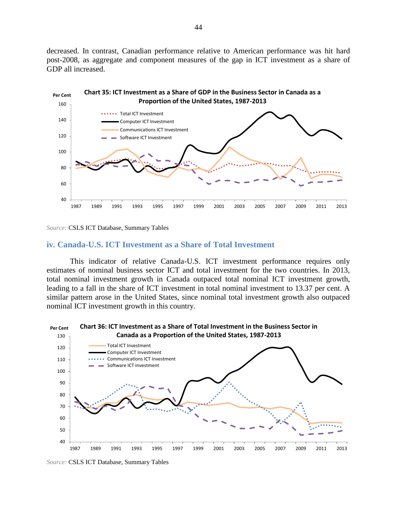decreased. In contrast, Canadian performance relative to American performance was hit hard post-2008, as aggregate and component measures of the gap in ICT investment as a share of GDP all increased.



*Source:* CSLS ICT Database, Summary Tables

#### **iv. Canada-U.S. ICT Investment as a Share of Total Investment**

This indicator of relative Canada-U.S. ICT investment performance requires only estimates of nominal business sector ICT and total investment for the two countries. In 2013, total nominal investment growth in Canada outpaced total nominal ICT investment growth, leading to a fall in the share of ICT investment in total nominal investment to 13.37 per cent. A similar pattern arose in the United States, since nominal total investment growth also outpaced nominal ICT investment growth in this country.



*Source:* CSLS ICT Database, Summary Tables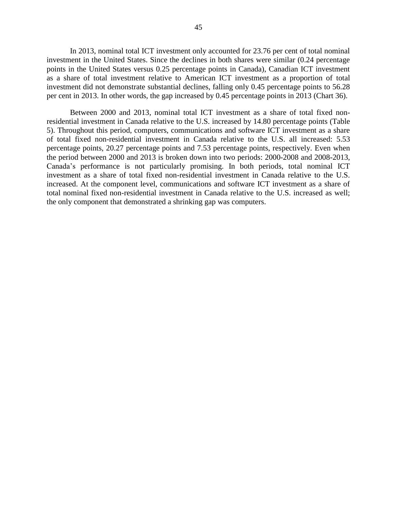In 2013, nominal total ICT investment only accounted for 23.76 per cent of total nominal investment in the United States. Since the declines in both shares were similar (0.24 percentage points in the United States versus 0.25 percentage points in Canada), Canadian ICT investment as a share of total investment relative to American ICT investment as a proportion of total investment did not demonstrate substantial declines, falling only 0.45 percentage points to 56.28 per cent in 2013. In other words, the gap increased by 0.45 percentage points in 2013 (Chart 36).

Between 2000 and 2013, nominal total ICT investment as a share of total fixed nonresidential investment in Canada relative to the U.S. increased by 14.80 percentage points (Table 5). Throughout this period, computers, communications and software ICT investment as a share of total fixed non-residential investment in Canada relative to the U.S. all increased: 5.53 percentage points, 20.27 percentage points and 7.53 percentage points, respectively. Even when the period between 2000 and 2013 is broken down into two periods: 2000-2008 and 2008-2013, Canada's performance is not particularly promising. In both periods, total nominal ICT investment as a share of total fixed non-residential investment in Canada relative to the U.S. increased. At the component level, communications and software ICT investment as a share of total nominal fixed non-residential investment in Canada relative to the U.S. increased as well; the only component that demonstrated a shrinking gap was computers.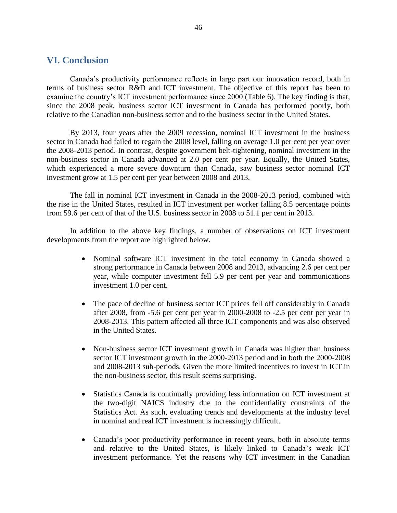#### **VI. Conclusion**

Canada's productivity performance reflects in large part our innovation record, both in terms of business sector R&D and ICT investment. The objective of this report has been to examine the country's ICT investment performance since 2000 (Table 6). The key finding is that, since the 2008 peak, business sector ICT investment in Canada has performed poorly, both relative to the Canadian non-business sector and to the business sector in the United States.

By 2013, four years after the 2009 recession, nominal ICT investment in the business sector in Canada had failed to regain the 2008 level, falling on average 1.0 per cent per year over the 2008-2013 period. In contrast, despite government belt-tightening, nominal investment in the non-business sector in Canada advanced at 2.0 per cent per year. Equally, the United States, which experienced a more severe downturn than Canada, saw business sector nominal ICT investment grow at 1.5 per cent per year between 2008 and 2013.

The fall in nominal ICT investment in Canada in the 2008-2013 period, combined with the rise in the United States, resulted in ICT investment per worker falling 8.5 percentage points from 59.6 per cent of that of the U.S. business sector in 2008 to 51.1 per cent in 2013.

In addition to the above key findings, a number of observations on ICT investment developments from the report are highlighted below.

- Nominal software ICT investment in the total economy in Canada showed a strong performance in Canada between 2008 and 2013, advancing 2.6 per cent per year, while computer investment fell 5.9 per cent per year and communications investment 1.0 per cent.
- The pace of decline of business sector ICT prices fell off considerably in Canada after 2008, from -5.6 per cent per year in 2000-2008 to -2.5 per cent per year in 2008-2013. This pattern affected all three ICT components and was also observed in the United States.
- Non-business sector ICT investment growth in Canada was higher than business sector ICT investment growth in the 2000-2013 period and in both the 2000-2008 and 2008-2013 sub-periods. Given the more limited incentives to invest in ICT in the non-business sector, this result seems surprising.
- Statistics Canada is continually providing less information on ICT investment at the two-digit NAICS industry due to the confidentiality constraints of the Statistics Act. As such, evaluating trends and developments at the industry level in nominal and real ICT investment is increasingly difficult.
- Canada's poor productivity performance in recent years, both in absolute terms and relative to the United States, is likely linked to Canada's weak ICT investment performance. Yet the reasons why ICT investment in the Canadian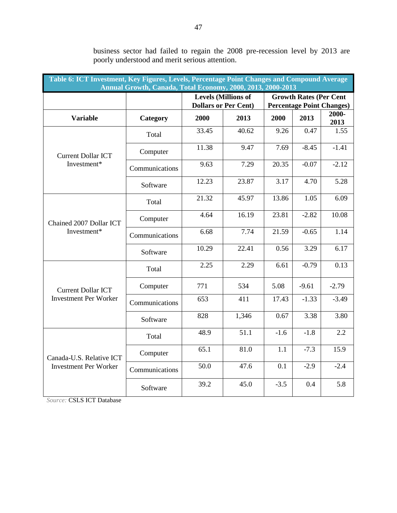| Table 6: ICT Investment, Key Figures, Levels, Percentage Point Changes and Compound Average<br>Annual Growth, Canada, Total Economy, 2000, 2013, 2000-2013 |                |       |                                                           |        |                               |                                  |  |  |  |
|------------------------------------------------------------------------------------------------------------------------------------------------------------|----------------|-------|-----------------------------------------------------------|--------|-------------------------------|----------------------------------|--|--|--|
|                                                                                                                                                            |                |       | <b>Levels (Millions of</b><br><b>Dollars or Per Cent)</b> |        | <b>Growth Rates (Per Cent</b> | <b>Percentage Point Changes)</b> |  |  |  |
| <b>Variable</b>                                                                                                                                            | Category       | 2000  | 2013                                                      | 2000   | 2013                          | $2000 -$<br>2013                 |  |  |  |
|                                                                                                                                                            | Total          | 33.45 | 40.62                                                     | 9.26   | 0.47                          | 1.55                             |  |  |  |
| <b>Current Dollar ICT</b>                                                                                                                                  | Computer       | 11.38 | 9.47                                                      | 7.69   | $-8.45$                       | $-1.41$                          |  |  |  |
| Investment*                                                                                                                                                | Communications | 9.63  | 7.29                                                      | 20.35  | $-0.07$                       | $-2.12$                          |  |  |  |
|                                                                                                                                                            | Software       | 12.23 | 23.87                                                     | 3.17   | 4.70                          | 5.28                             |  |  |  |
| Chained 2007 Dollar ICT<br>Investment*                                                                                                                     | Total          | 21.32 | 45.97                                                     | 13.86  | 1.05                          | 6.09                             |  |  |  |
|                                                                                                                                                            | Computer       | 4.64  | 16.19                                                     | 23.81  | $-2.82$                       | 10.08                            |  |  |  |
|                                                                                                                                                            | Communications | 6.68  | 7.74                                                      | 21.59  | $-0.65$                       | 1.14                             |  |  |  |
|                                                                                                                                                            | Software       | 10.29 | 22.41                                                     | 0.56   | 3.29                          | 6.17                             |  |  |  |
|                                                                                                                                                            | Total          | 2.25  | 2.29                                                      | 6.61   | $-0.79$                       | 0.13                             |  |  |  |
| <b>Current Dollar ICT</b>                                                                                                                                  | Computer       | 771   | 534                                                       | 5.08   | $-9.61$                       | $-2.79$                          |  |  |  |
| <b>Investment Per Worker</b>                                                                                                                               | Communications | 653   | 411                                                       | 17.43  | $-1.33$                       | $-3.49$                          |  |  |  |
|                                                                                                                                                            | Software       | 828   | 1,346                                                     | 0.67   | 3.38                          | 3.80                             |  |  |  |
|                                                                                                                                                            | Total          | 48.9  | 51.1                                                      | $-1.6$ | $-1.8$                        | 2.2                              |  |  |  |
| Canada-U.S. Relative ICT                                                                                                                                   | Computer       | 65.1  | 81.0                                                      | 1.1    | $-7.3$                        | 15.9                             |  |  |  |
| <b>Investment Per Worker</b>                                                                                                                               | Communications | 50.0  | 47.6                                                      | 0.1    | $-2.9$                        | $-2.4$                           |  |  |  |
|                                                                                                                                                            | Software       | 39.2  | 45.0                                                      | $-3.5$ | 0.4                           | 5.8                              |  |  |  |

business sector had failed to regain the 2008 pre-recession level by 2013 are poorly understood and merit serious attention.

*Source:* CSLS ICT Database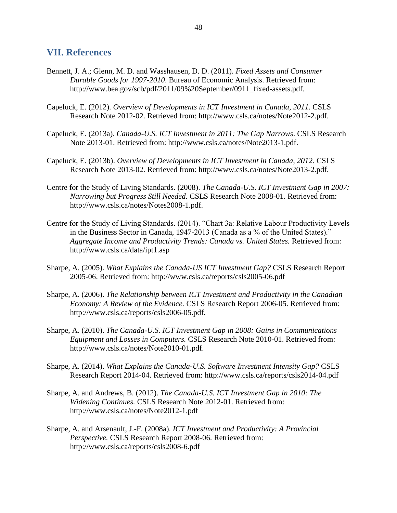#### **VII. References**

- Bennett, J. A.; Glenn, M. D. and Wasshausen, D. D. (2011). *Fixed Assets and Consumer Durable Goods for 1997-2010*. Bureau of Economic Analysis. Retrieved from: http://www.bea.gov/scb/pdf/2011/09%20September/0911\_fixed-assets.pdf.
- Capeluck, E. (2012). *Overview of Developments in ICT Investment in Canada, 2011.* CSLS Research Note 2012-02. Retrieved from: http://www.csls.ca/notes/Note2012-2.pdf.
- Capeluck, E. (2013a). *Canada-U.S. ICT Investment in 2011: The Gap Narrows*. CSLS Research Note 2013-01. Retrieved from: http://www.csls.ca/notes/Note2013-1.pdf.
- Capeluck, E. (2013b). *Overview of Developments in ICT Investment in Canada, 2012*. CSLS Research Note 2013-02. Retrieved from: http://www.csls.ca/notes/Note2013-2.pdf.
- Centre for the Study of Living Standards. (2008). *The Canada-U.S. ICT Investment Gap in 2007: Narrowing but Progress Still Needed.* CSLS Research Note 2008-01. Retrieved from: http://www.csls.ca/notes/Notes2008-1.pdf.
- Centre for the Study of Living Standards. (2014). "Chart 3a: Relative Labour Productivity Levels in the Business Sector in Canada, 1947-2013 (Canada as a % of the United States)." *Aggregate Income and Productivity Trends: Canada vs. United States.* Retrieved from: http://www.csls.ca/data/ipt1.asp
- Sharpe, A. (2005). *What Explains the Canada-US ICT Investment Gap?* CSLS Research Report 2005-06. Retrieved from: http://www.csls.ca/reports/csls2005-06.pdf
- Sharpe, A. (2006). *The Relationship between ICT Investment and Productivity in the Canadian Economy: A Review of the Evidence.* CSLS Research Report 2006-05. Retrieved from: http://www.csls.ca/reports/csls2006-05.pdf.
- Sharpe, A. (2010). *The Canada-U.S. ICT Investment Gap in 2008: Gains in Communications Equipment and Losses in Computers.* CSLS Research Note 2010-01. Retrieved from: http://www.csls.ca/notes/Note2010-01.pdf.
- Sharpe, A. (2014). *What Explains the Canada-U.S. Software Investment Intensity Gap?* CSLS Research Report 2014-04. Retrieved from: http://www.csls.ca/reports/csls2014-04.pdf
- Sharpe, A. and Andrews, B. (2012). *The Canada-U.S. ICT Investment Gap in 2010: The Widening Continues.* CSLS Research Note 2012-01. Retrieved from: http://www.csls.ca/notes/Note2012-1.pdf
- Sharpe, A. and Arsenault, J.-F. (2008a). *ICT Investment and Productivity: A Provincial Perspective.* CSLS Research Report 2008-06. Retrieved from: http://www.csls.ca/reports/csls2008-6.pdf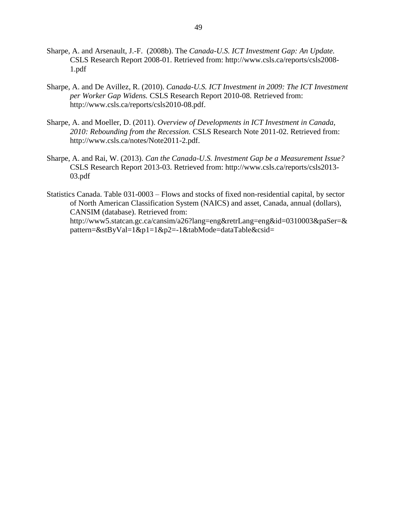- Sharpe, A. and Arsenault, J.-F. (2008b). The *Canada-U.S. ICT Investment Gap: An Update.* CSLS Research Report 2008-01. Retrieved from: http://www.csls.ca/reports/csls2008- 1.pdf
- Sharpe, A. and De Avillez, R. (2010). *Canada-U.S. ICT Investment in 2009: The ICT Investment per Worker Gap Widens.* CSLS Research Report 2010-08. Retrieved from: http://www.csls.ca/reports/csls2010-08.pdf.
- Sharpe, A. and Moeller, D. (2011). *Overview of Developments in ICT Investment in Canada, 2010: Rebounding from the Recession.* CSLS Research Note 2011-02. Retrieved from: http://www.csls.ca/notes/Note2011-2.pdf.
- Sharpe, A. and Rai, W. (2013). *Can the Canada-U.S. Investment Gap be a Measurement Issue?* CSLS Research Report 2013-03. Retrieved from: http://www.csls.ca/reports/csls2013- 03.pdf
- Statistics Canada. Table 031-0003 Flows and stocks of fixed non-residential capital, by sector of North American Classification System (NAICS) and asset, Canada, annual (dollars), CANSIM (database). Retrieved from: http://www5.statcan.gc.ca/cansim/a26?lang=eng&retrLang=eng&id=0310003&paSer=& pattern=&stByVal=1&p1=1&p2=-1&tabMode=dataTable&csid=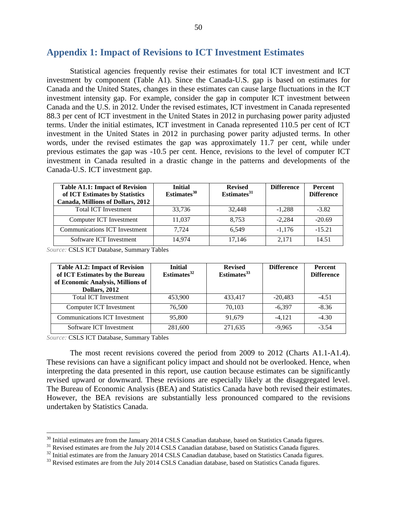#### **Appendix 1: Impact of Revisions to ICT Investment Estimates**

Statistical agencies frequently revise their estimates for total ICT investment and ICT investment by component (Table A1). Since the Canada-U.S. gap is based on estimates for Canada and the United States, changes in these estimates can cause large fluctuations in the ICT investment intensity gap. For example, consider the gap in computer ICT investment between Canada and the U.S. in 2012. Under the revised estimates, ICT investment in Canada represented 88.3 per cent of ICT investment in the United States in 2012 in purchasing power parity adjusted terms. Under the initial estimates, ICT investment in Canada represented 110.5 per cent of ICT investment in the United States in 2012 in purchasing power parity adjusted terms. In other words, under the revised estimates the gap was approximately 11.7 per cent, while under previous estimates the gap was -10.5 per cent. Hence, revisions to the level of computer ICT investment in Canada resulted in a drastic change in the patterns and developments of the Canada-U.S. ICT investment gap.

| <b>Table A1.1: Impact of Revision</b><br>of ICT Estimates by Statistics<br><b>Canada, Millions of Dollars, 2012</b> | <b>Initial</b><br>Estimates $30$ | <b>Revised</b><br>Estimates $31$ | <b>Difference</b> | <b>Percent</b><br><b>Difference</b> |
|---------------------------------------------------------------------------------------------------------------------|----------------------------------|----------------------------------|-------------------|-------------------------------------|
| <b>Total ICT Investment</b>                                                                                         | 33.736                           | 32,448                           | $-1.288$          | $-3.82$                             |
| Computer ICT Investment                                                                                             | 11.037                           | 8.753                            | $-2,284$          | $-20.69$                            |
| <b>Communications ICT Investment</b>                                                                                | 7.724                            | 6.549                            | $-1.176$          | $-15.21$                            |
| Software ICT Investment                                                                                             | 14.974                           | 17.146                           | 2.171             | 14.51                               |

*Source:* CSLS ICT Database, Summary Tables

| <b>Table A1.2: Impact of Revision</b><br>of ICT Estimates by the Bureau<br>of Economic Analysis, Millions of<br><b>Dollars</b> , 2012 | <b>Initial</b><br>Estimates <sup>32</sup> | <b>Revised</b><br>Estimates <sup>33</sup> | <b>Difference</b> | <b>Percent</b><br><b>Difference</b> |
|---------------------------------------------------------------------------------------------------------------------------------------|-------------------------------------------|-------------------------------------------|-------------------|-------------------------------------|
| <b>Total ICT Investment</b>                                                                                                           | 453,900                                   | 433,417                                   | $-20.483$         | $-4.51$                             |
| Computer ICT Investment                                                                                                               | 76.500                                    | 70.103                                    | $-6.397$          | $-8.36$                             |
| <b>Communications ICT Investment</b>                                                                                                  | 95,800                                    | 91.679                                    | $-4.121$          | $-4.30$                             |
| Software ICT Investment                                                                                                               | 281,600                                   | 271.635                                   | $-9.965$          | $-3.54$                             |

*Source:* CSLS ICT Database, Summary Tables

 $\overline{a}$ 

The most recent revisions covered the period from 2009 to 2012 (Charts A1.1-A1.4). These revisions can have a significant policy impact and should not be overlooked. Hence, when interpreting the data presented in this report, use caution because estimates can be significantly revised upward or downward. These revisions are especially likely at the disaggregated level. The Bureau of Economic Analysis (BEA) and Statistics Canada have both revised their estimates. However, the BEA revisions are substantially less pronounced compared to the revisions undertaken by Statistics Canada.

 $30$  Initial estimates are from the January 2014 CSLS Canadian database, based on Statistics Canada figures.

<sup>&</sup>lt;sup>31</sup> Revised estimates are from the July 2014 CSLS Canadian database, based on Statistics Canada figures.

<sup>&</sup>lt;sup>32</sup> Initial estimates are from the January 2014 CSLS Canadian database, based on Statistics Canada figures.

<sup>&</sup>lt;sup>33</sup> Revised estimates are from the July 2014 CSLS Canadian database, based on Statistics Canada figures.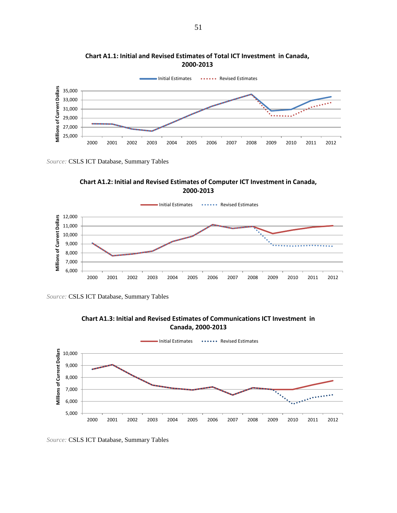







*Source:* CSLS ICT Database, Summary Tables



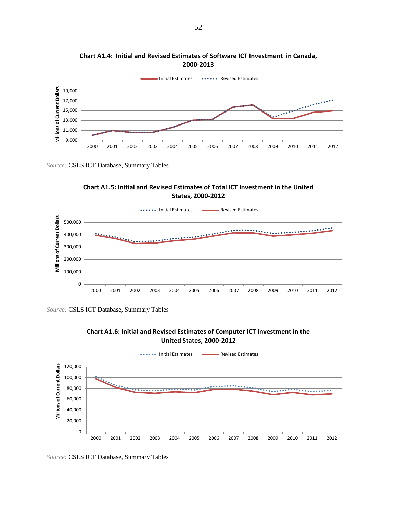

**Chart A1.4: Initial and Revised Estimates of Software ICT Investment in Canada, 2000-2013**









*Source:* CSLS ICT Database, Summary Tables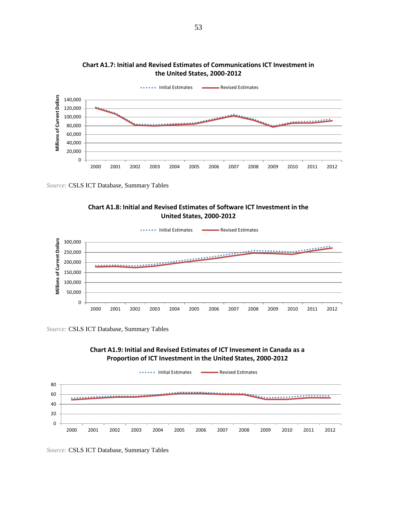

**Chart A1.7: Initial and Revised Estimates of Communications ICT Investment in the United States, 2000-2012**





*Source:* CSLS ICT Database, Summary Tables



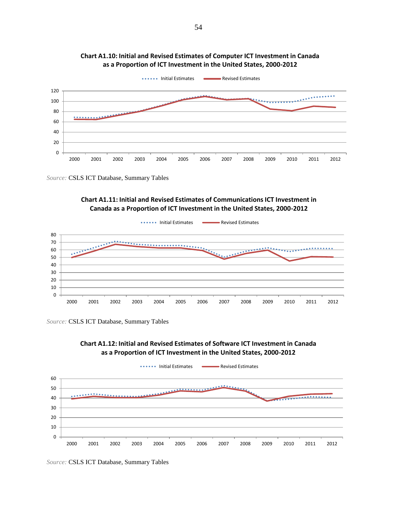







*Source:* CSLS ICT Database, Summary Tables



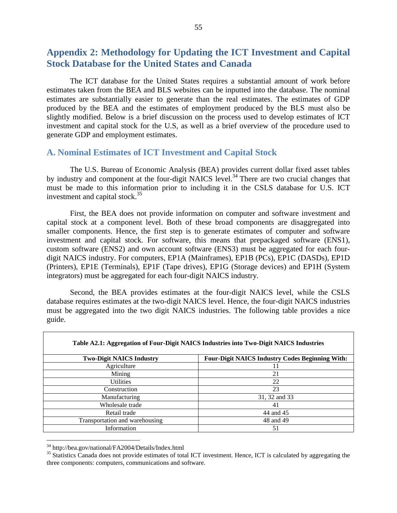#### **Appendix 2: Methodology for Updating the ICT Investment and Capital Stock Database for the United States and Canada**

The ICT database for the United States requires a substantial amount of work before estimates taken from the BEA and BLS websites can be inputted into the database. The nominal estimates are substantially easier to generate than the real estimates. The estimates of GDP produced by the BEA and the estimates of employment produced by the BLS must also be slightly modified. Below is a brief discussion on the process used to develop estimates of ICT investment and capital stock for the U.S, as well as a brief overview of the procedure used to generate GDP and employment estimates.

#### **A. Nominal Estimates of ICT Investment and Capital Stock**

The U.S. Bureau of Economic Analysis (BEA) provides current dollar fixed asset tables by industry and component at the four-digit NAICS level.<sup>34</sup> There are two crucial changes that must be made to this information prior to including it in the CSLS database for U.S. ICT investment and capital stock. $35$ 

First, the BEA does not provide information on computer and software investment and capital stock at a component level. Both of these broad components are disaggregated into smaller components. Hence, the first step is to generate estimates of computer and software investment and capital stock. For software, this means that prepackaged software (ENS1), custom software (ENS2) and own account software (ENS3) must be aggregated for each fourdigit NAICS industry. For computers, EP1A (Mainframes), EP1B (PCs), EP1C (DASDs), EP1D (Printers), EP1E (Terminals), EP1F (Tape drives), EP1G (Storage devices) and EP1H (System integrators) must be aggregated for each four-digit NAICS industry.

Second, the BEA provides estimates at the four-digit NAICS level, while the CSLS database requires estimates at the two-digit NAICS level. Hence, the four-digit NAICS industries must be aggregated into the two digit NAICS industries. The following table provides a nice guide.

|                                 | Table A2.1: Aggregation of Four-Digit NAICS Industries into Two-Digit NAICS Industries |
|---------------------------------|----------------------------------------------------------------------------------------|
| <b>Two-Digit NAICS Industry</b> | <b>Four-Digit NAICS Industry Codes Beginning With:</b>                                 |
| Agriculture                     | 11                                                                                     |
| Mining                          | 21                                                                                     |
| <b>Utilities</b>                | 22                                                                                     |
| Construction                    | 23                                                                                     |
| Manufacturing                   | 31, 32 and 33                                                                          |
| Wholesale trade                 | 41                                                                                     |
| Retail trade                    | 44 and 45                                                                              |
| Transportation and warehousing  | 48 and 49                                                                              |
| Information                     | 51                                                                                     |

<sup>&</sup>lt;sup>34</sup> http://bea.gov/national/FA2004/Details/Index.html

<sup>&</sup>lt;sup>35</sup> Statistics Canada does not provide estimates of total ICT investment. Hence, ICT is calculated by aggregating the three components: computers, communications and software.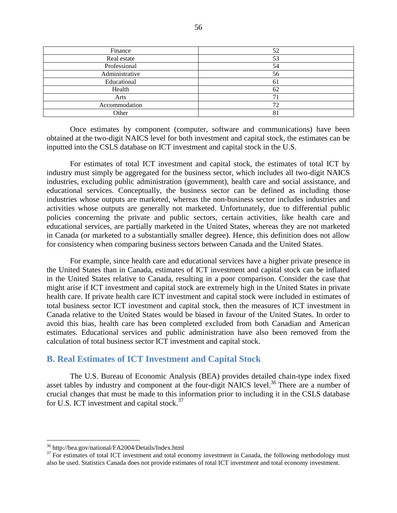| Finance        | 52 |
|----------------|----|
| Real estate    | 53 |
| Professional   | 54 |
| Administrative | 56 |
| Educational    | 61 |
| Health         | 62 |
| Arts           | −  |
| Accommodation  | 72 |
| Other          | 81 |

Once estimates by component (computer, software and communications) have been obtained at the two-digit NAICS level for both investment and capital stock, the estimates can be inputted into the CSLS database on ICT investment and capital stock in the U.S.

For estimates of total ICT investment and capital stock, the estimates of total ICT by industry must simply be aggregated for the business sector, which includes all two-digit NAICS industries, excluding public administration (government), health care and social assistance, and educational services. Conceptually, the business sector can be defined as including those industries whose outputs are marketed, whereas the non-business sector includes industries and activities whose outputs are generally not marketed. Unfortunately, due to differential public policies concerning the private and public sectors, certain activities, like health care and educational services, are partially marketed in the United States, whereas they are not marketed in Canada (or marketed to a substantially smaller degree). Hence, this definition does not allow for consistency when comparing business sectors between Canada and the United States.

For example, since health care and educational services have a higher private presence in the United States than in Canada, estimates of ICT investment and capital stock can be inflated in the United States relative to Canada, resulting in a poor comparison. Consider the case that might arise if ICT investment and capital stock are extremely high in the United States in private health care. If private health care ICT investment and capital stock were included in estimates of total business sector ICT investment and capital stock, then the measures of ICT investment in Canada relative to the United States would be biased in favour of the United States. In order to avoid this bias, health care has been completed excluded from both Canadian and American estimates. Educational services and public administration have also been removed from the calculation of total business sector ICT investment and capital stock.

#### **B. Real Estimates of ICT Investment and Capital Stock**

The U.S. Bureau of Economic Analysis (BEA) provides detailed chain-type index fixed asset tables by industry and component at the four-digit NAICS level.<sup>36</sup> There are a number of crucial changes that must be made to this information prior to including it in the CSLS database for U.S. ICT investment and capital stock.<sup>37</sup>

<sup>36</sup> http://bea.gov/national/FA2004/Details/Index.html

 $37$  For estimates of total ICT investment and total economy investment in Canada, the following methodology must also be used. Statistics Canada does not provide estimates of total ICT investment and total economy investment.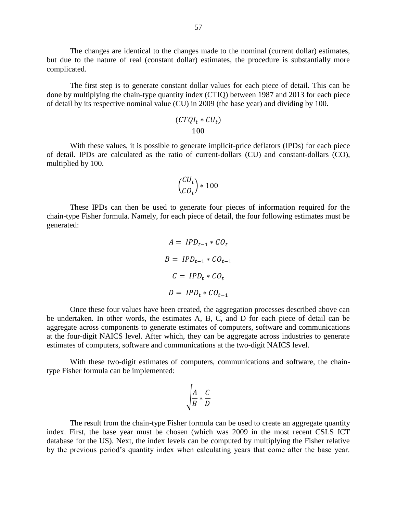The changes are identical to the changes made to the nominal (current dollar) estimates, but due to the nature of real (constant dollar) estimates, the procedure is substantially more complicated.

The first step is to generate constant dollar values for each piece of detail. This can be done by multiplying the chain-type quantity index (CTIQ) between 1987 and 2013 for each piece of detail by its respective nominal value (CU) in 2009 (the base year) and dividing by 100.

$$
\frac{(CTQI_t * CU_t)}{100}
$$

With these values, it is possible to generate implicit-price deflators (IPDs) for each piece of detail. IPDs are calculated as the ratio of current-dollars (CU) and constant-dollars (CO), multiplied by 100.

$$
\Big(\frac{CU_t}{CO_t}\Big)*100
$$

These IPDs can then be used to generate four pieces of information required for the chain-type Fisher formula. Namely, for each piece of detail, the four following estimates must be generated:

$$
A = IPD_{t-1} * CO_t
$$
  
\n
$$
B = IPD_{t-1} * CO_{t-1}
$$
  
\n
$$
C = IPD_t * CO_t
$$
  
\n
$$
D = IPD_t * CO_{t-1}
$$

Once these four values have been created, the aggregation processes described above can be undertaken. In other words, the estimates A, B, C, and D for each piece of detail can be aggregate across components to generate estimates of computers, software and communications at the four-digit NAICS level. After which, they can be aggregate across industries to generate estimates of computers, software and communications at the two-digit NAICS level.

With these two-digit estimates of computers, communications and software, the chaintype Fisher formula can be implemented:

$$
\sqrt{\frac{A}{B} * \frac{C}{D}}
$$

The result from the chain-type Fisher formula can be used to create an aggregate quantity index. First, the base year must be chosen (which was 2009 in the most recent CSLS ICT database for the US). Next, the index levels can be computed by multiplying the Fisher relative by the previous period's quantity index when calculating years that come after the base year.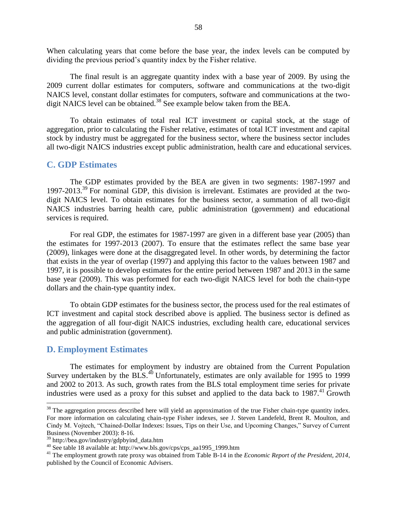When calculating years that come before the base year, the index levels can be computed by dividing the previous period's quantity index by the Fisher relative.

The final result is an aggregate quantity index with a base year of 2009. By using the 2009 current dollar estimates for computers, software and communications at the two-digit NAICS level, constant dollar estimates for computers, software and communications at the twodigit NAICS level can be obtained.<sup>38</sup> See example below taken from the BEA.

To obtain estimates of total real ICT investment or capital stock, at the stage of aggregation, prior to calculating the Fisher relative, estimates of total ICT investment and capital stock by industry must be aggregated for the business sector, where the business sector includes all two-digit NAICS industries except public administration, health care and educational services.

#### **C. GDP Estimates**

The GDP estimates provided by the BEA are given in two segments: 1987-1997 and 1997-2013.<sup>39</sup> For nominal GDP, this division is irrelevant. Estimates are provided at the twodigit NAICS level. To obtain estimates for the business sector, a summation of all two-digit NAICS industries barring health care, public administration (government) and educational services is required.

For real GDP, the estimates for 1987-1997 are given in a different base year (2005) than the estimates for 1997-2013 (2007). To ensure that the estimates reflect the same base year (2009), linkages were done at the disaggregated level. In other words, by determining the factor that exists in the year of overlap (1997) and applying this factor to the values between 1987 and 1997, it is possible to develop estimates for the entire period between 1987 and 2013 in the same base year (2009). This was performed for each two-digit NAICS level for both the chain-type dollars and the chain-type quantity index.

To obtain GDP estimates for the business sector, the process used for the real estimates of ICT investment and capital stock described above is applied. The business sector is defined as the aggregation of all four-digit NAICS industries, excluding health care, educational services and public administration (government).

#### **D. Employment Estimates**

 $\overline{a}$ 

The estimates for employment by industry are obtained from the Current Population Survey undertaken by the BLS. $40$  Unfortunately, estimates are only available for 1995 to 1999 and 2002 to 2013. As such, growth rates from the BLS total employment time series for private industries were used as a proxy for this subset and applied to the data back to  $1987<sup>41</sup>$  Growth

 $38$  The aggregation process described here will yield an approximation of the true Fisher chain-type quantity index. For more information on calculating chain-type Fisher indexes, see J. Steven Landefeld, Brent R. Moulton, and Cindy M. Vojtech, "Chained-Dollar Indexes: Issues, Tips on their Use, and Upcoming Changes," Survey of Current Business (November 2003): 8-16.

<sup>39</sup> http://bea.gov/industry/gdpbyind\_data.htm

 $^{40}$  See table 18 available at: http://www.bls.gov/cps/cps\_aa1995\_1999.htm

<sup>&</sup>lt;sup>41</sup> The employment growth rate proxy was obtained from Table B-14 in the *Economic Report of the President*, 2014, published by the Council of Economic Advisers.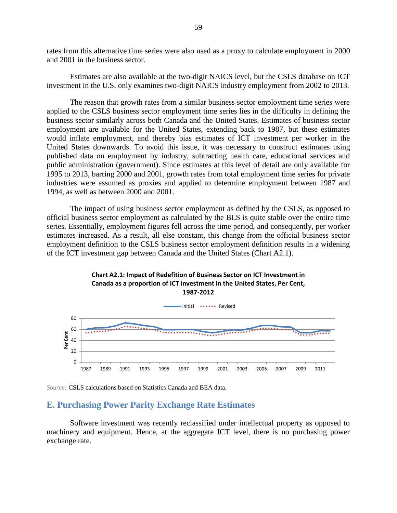rates from this alternative time series were also used as a proxy to calculate employment in 2000 and 2001 in the business sector.

Estimates are also available at the two-digit NAICS level, but the CSLS database on ICT investment in the U.S. only examines two-digit NAICS industry employment from 2002 to 2013.

The reason that growth rates from a similar business sector employment time series were applied to the CSLS business sector employment time series lies in the difficulty in defining the business sector similarly across both Canada and the United States. Estimates of business sector employment are available for the United States, extending back to 1987, but these estimates would inflate employment, and thereby bias estimates of ICT investment per worker in the United States downwards. To avoid this issue, it was necessary to construct estimates using published data on employment by industry, subtracting health care, educational services and public administration (government). Since estimates at this level of detail are only available for 1995 to 2013, barring 2000 and 2001, growth rates from total employment time series for private industries were assumed as proxies and applied to determine employment between 1987 and 1994, as well as between 2000 and 2001.

The impact of using business sector employment as defined by the CSLS, as opposed to official business sector employment as calculated by the BLS is quite stable over the entire time series. Essentially, employment figures fell across the time period, and consequently, per worker estimates increased. As a result, all else constant, this change from the official business sector employment definition to the CSLS business sector employment definition results in a widening of the ICT investment gap between Canada and the United States (Chart A2.1).



# **Chart A2.1: Impact of Redefition of Business Sector on ICT Investment in**

*Source:* CSLS calculations based on Statistics Canada and BEA data.

#### **E. Purchasing Power Parity Exchange Rate Estimates**

Software investment was recently reclassified under intellectual property as opposed to machinery and equipment. Hence, at the aggregate ICT level, there is no purchasing power exchange rate.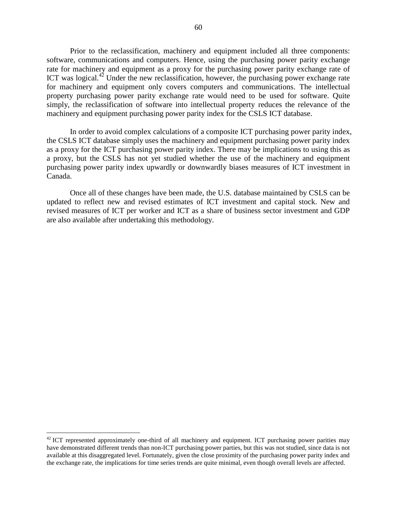Prior to the reclassification, machinery and equipment included all three components: software, communications and computers. Hence, using the purchasing power parity exchange rate for machinery and equipment as a proxy for the purchasing power parity exchange rate of ICT was logical. $42$  Under the new reclassification, however, the purchasing power exchange rate for machinery and equipment only covers computers and communications. The intellectual property purchasing power parity exchange rate would need to be used for software. Quite simply, the reclassification of software into intellectual property reduces the relevance of the machinery and equipment purchasing power parity index for the CSLS ICT database.

In order to avoid complex calculations of a composite ICT purchasing power parity index, the CSLS ICT database simply uses the machinery and equipment purchasing power parity index as a proxy for the ICT purchasing power parity index. There may be implications to using this as a proxy, but the CSLS has not yet studied whether the use of the machinery and equipment purchasing power parity index upwardly or downwardly biases measures of ICT investment in Canada.

Once all of these changes have been made, the U.S. database maintained by CSLS can be updated to reflect new and revised estimates of ICT investment and capital stock. New and revised measures of ICT per worker and ICT as a share of business sector investment and GDP are also available after undertaking this methodology.

 $42$  ICT represented approximately one-third of all machinery and equipment. ICT purchasing power parities may have demonstrated different trends than non-ICT purchasing power parties, but this was not studied, since data is not available at this disaggregated level. Fortunately, given the close proximity of the purchasing power parity index and the exchange rate, the implications for time series trends are quite minimal, even though overall levels are affected.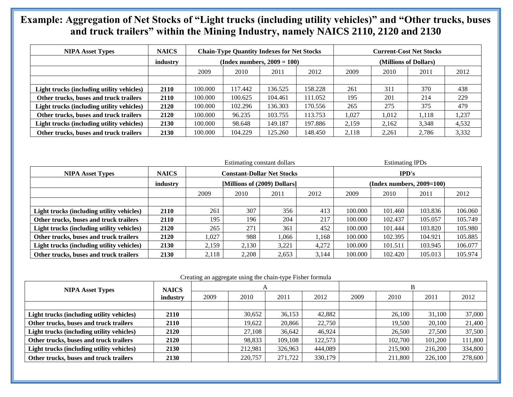### 61 **and truck trailers" within the Mining Industry, namely NAICS 2110, 2120 and 2130 Example: Aggregation of Net Stocks of "Light trucks (including utility vehicles)" and "Other trucks, buses**

| <b>NIPA Asset Types</b>                   | <b>NAICS</b> |                                |         | <b>Chain-Type Quantity Indexes for Net Stocks</b> |         | <b>Current-Cost Net Stocks</b> |       |       |       |
|-------------------------------------------|--------------|--------------------------------|---------|---------------------------------------------------|---------|--------------------------------|-------|-------|-------|
|                                           | industry     | (Index numbers, $2009 = 100$ ) |         |                                                   |         | (Millions of Dollars)          |       |       |       |
|                                           |              | 2009                           | 2010    | 2011                                              | 2012    | 2009                           | 2010  | 2011  | 2012  |
|                                           |              |                                |         |                                                   |         |                                |       |       |       |
| Light trucks (including utility vehicles) | 2110         | 100.000                        | 117.442 | 136.525                                           | 158.228 | 261                            | 311   | 370   | 438   |
| Other trucks, buses and truck trailers    | 2110         | 100.000                        | 100.625 | 104.461                                           | 111.052 | 195                            | 201   | 214   | 229   |
| Light trucks (including utility vehicles) | 2120         | 100.000                        | 102.296 | 136.303                                           | 170.556 | 265                            | 275   | 375   | 479   |
| Other trucks, buses and truck trailers    | 2120         | 100.000                        | 96.235  | 103.755                                           | 113.753 | 1.027                          | 1,012 | 1.118 | ,237  |
| Light trucks (including utility vehicles) | 2130         | 100.000                        | 98.648  | 149.187                                           | 197.886 | 2,159                          | 2,162 | 3,348 | 4,532 |
| Other trucks, buses and truck trailers    | 2130         | 100.000                        | 104.229 | 125.260                                           | 148.450 | 2.118                          | 2.261 | 2.786 | 3,332 |

|                                           |              | Estimating constant dollars       |       |       |       | <b>Estimating IPDs</b>      |         |         |         |
|-------------------------------------------|--------------|-----------------------------------|-------|-------|-------|-----------------------------|---------|---------|---------|
| <b>NIPA Asset Types</b>                   | <b>NAICS</b> | <b>Constant-Dollar Net Stocks</b> |       |       |       | IPD's                       |         |         |         |
|                                           | industry     | [Millions of (2009) Dollars]      |       |       |       | $(Index numbers, 2009=100)$ |         |         |         |
|                                           |              | 2009                              | 2010  | 2011  | 2012  | 2009                        | 2010    | 2011    | 2012    |
|                                           |              |                                   |       |       |       |                             |         |         |         |
| Light trucks (including utility vehicles) | 2110         | 261                               | 307   | 356   | 413   | 100.000                     | 101.460 | 103.836 | 106.060 |
| Other trucks, buses and truck trailers    | 2110         | 195                               | 196   | 204   | 217   | 100.000                     | 102.437 | 105.057 | 105.749 |
| Light trucks (including utility vehicles) | 2120         | 265                               | 271   | 361   | 452   | 100.000                     | 101.444 | 103.820 | 105.980 |
| Other trucks, buses and truck trailers    | 2120         | 1,027                             | 988   | 1.066 | 1,168 | 100.000                     | 102.395 | 104.921 | 105.885 |
| Light trucks (including utility vehicles) | 2130         | 2,159                             | 2,130 | 3,221 | 4,272 | 100.000                     | 101.511 | 103.945 | 106.077 |
| Other trucks, buses and truck trailers    | 2130         | 2,118                             | 2,208 | 2,653 | 3,144 | 100.000                     | 102.420 | 105.013 | 105.974 |

#### Creating an aggregate using the chain-type Fisher formula

| <b>NIPA Asset Types</b>                   | <b>NAICS</b> | A    |         |         |         |      |         |         |         |
|-------------------------------------------|--------------|------|---------|---------|---------|------|---------|---------|---------|
|                                           | industry     | 2009 | 2010    | 2011    | 2012    | 2009 | 2010    | 2011    | 2012    |
|                                           |              |      |         |         |         |      |         |         |         |
| Light trucks (including utility vehicles) | 2110         |      | 30.652  | 36,153  | 42,882  |      | 26,100  | 31,100  | 37,000  |
| Other trucks, buses and truck trailers    | 2110         |      | 19.622  | 20,866  | 22,750  |      | 19.500  | 20,100  | 21,400  |
| Light trucks (including utility vehicles) | 2120         |      | 27,108  | 36,642  | 46.924  |      | 26,500  | 27,500  | 37,500  |
| Other trucks, buses and truck trailers    | 2120         |      | 98,833  | 109,108 | 122,573 |      | 102,700 | 101,200 | 111,800 |
| Light trucks (including utility vehicles) | 2130         |      | 212,981 | 326,963 | 444,089 |      | 215,900 | 216,200 | 334,800 |
| Other trucks, buses and truck trailers    | 2130         |      | 220,757 | 271,722 | 330,179 |      | 211,800 | 226,100 | 278,600 |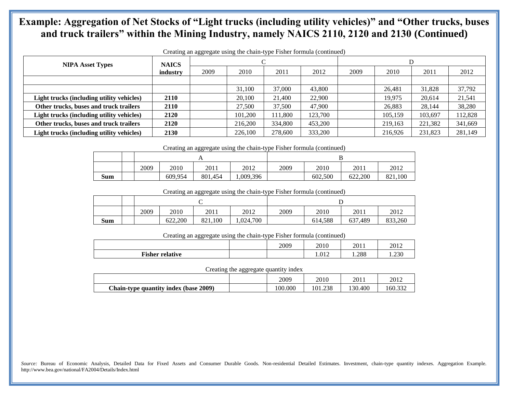#### <sup>62</sup> **Example: Aggregation of Net Stocks of "Light trucks (including utility vehicles)" and "Other trucks, buses and truck trailers" within the Mining Industry, namely NAICS 2110, 2120 and 2130 (Continued)**

| Creating an aggregate using the chain-type Fisher formula (continued) |                          |      |         |         |         |      |         |         |         |  |
|-----------------------------------------------------------------------|--------------------------|------|---------|---------|---------|------|---------|---------|---------|--|
| <b>NIPA Asset Types</b>                                               | <b>NAICS</b><br>industry |      |         |         |         | D    |         |         |         |  |
|                                                                       |                          | 2009 | 2010    | 2011    | 2012    | 2009 | 2010    | 2011    | 2012    |  |
|                                                                       |                          |      |         |         |         |      |         |         |         |  |
|                                                                       |                          |      | 31.100  | 37,000  | 43,800  |      | 26.481  | 31.828  | 37,792  |  |
| Light trucks (including utility vehicles)                             | 2110                     |      | 20,100  | 21,400  | 22,900  |      | 19.975  | 20,614  | 21,541  |  |
| Other trucks, buses and truck trailers                                | 2110                     |      | 27,500  | 37,500  | 47,900  |      | 26,883  | 28.144  | 38,280  |  |
| Light trucks (including utility vehicles)                             | 2120                     |      | 101,200 | 111,800 | 123,700 |      | 105,159 | 103,697 | 112,828 |  |
| Other trucks, buses and truck trailers                                | 2120                     |      | 216,200 | 334,800 | 453,200 |      | 219,163 | 221,382 | 341,669 |  |
| <b>Light trucks (including utility vehicles)</b>                      | 2130                     |      | 226,100 | 278,600 | 333,200 |      | 216,926 | 231,823 | 281,149 |  |

#### Creating an aggregate using the chain-type Fisher formula (continued)

|            | 2009 | 2010    | 2011    | 2012     | 2009 | 2010    | 2011    | 2012    |
|------------|------|---------|---------|----------|------|---------|---------|---------|
| <b>Sum</b> |      | 609,954 | 801,454 | ,009,396 |      | 602.500 | 622,200 | 821.100 |

Creating an aggregate using the chain-type Fisher formula (continued)

|            | 2009 | 2010    | 2011    | 2012      | 2009 | 2010    | 2011         | 2012    |
|------------|------|---------|---------|-----------|------|---------|--------------|---------|
| <b>Sum</b> |      | 622,200 | 821.100 | 1,024,700 |      | 614,588 | .489<br>637. | 833.260 |

Creating an aggregate using the chain-type Fisher formula (continued)

|                        | 2009 | 2010  | 2011  | 2012  |
|------------------------|------|-------|-------|-------|
| <b>Fisher relative</b> |      | 1.012 | 1.288 | 1.230 |

Creating the aggregate quantity index

|                                       | 2009    | 2010    | 2011    | 2012    |
|---------------------------------------|---------|---------|---------|---------|
| Chain-type quantity index (base 2009) | 100.000 | 101.238 | 130.400 | 160.332 |

*Source:* Bureau of Economic Analysis, Detailed Data for Fixed Assets and Consumer Durable Goods. Non-residential Detailed Estimates. Investment, chain-type quantity indexes. Aggregation Example. http://www.bea.gov/national/FA2004/Details/Index.html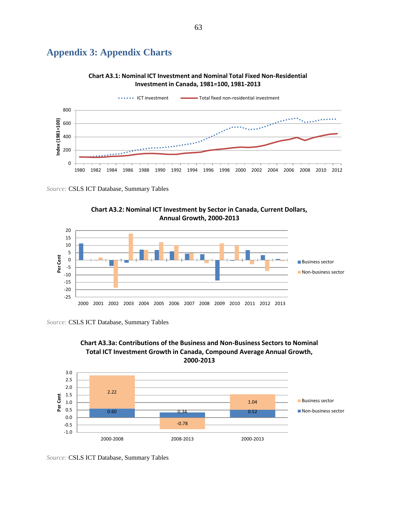# **Appendix 3: Appendix Charts**





*Source:* CSLS ICT Database, Summary Tables





*Source:* CSLS ICT Database, Summary Tables



**Chart A3.3a: Contributions of the Business and Non-Business Sectors to Nominal** 

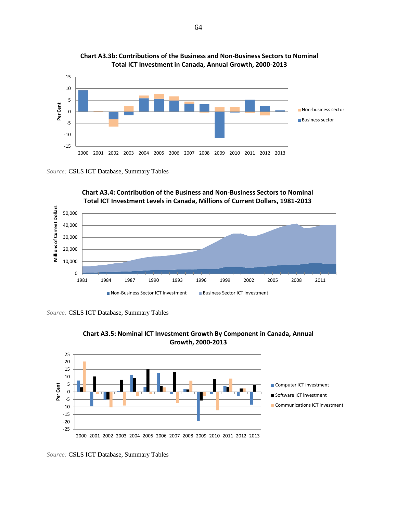

**Chart A3.3b: Contributions of the Business and Non-Business Sectors to Nominal Total ICT Investment in Canada, Annual Growth, 2000-2013**



**Chart A3.4: Contribution of the Business and Non-Business Sectors to Nominal Total ICT Investment Levels in Canada, Millions of Current Dollars, 1981-2013**

*Source:* CSLS ICT Database, Summary Tables



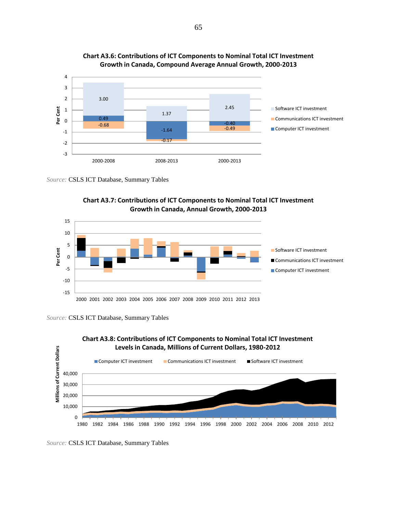







*Source:* CSLS ICT Database, Summary Tables

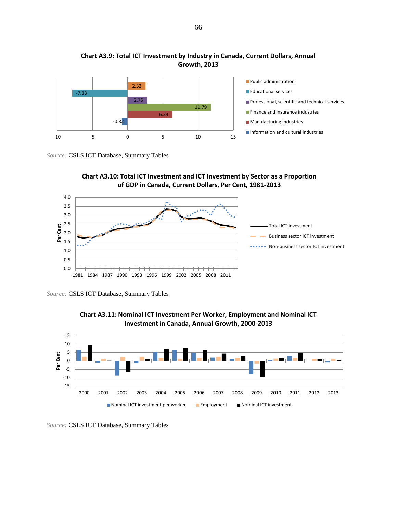





**Chart A3.10: Total ICT Investment and ICT Investment by Sector as a Proportion** 

*Source:* CSLS ICT Database, Summary Tables

1981 1984 1987 1990 1993 1996 1999 2002 2005 2008 2011



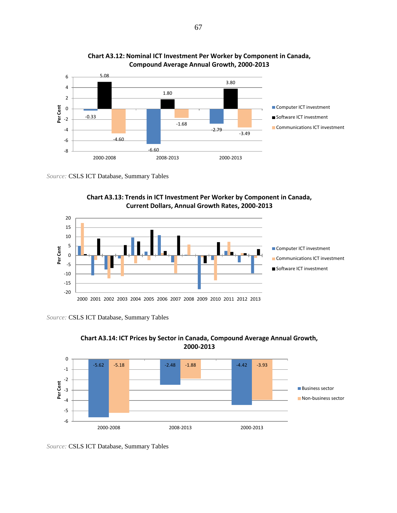







*Source:* CSLS ICT Database, Summary Tables



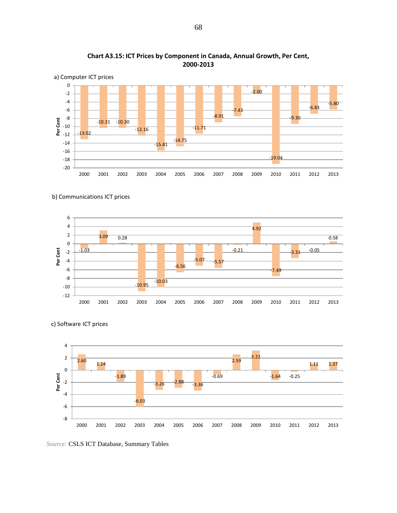



#### b) Communications ICT prices





c) Software ICT prices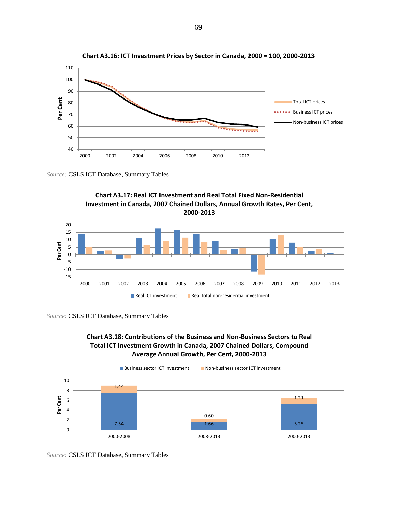

**Chart A3.16: ICT Investment Prices by Sector in Canada, 2000 = 100, 2000-2013**







## **Chart A3.18: Contributions of the Business and Non-Business Sectors to Real Total ICT Investment Growth in Canada, 2007 Chained Dollars, Compound Average Annual Growth, Per Cent, 2000-2013**

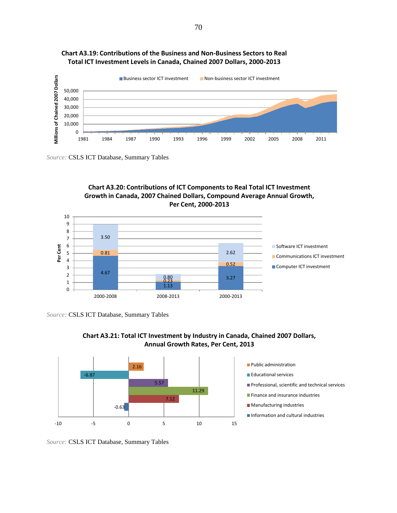

### **Chart A3.19: Contributions of the Business and Non-Business Sectors to Real Total ICT Investment Levels in Canada, Chained 2007 Dollars, 2000-2013**

*Source:* CSLS ICT Database, Summary Tables

## **Chart A3.20: Contributions of ICT Components to Real Total ICT Investment Growth in Canada, 2007 Chained Dollars, Compound Average Annual Growth, Per Cent, 2000-2013**



*Source:* CSLS ICT Database, Summary Tables



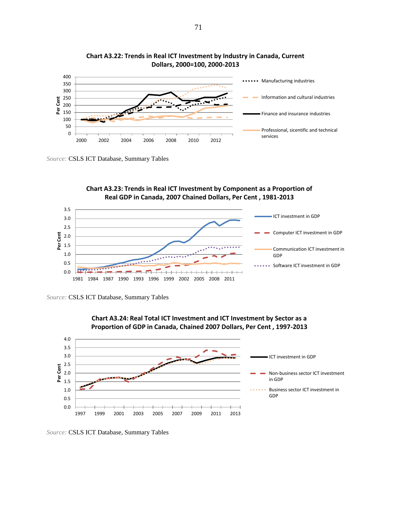







*Source:* CSLS ICT Database, Summary Tables





*Source:* CSLS ICT Database, Summary Tables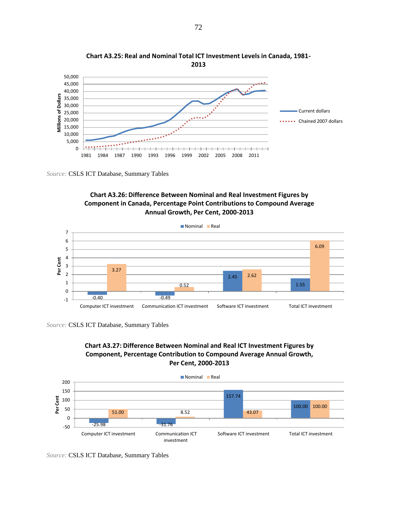

**Chart A3.25: Real and Nominal Total ICT Investment Levels in Canada, 1981- 2013**

## **Chart A3.26: Difference Between Nominal and Real Investment Figures by Component in Canada, Percentage Point Contributions to Compound Average Annual Growth, Per Cent, 2000-2013**



*Source:* CSLS ICT Database, Summary Tables



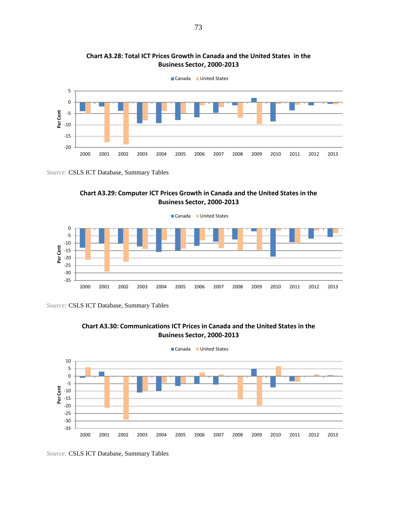



Canada United States



*Source:* CSLS ICT Database, Summary Tables





*Source:* CSLS ICT Database, Summary Tables

**Chart A3.28: Total ICT Prices Growth in Canada and the United States in the**